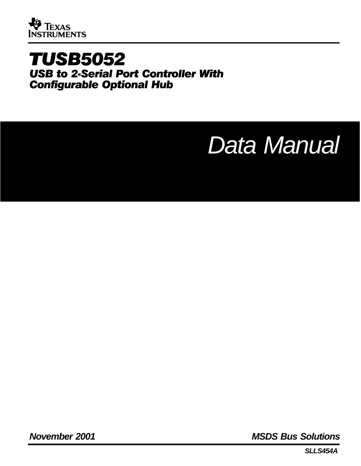

# **TUSB5052 USB to 2-Serial Port Controller With Configurable Optional Hub**

# Data Manual

**November 2001** MSDS Bus Solutions

**SLLS454A**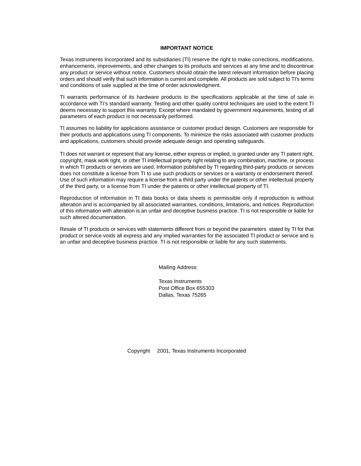#### **IMPORTANT NOTICE**

Texas Instruments Incorporated and its subsidiaries (TI) reserve the right to make corrections, modifications, enhancements, improvements, and other changes to its products and services at any time and to discontinue any product or service without notice. Customers should obtain the latest relevant information before placing orders and should verify that such information is current and complete. All products are sold subject to TI's terms and conditions of sale supplied at the time of order acknowledgment.

TI warrants performance of its hardware products to the specifications applicable at the time of sale in accordance with TI's standard warranty. Testing and other quality control techniques are used to the extent TI deems necessary to support this warranty. Except where mandated by government requirements, testing of all parameters of each product is not necessarily performed.

TI assumes no liability for applications assistance or customer product design. Customers are responsible for their products and applications using TI components. To minimize the risks associated with customer products and applications, customers should provide adequate design and operating safeguards.

TI does not warrant or represent that any license, either express or implied, is granted under any TI patent right, copyright, mask work right, or other TI intellectual property right relating to any combination, machine, or process in which TI products or services are used. Information published by TI regarding third-party products or services does not constitute a license from TI to use such products or services or a warranty or endorsement thereof. Use of such information may require a license from a third party under the patents or other intellectual property of the third party, or a license from TI under the patents or other intellectual property of TI.

Reproduction of information in TI data books or data sheets is permissible only if reproduction is without alteration and is accompanied by all associated warranties, conditions, limitations, and notices. Reproduction of this information with alteration is an unfair and deceptive business practice. TI is not responsible or liable for such altered documentation.

Resale of TI products or services with statements different from or beyond the parameters stated by TI for that product or service voids all express and any implied warranties for the associated TI product or service and is an unfair and deceptive business practice. TI is not responsible or liable for any such statements.

Mailing Address:

Texas Instruments Post Office Box 655303 Dallas, Texas 75265

Copyright 2001, Texas Instruments Incorporated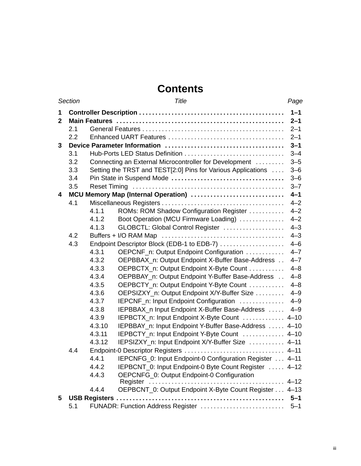# **Contents**

|              | Section |                  | Title                                                                                            | Page     |
|--------------|---------|------------------|--------------------------------------------------------------------------------------------------|----------|
| 1            |         |                  |                                                                                                  | $1 - 1$  |
| $\mathbf{2}$ |         |                  |                                                                                                  | $2 - 1$  |
|              | 2.1     |                  |                                                                                                  | $2 - 1$  |
|              | 2.2     |                  |                                                                                                  | $2 - 1$  |
| 3            |         |                  |                                                                                                  | $3 - 1$  |
|              | 3.1     |                  | Hub-Ports LED Status Definition                                                                  | $3 - 4$  |
|              | 3.2     |                  | Connecting an External Microcontroller for Development                                           | $3 - 5$  |
|              | 3.3     |                  | Setting the TRST and TEST[2:0] Pins for Various Applications                                     | $3 - 6$  |
|              | 3.4     |                  |                                                                                                  | $3 - 6$  |
|              | 3.5     |                  |                                                                                                  | $3 - 7$  |
| 4            |         |                  | MCU Memory Map (Internal Operation)                                                              | $4 - 1$  |
|              | 4.1     |                  |                                                                                                  | $4 - 2$  |
|              |         | 4.1.1            | ROMs: ROM Shadow Configuration Register                                                          | $4 - 2$  |
|              |         | 4.1.2            | Boot Operation (MCU Firmware Loading)                                                            | $4 - 2$  |
|              |         | 4.1.3            | GLOBCTL: Global Control Register                                                                 | $4 - 3$  |
|              | 4.2     |                  |                                                                                                  | $4 - 3$  |
|              | 4.3     |                  | Endpoint Descriptor Block (EDB-1 to EDB-7)                                                       | $4 - 6$  |
|              |         | 4.3.1            | OEPCNF_n: Output Endpoint Configuration                                                          | $4 - 7$  |
|              |         | 4.3.2            | OEPBBAX n: Output Endpoint X-Buffer Base-Address                                                 | $4 - 7$  |
|              |         | 4.3.3            | OEPBCTX_n: Output Endpoint X-Byte Count                                                          | $4 - 8$  |
|              |         | 4.3.4            | OEPBBAY_n: Output Endpoint Y-Buffer Base-Address                                                 | $4 - 8$  |
|              |         | 4.3.5            | OEPBCTY_n: Output Endpoint Y-Byte Count                                                          | $4 - 8$  |
|              |         | 4.3.6            | OEPSIZXY_n: Output Endpoint X/Y-Buffer Size                                                      | $4 - 9$  |
|              |         | 4.3.7            | IEPCNF_n: Input Endpoint Configuration                                                           | $4 - 9$  |
|              |         | 4.3.8            | IEPBBAX_n Input Endpoint X-Buffer Base-Address                                                   | $4 - 9$  |
|              |         | 4.3.9            | IEPBCTX_n: Input Endpoint X-Byte Count  4-10                                                     |          |
|              |         | 4.3.10<br>4.3.11 | IEPBBAY_n: Input Endpoint Y-Buffer Base-Address  4-10                                            |          |
|              |         | 4.3.12           | IEPBCTY_n: Input Endpoint Y-Byte Count  4-10<br>IEPSIZXY_n: Input Endpoint X/Y-Buffer Size  4-11 |          |
|              | 4.4     |                  |                                                                                                  |          |
|              |         | 4.4.1            | IEPCNFG_0: Input Endpoint-0 Configuration Register  4-11                                         |          |
|              |         | 4.4.2            | IEPBCNT_0: Input Endpoint-0 Byte Count Register  4-12                                            |          |
|              |         | 4.4.3            | OEPCNFG_0: Output Endpoint-0 Configuration                                                       |          |
|              |         |                  | Register                                                                                         | $4 - 12$ |
|              |         | 4.4.4            | OEPBCNT_0: Output Endpoint X-Byte Count Register 4-13                                            |          |
| 5            |         |                  |                                                                                                  | $5 - 1$  |
|              | 5.1     |                  | FUNADR: Function Address Register                                                                | $5 - 1$  |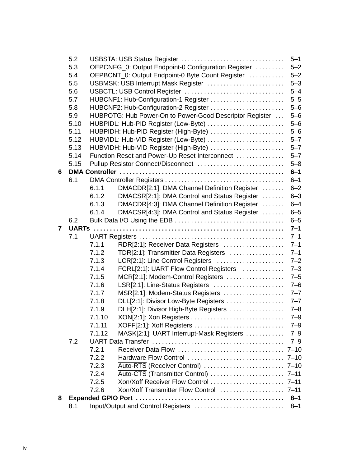|   | 5.2  |        | USBSTA: USB Status Register                             | $5 - 1$ |
|---|------|--------|---------------------------------------------------------|---------|
|   | 5.3  |        | OEPCNFG_0: Output Endpoint-0 Configuration Register     | $5 - 2$ |
|   | 5.4  |        | OEPBCNT_0: Output Endpoint-0 Byte Count Register        | $5 - 2$ |
|   | 5.5  |        | USBMSK: USB Interrupt Mask Register                     | $5 - 3$ |
|   | 5.6  |        | USBCTL: USB Control Register                            | $5 - 4$ |
|   | 5.7  |        | HUBCNF1: Hub-Configuration-1 Register                   | $5 - 5$ |
|   | 5.8  |        | HUBCNF2: Hub-Configuration-2 Register                   | $5 - 6$ |
|   | 5.9  |        | HUBPOTG: Hub Power-On to Power-Good Descriptor Register | $5 - 6$ |
|   | 5.10 |        |                                                         | $5 - 6$ |
|   | 5.11 |        | HUBPIDH: Hub-PID Register (High-Byte)                   | $5 - 6$ |
|   | 5.12 |        | HUBVIDL: Hub-VID Register (Low-Byte)                    | $5 - 7$ |
|   | 5.13 |        | HUBVIDH: Hub-VID Register (High-Byte)                   | $5 - 7$ |
|   | 5.14 |        | Function Reset and Power-Up Reset Interconnect          | $5 - 7$ |
|   | 5.15 |        | Pullup Resistor Connect/Disconnect                      | $5 - 8$ |
| 6 |      |        |                                                         | $6 - 1$ |
|   | 6.1  |        |                                                         | $6 - 1$ |
|   |      | 6.1.1  | DMACDR[2:1]: DMA Channel Definition Register            | $6 - 2$ |
|   |      | 6.1.2  | DMACSR[2:1]: DMA Control and Status Register            | $6 - 3$ |
|   |      | 6.1.3  | DMACDR[4:3]: DMA Channel Definition Register            | $6 - 4$ |
|   |      | 6.1.4  | DMACSR[4:3]: DMA Control and Status Register            | $6 - 5$ |
|   | 6.2  |        |                                                         | $6 - 5$ |
| 7 |      |        |                                                         | $7 - 1$ |
|   | 7.1  |        |                                                         | $7 - 1$ |
|   |      | 7.1.1  | RDR[2:1]: Receiver Data Registers                       | $7 - 1$ |
|   |      | 7.1.2  | TDR[2:1]: Transmitter Data Registers                    | $7 - 1$ |
|   |      | 7.1.3  | LCR[2:1]: Line Control Registers                        | $7 - 2$ |
|   |      | 7.1.4  | FCRL[2:1]: UART Flow Control Registers                  | $7 - 3$ |
|   |      | 7.1.5  | MCR[2:1]: Modem-Control Registers                       | $7 - 5$ |
|   |      | 7.1.6  | LSR[2:1]: Line-Status Registers                         | $7 - 6$ |
|   |      | 7.1.7  | MSR[2:1]: Modem-Status Registers                        | $7 - 7$ |
|   |      | 7.1.8  | DLL[2:1]: Divisor Low-Byte Registers                    | $7 - 7$ |
|   |      | 7.1.9  | DLH[2:1]: Divisor High-Byte Registers                   | $7 - 8$ |
|   |      | 7.1.10 |                                                         | $7 - 9$ |
|   |      | 7.1.11 |                                                         | $7 - 9$ |
|   |      | 7.1.12 | MASK[2:1]: UART Interrupt-Mask Registers                | $7 - 9$ |
|   | 7.2  |        |                                                         | $7 - 9$ |
|   |      | 7.2.1  |                                                         |         |
|   |      | 7.2.2  |                                                         |         |
|   |      | 7.2.3  |                                                         |         |
|   |      | 7.2.4  |                                                         |         |
|   |      | 7.2.5  |                                                         |         |
|   |      | 7.2.6  |                                                         |         |
| 8 |      |        |                                                         | $8 - 1$ |
|   | 8.1  |        | Input/Output and Control Registers                      | $8 - 1$ |
|   |      |        |                                                         |         |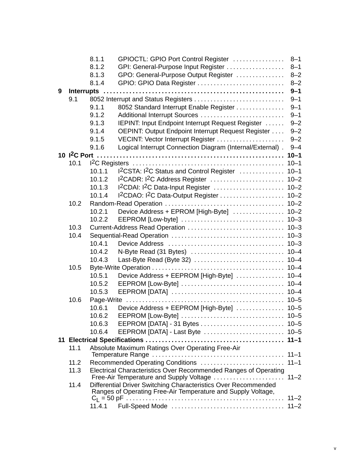|   |                        | 8.1.1  | GPIOCTL: GPIO Port Control Register                                                                                            | $8 - 1$  |
|---|------------------------|--------|--------------------------------------------------------------------------------------------------------------------------------|----------|
|   |                        | 8.1.2  | GPI: General-Purpose Input Register                                                                                            | $8 - 1$  |
|   |                        | 8.1.3  | GPO: General-Purpose Output Register                                                                                           | $8 - 2$  |
|   |                        | 8.1.4  | GPIO: GPIO Data Register                                                                                                       | $8 - 2$  |
| 9 | <b>Interrupts</b>      |        |                                                                                                                                | $9 - 1$  |
|   | 9.1                    |        | 8052 Interrupt and Status Registers                                                                                            | $9 - 1$  |
|   |                        | 9.1.1  | 8052 Standard Interrupt Enable Register                                                                                        | $9 - 1$  |
|   |                        | 9.1.2  | Additional Interrupt Sources                                                                                                   | $9 - 1$  |
|   |                        | 9.1.3  | IEPINT: Input Endpoint Interrupt Request Register                                                                              | $9 - 2$  |
|   |                        | 9.1.4  | OEPINT: Output Endpoint Interrupt Request Register                                                                             | $9 - 2$  |
|   |                        | 9.1.5  | VECINT: Vector Interrupt Register                                                                                              | $9 - 2$  |
|   |                        | 9.1.6  | Logical Interrupt Connection Diagram (Internal/External).                                                                      | $9 - 4$  |
|   | 10 <sup>2</sup> C Port |        |                                                                                                                                | $10 - 1$ |
|   | 10.1                   |        |                                                                                                                                | $10 - 1$ |
|   |                        | 10.1.1 | I <sup>2</sup> CSTA: I <sup>2</sup> C Status and Control Register  10-1                                                        |          |
|   |                        | 10.1.2 | I <sup>2</sup> CADR: I <sup>2</sup> C Address Register  10-2                                                                   |          |
|   |                        | 10.1.3 |                                                                                                                                |          |
|   |                        | 10.1.4 |                                                                                                                                |          |
|   | 10.2                   |        |                                                                                                                                |          |
|   |                        | 10.2.1 | Device Address + EPROM [High-Byte]  10-2                                                                                       |          |
|   |                        | 10.2.2 |                                                                                                                                |          |
|   | 10.3                   |        |                                                                                                                                |          |
|   | 10.4                   |        |                                                                                                                                |          |
|   |                        | 10.4.1 |                                                                                                                                |          |
|   |                        | 10.4.2 |                                                                                                                                |          |
|   |                        | 10.4.3 |                                                                                                                                |          |
|   | 10.5                   |        |                                                                                                                                |          |
|   |                        | 10.5.1 | Device Address + EEPROM [High-Byte]  10-4                                                                                      |          |
|   |                        | 10.5.2 |                                                                                                                                |          |
|   |                        | 10.5.3 |                                                                                                                                |          |
|   | 10.6                   |        |                                                                                                                                |          |
|   |                        | 10.6.1 | Device Address + EEPROM [High-Byte]  10-5                                                                                      |          |
|   |                        | 10.6.2 |                                                                                                                                |          |
|   |                        | 10.6.3 |                                                                                                                                |          |
|   |                        | 10.6.4 |                                                                                                                                |          |
|   |                        |        |                                                                                                                                |          |
|   | 11.1                   |        | Absolute Maximum Ratings Over Operating Free-Air                                                                               |          |
|   | 11.2                   |        | Recommended Operating Conditions  11-1                                                                                         |          |
|   | 11.3                   |        | Electrical Characteristics Over Recommended Ranges of Operating                                                                |          |
|   | 11.4                   |        | Differential Driver Switching Characteristics Over Recommended<br>Ranges of Operating Free-Air Temperature and Supply Voltage, |          |
|   |                        |        |                                                                                                                                |          |
|   |                        | 11.4.1 |                                                                                                                                |          |
|   |                        |        |                                                                                                                                |          |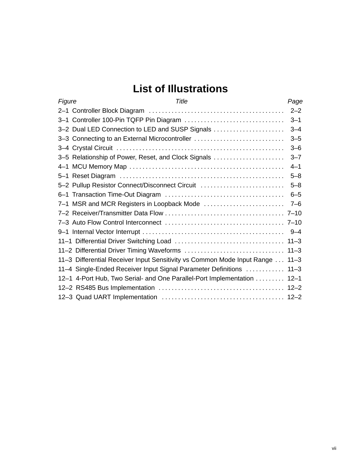# **List of Illustrations**

| Figure | Title                                                                         | Page     |
|--------|-------------------------------------------------------------------------------|----------|
|        |                                                                               | $2 - 2$  |
|        | 3-1 Controller 100-Pin TQFP Pin Diagram                                       | $3 - 1$  |
|        | 3-2 Dual LED Connection to LED and SUSP Signals                               | $3 - 4$  |
|        | 3-3 Connecting to an External Microcontroller                                 | $3 - 5$  |
|        |                                                                               | $3 - 6$  |
|        | 3-5 Relationship of Power, Reset, and Clock Signals                           | $3 - 7$  |
|        |                                                                               | $4 - 1$  |
|        |                                                                               | $5 - 8$  |
|        | 5-2 Pullup Resistor Connect/Disconnect Circuit                                | $5 - 8$  |
|        |                                                                               |          |
|        |                                                                               |          |
|        |                                                                               |          |
|        |                                                                               |          |
|        |                                                                               |          |
|        |                                                                               |          |
|        |                                                                               |          |
|        | 11-3 Differential Receiver Input Sensitivity vs Common Mode Input Range  11-3 |          |
|        | 11-4 Single-Ended Receiver Input Signal Parameter Definitions                 | $11 - 3$ |
|        | 12-1 4-Port Hub, Two Serial- and One Parallel-Port Implementation 12-1        |          |
|        |                                                                               |          |
|        |                                                                               |          |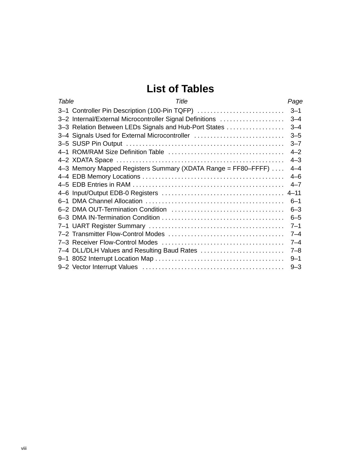# **List of Tables**

| Table | Title                                                         | Page    |
|-------|---------------------------------------------------------------|---------|
|       | 3-1 Controller Pin Description (100-Pin TQFP)                 | $3 - 1$ |
|       | 3-2 Internal/External Microcontroller Signal Definitions      | $3 - 4$ |
|       | 3-3 Relation Between LEDs Signals and Hub-Port States         | $3 - 4$ |
|       | 3-4 Signals Used for External Microcontroller                 | $3 - 5$ |
|       |                                                               | $3 - 7$ |
|       |                                                               | $4 - 2$ |
|       |                                                               | $4 - 3$ |
|       | 4-3 Memory Mapped Registers Summary (XDATA Range = FF80–FFFF) | $4 - 4$ |
|       |                                                               | $4 - 6$ |
|       |                                                               | $4 - 7$ |
|       |                                                               |         |
|       |                                                               | $6 - 1$ |
|       |                                                               | $6 - 3$ |
|       |                                                               | $6 - 5$ |
|       |                                                               | $7 - 1$ |
|       |                                                               | $7 - 4$ |
|       |                                                               | $7 - 4$ |
|       | 7-4 DLL/DLH Values and Resulting Baud Rates                   | $7 - 8$ |
|       |                                                               | $9 - 1$ |
|       |                                                               | $9 - 3$ |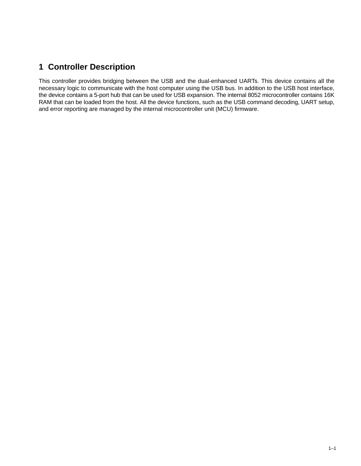## **1 Controller Description**

This controller provides bridging between the USB and the dual-enhanced UARTs. This device contains all the necessary logic to communicate with the host computer using the USB bus. In addition to the USB host interface, the device contains a 5-port hub that can be used for USB expansion. The internal 8052 microcontroller contains 16K RAM that can be loaded from the host. All the device functions, such as the USB command decoding, UART setup, and error reporting are managed by the internal microcontroller unit (MCU) firmware.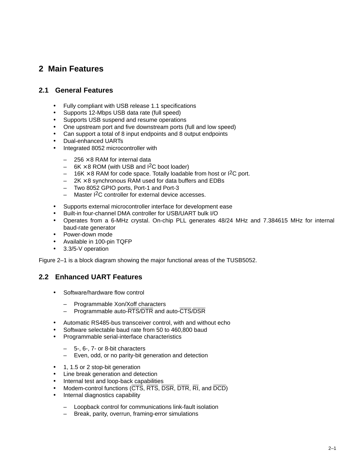## **2 Main Features**

#### **2.1 General Features**

- Fully compliant with USB release 1.1 specifications
- Supports 12-Mbps USB data rate (full speed)
- Supports USB suspend and resume operations
- One upstream port and five downstream ports (full and low speed)
- Can support a total of 8 input endpoints and 8 output endpoints
- Dual-enhanced UARTs
- Integrated 8052 microcontroller with
	- $-$  256  $\times$  8 RAM for internal data
	- $-$  6K  $\times$  8 ROM (with USB and I<sup>2</sup>C boot loader)
	- $-$  16K  $\times$  8 RAM for code space. Totally loadable from host or I<sup>2</sup>C port.
	- $-$  2K  $\times$  8 synchronous RAM used for data buffers and EDBs
	- Two 8052 GPIO ports, Port-1 and Port-3
	- Master I2C controller for external device accesses.
- Supports external microcontroller interface for development ease
- Built-in four-channel DMA controller for USB/UART bulk I/O
- Operates from a 6-MHz crystal. On-chip PLL generates 48/24 MHz and 7.384615 MHz for internal baud-rate generator
- Power-down mode
- Available in 100-pin TQFP
- 3.3/5-V operation

Figure 2–1 is a block diagram showing the major functional areas of the TUSB5052.

#### **2.2 Enhanced UART Features**

- Software/hardware flow control
	- Programmable Xon/Xoff characters
	- Programmable auto-RTS/DTR and auto-CTS/DSR
- Automatic RS485-bus transceiver control, with and without echo
- Software selectable baud rate from 50 to 460,800 baud
- Programmable serial-interface characteristics
	- 5-, 6-, 7- or 8-bit characters
	- Even, odd, or no parity-bit generation and detection
- 1, 1.5 or 2 stop-bit generation
- Line break generation and detection
- Internal test and loop-back capabilities
- Modem-control functions (CTS, RTS, DSR, DTR, RI, and DCD)
- Internal diagnostics capability
	- Loopback control for communications link-fault isolation
	- Break, parity, overrun, framing-error simulations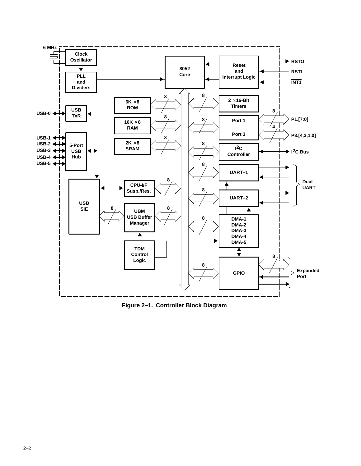

**Figure 2–1. Controller Block Diagram**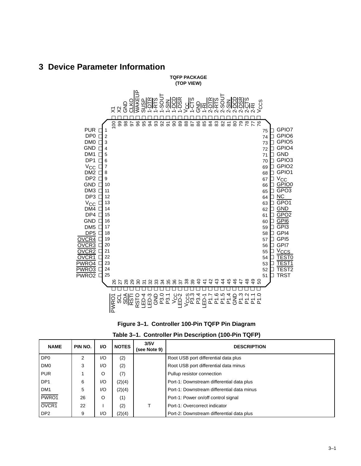#### **3 Device Parameter Information**





| <b>NAME</b>       | PIN NO. | <b>VO</b> | <b>NOTES</b> | 3/5V<br>(see Note 9) | <b>DESCRIPTION</b>                         |
|-------------------|---------|-----------|--------------|----------------------|--------------------------------------------|
| DP <sub>0</sub>   | 2       | I/O       | (2)          |                      | Root USB port differential data plus       |
| DM <sub>0</sub>   | 3       | I/O       | (2)          |                      | Root USB port differential data minus      |
| <b>PUR</b>        |         | O         | (7)          |                      | Pullup resistor connection                 |
| DP <sub>1</sub>   | 6       | I/O       | (2)(4)       |                      | Port-1: Downstream differential data plus  |
| DM <sub>1</sub>   | 5       | I/O       | (2)(4)       |                      | Port-1: Downstream differential data minus |
| PWRO1             | 26      | O         | (1)          |                      | Port-1: Power on/off control signal        |
| OVCR <sub>1</sub> | 22      |           | (2)          |                      | Port-1: Overcorrect indicator              |
| DP <sub>2</sub>   | 9       | I/O       | (2)(4)       |                      | Port-2: Downstream differential data plus  |

|  | Table 3-1. Controller Pin Description (100-Pin TQFP) |  |
|--|------------------------------------------------------|--|
|  |                                                      |  |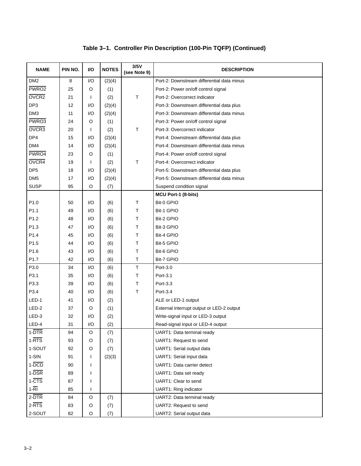|  |  |  | Table 3-1. Controller Pin Description (100-Pin TQFP) (Continued) |  |  |
|--|--|--|------------------------------------------------------------------|--|--|
|--|--|--|------------------------------------------------------------------|--|--|

| <b>NAME</b>          | PIN NO. | I/O | <b>NOTES</b> | 3/5V<br>(see Note 9) | <b>DESCRIPTION</b>                         |  |
|----------------------|---------|-----|--------------|----------------------|--------------------------------------------|--|
| DM <sub>2</sub>      | 8       | I/O | (2)(4)       |                      | Port-2: Downstream differential data minus |  |
| PWRO <sub>2</sub>    | 25      | O   | (1)          |                      | Port-2: Power on/off control signal        |  |
| OVCR <sub>2</sub>    | 21      |     | (2)          | T                    | Port-2: Overcorrect indicator              |  |
| DP3                  | 12      | I/O | (2)(4)       |                      | Port-3: Downstream differential data plus  |  |
| DM3                  | 11      | I/O | (2)(4)       |                      | Port-3: Downstream differential data minus |  |
| PWRO <sub>3</sub>    | 24      | O   | (1)          |                      | Port-3: Power on/off control signal        |  |
| OVCR <sub>3</sub>    | 20      |     | (2)          | Τ                    | Port-3: Overcorrect indicator              |  |
| DP4                  | 15      | I/O | (2)(4)       |                      | Port-4: Downstream differential data plus  |  |
| DM4                  | 14      | I/O | (2)(4)       |                      | Port-4: Downstream differential data minus |  |
| PWRO4                | 23      | O   | (1)          |                      | Port-4: Power on/off control signal        |  |
| OVCR4                | 19      |     | (2)          | Τ                    | Port-4: Overcorrect indicator              |  |
| DP <sub>5</sub>      | 18      | I/O | (2)(4)       |                      | Port-5: Downstream differential data plus  |  |
| DM <sub>5</sub>      | 17      | I/O | (2)(4)       |                      | Port-5: Downstream differential data minus |  |
| <b>SUSP</b>          | 95      | O   | (7)          |                      | Suspend condition signal                   |  |
|                      |         |     |              |                      | MCU Port-1 (8-bits)                        |  |
| P1.0                 | 50      | I/O | (6)          | Т                    | Bit-0 GPIO                                 |  |
| P <sub>1.1</sub>     | 49      | I/O | (6)          | Т                    | Bit-1 GPIO                                 |  |
| P1.2                 | 48      | I/O | (6)          | T                    | Bit-2 GPIO                                 |  |
| P1.3                 | 47      | I/O | (6)          | T                    | Bit-3 GPIO                                 |  |
| P1.4                 | 45      | I/O | (6)          | T                    | Bit-4 GPIO                                 |  |
| P1.5                 | 44      | I/O | (6)          | Т                    | Bit-5 GPIO                                 |  |
| P1.6                 | 43      | I/O | (6)          | Τ                    | Bit-6 GPIO                                 |  |
| P1.7                 | 42      | I/O | (6)          | T                    | Bit-7 GPIO                                 |  |
| P3.0                 | 34      | I/O | (6)          | T                    | Port-3.0                                   |  |
| P3.1                 | 35      | I/O | (6)          | T                    | Port-3.1                                   |  |
| P3.3                 | 39      | I/O | (6)          | Т                    | Port-3.3                                   |  |
| P3.4                 | 40      | I/O | (6)          | T                    | Port-3.4                                   |  |
| LED-1                | 41      | I/O | (2)          |                      | ALE or LED-1 output                        |  |
| LED-2                | 37      | O   | (1)          |                      | External interrupt output or LED-2 output  |  |
| LED-3                | 32      | I/O | (2)          |                      | Write-signal input or LED-3 output         |  |
| LED-4                | 31      | I/O | (2)          |                      | Read-signal input or LED-4 output          |  |
| $1-DTR$              | 94      | O   | (7)          |                      | UART1: Data terminal ready                 |  |
| $1 - RTS$            | 93      | O   | (7)          |                      | UART1: Request to send                     |  |
| 1-SOUT               | 92      | O   | (7)          |                      | UART1: Serial output data                  |  |
| $1-SIN$              | 91      | I   | (2)(3)       |                      | UART1: Serial input data                   |  |
| $1-\overline{DCD}$   | 90      |     |              |                      | UART1: Data carrier detect                 |  |
| $1-\overline{DSR}$   | 89      |     |              |                      | UART1: Data set ready                      |  |
| $1-\overline{CTS}$   | 87      |     |              |                      | UART1: Clear to send                       |  |
| $1 - \overline{RI}$  | 85      |     |              |                      | <b>UART1: Ring indicator</b>               |  |
| $2-DTR$              | 84      | O   | (7)          |                      | UART2: Data terminal ready                 |  |
| $2 - \overline{RTS}$ | 83      | O   | (7)          |                      | UART2: Request to send                     |  |
| 2-SOUT               | 82      | O   | (7)          |                      | UART2: Serial output data                  |  |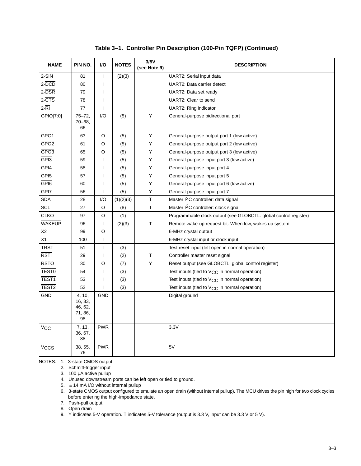| <b>NAME</b>         | PIN NO.                                       | VO.                      | <b>NOTES</b> | 3/5V<br>(see Note 9) | <b>DESCRIPTION</b>                                               |
|---------------------|-----------------------------------------------|--------------------------|--------------|----------------------|------------------------------------------------------------------|
| 2-SIN               | 81                                            | $\mathbf{I}$             | (2)(3)       |                      | UART2: Serial input data                                         |
| 2-DCD               | 80                                            | I                        |              |                      | UART2: Data carrier detect                                       |
| $2-DSR$             | 79                                            | I                        |              |                      | UART2: Data set ready                                            |
| $2-CTS$             | 78                                            | ı                        |              |                      | UART2: Clear to send                                             |
| $2 - \overline{RI}$ | 77                                            | ı                        |              |                      | UART2: Ring indicator                                            |
| GPIO[7:0]           | $75 - 72$<br>$70 - 68$<br>66                  | I/O                      | (5)          | Y                    | General-purpose bidirectional port                               |
| GPO <sub>1</sub>    | 63                                            | O                        | (5)          | Y                    | General-purpose output port 1 (low active)                       |
| GPO <sub>2</sub>    | 61                                            | O                        | (5)          | Y                    | General-purpose output port 2 (low active)                       |
| GPO <sub>3</sub>    | 65                                            | O                        | (5)          | Y                    | General-purpose output port 3 (low active)                       |
| GPI3                | 59                                            | $\overline{\phantom{a}}$ | (5)          | Υ                    | General-purpose input port 3 (low active)                        |
| GPI4                | 58                                            | I                        | (5)          | Y                    | General-purpose input port 4                                     |
| GPI <sub>5</sub>    | 57                                            | $\overline{\phantom{a}}$ | (5)          | Υ                    | General-purpose input port 5                                     |
| GPI <sub>6</sub>    | 60                                            | $\mathbf{I}$             | (5)          | Υ                    | General-purpose input port 6 (low active)                        |
| GPI7                | 56                                            | T                        | (5)          | Υ                    | General-purpose input port 7                                     |
| <b>SDA</b>          | 28                                            | I/O                      | (1)(2)(3)    | $\mathsf{T}$         | Master I <sup>2</sup> C controller: data signal                  |
| SCL                 | 27                                            | O                        | (8)          | T                    | Master I <sup>2</sup> C controller: clock signal                 |
| <b>CLKO</b>         | 97                                            | O                        | (1)          |                      | Programmable clock output (see GLOBCTL: global control register) |
| <b>WAKEUP</b>       | 96                                            | T                        | (2)(3)       | T                    | Remote wake-up request bit. When low, wakes up system            |
| X <sub>2</sub>      | 99                                            | O                        |              |                      | 6-MHz crystal output                                             |
| X1                  | 100                                           | $\mathbf{I}$             |              |                      | 6-MHz crystal input or clock input                               |
| <b>TRST</b>         | 51                                            | $\mathbf{I}$             | (3)          |                      | Test reset input (left open in normal operation)                 |
| <b>RSTI</b>         | 29                                            | ı                        | (2)          | T                    | Controller master reset signal                                   |
| <b>RSTO</b>         | 30                                            | O                        | (7)          | Y                    | Reset output (see GLOBCTL: global control register)              |
| <b>TEST0</b>        | 54                                            | $\mathbf{I}$             | (3)          |                      | Test inputs (tied to V <sub>CC</sub> in normal operation)        |
| TEST <sub>1</sub>   | 53                                            | ı                        | (3)          |                      | Test inputs (tied to V <sub>CC</sub> in normal operation)        |
| TEST <sub>2</sub>   | 52                                            |                          | (3)          |                      | Test inputs (tied to V <sub>CC</sub> in normal operation)        |
| <b>GND</b>          | 4, 10,<br>16, 33,<br>46, 62,<br>71, 86,<br>98 | <b>GND</b>               |              |                      | Digital ground                                                   |
| $V_{\text{CC}}$     | 7, 13,<br>36, 67,<br>88                       | <b>PWR</b>               |              |                      | 3.3V                                                             |
| Vccs                | 38, 55,<br>76                                 | <b>PWR</b>               |              |                      | 5V                                                               |

#### **Table 3–1. Controller Pin Description (100-Pin TQFP) (Continued)**

NOTES: 1. 3-state CMOS output

2. Schmitt-trigger input

3. 100 µA active pullup

4. Unused downstream ports can be left open or tied to ground.

5.  $\pm$  14 mA I/O without internal pullup

6. 3-state CMOS output configured to emulate an open drain (without internal pullup). The MCU drives the pin high for two clock cycles before entering the high-impedance state.

7. Push-pull output

8. Open drain

9. Y indicates 5-V operation. T indicates 5-V tolerance (output is 3.3 V, input can be 3.3 V or 5 V).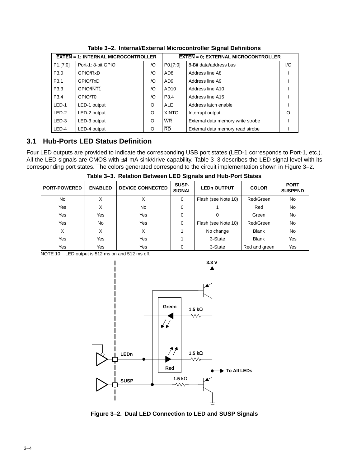|                  | <b>EXTEN = 1; INTERNAL MICROCONTROLLER</b> |          | <b>EXTEN = 0; EXTERNAL MICROCONTROLLER</b> |                                   |     |  |
|------------------|--------------------------------------------|----------|--------------------------------------------|-----------------------------------|-----|--|
| P1.[7:0]         | Port-1: 8-bit GPIO                         | I/O      | P0.[7:0]                                   | 8-Bit data/address bus            | I/O |  |
| P3.0             | GPIO/RxD                                   | I/O      | AD <sub>8</sub>                            | Address line A8                   |     |  |
| P <sub>3.1</sub> | GPIO/TxD                                   | I/O      | AD9                                        | Address line A9                   |     |  |
| P3.3             | GPIO/INT1                                  | 1/O      | AD10                                       | Address line A10                  |     |  |
| P3.4             | GPIO/T0                                    | I/O      | P <sub>3.4</sub>                           | Address line A15                  |     |  |
| $LED-1$          | LED-1 output                               | O        | <b>ALE</b>                                 | Address latch enable              |     |  |
| $LED-2$          | LED-2 output                               | $\Omega$ | <b>XINTO</b>                               | Interrupt output                  | ∩   |  |
| LED-3            | LED-3 output                               | $\Omega$ | WR <sup>1</sup>                            | External data memory write strobe |     |  |
| LED-4            | LED-4 output                               | ∩        | $\overline{RD}$                            | External data memory read strobe  |     |  |

**Table 3–2. Internal/External Microcontroller Signal Definitions**

#### **3.1 Hub-Ports LED Status Definition**

Four LED outputs are provided to indicate the corresponding USB port states (LED-1 corresponds to Port-1, etc.). All the LED signals are CMOS with ±4-mA sink/drive capability. Table 3-3 describes the LED signal level with its corresponding port states. The colors generated correspond to the circuit implementation shown in Figure 3–2.

| <b>PORT-POWERED</b> | <b>ENABLED</b> | <b>DEVICE CONNECTED</b> | SUSP-<br><b>SIGNAL</b> | <b>LEDn OUTPUT</b>  | <b>COLOR</b>  | <b>PORT</b><br><b>SUSPEND</b> |
|---------------------|----------------|-------------------------|------------------------|---------------------|---------------|-------------------------------|
| <b>No</b>           | X              | X                       | 0                      | Flash (see Note 10) | Red/Green     | No                            |
| Yes                 | X              | No                      | 0                      |                     | Red           | No                            |
| Yes                 | Yes            | Yes                     | 0                      | ი                   | Green         | No                            |
| Yes                 | No.            | Yes                     | $\Omega$               | Flash (see Note 10) | Red/Green     | No                            |
| X                   | X              | X                       |                        | No change           | <b>Blank</b>  | No                            |
| Yes                 | Yes            | Yes                     |                        | 3-State             | <b>Blank</b>  | Yes                           |
| Yes                 | Yes            | Yes                     | 0                      | 3-State             | Red and green | Yes                           |

**Table 3–3. Relation Between LED Signals and Hub-Port States**

NOTE 10: LED output is 512 ms on and 512 ms off.



**Figure 3–2. Dual LED Connection to LED and SUSP Signals**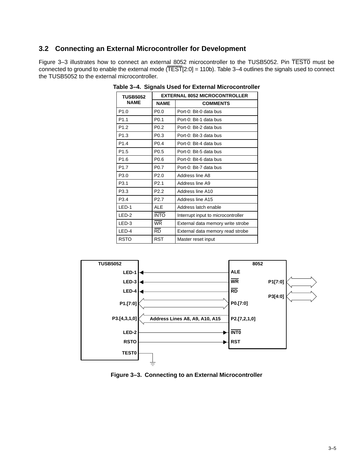#### **3.2 Connecting an External Microcontroller for Development**

Figure 3–3 illustrates how to connect an external 8052 microcontroller to the TUSB5052. Pin TEST0 must be connected to ground to enable the external mode  $(TEST[2:0] = 110b)$ . Table 3-4 outlines the signals used to connect the TUSB5052 to the external microcontroller.

| <b>TUSB5052</b>  | <b>EXTERNAL 8052 MICROCONTROLLER</b> |                                    |  |  |
|------------------|--------------------------------------|------------------------------------|--|--|
| <b>NAME</b>      | <b>NAME</b>                          | <b>COMMENTS</b>                    |  |  |
| P <sub>1.0</sub> | P <sub>0.0</sub>                     | Port-0: Bit-0 data bus             |  |  |
| P <sub>1.1</sub> | P <sub>0.1</sub>                     | Port-0: Bit-1 data bus             |  |  |
| P <sub>1.2</sub> | P <sub>0.2</sub>                     | Port-0: Bit-2 data bus             |  |  |
| P <sub>1.3</sub> | P <sub>0.3</sub>                     | Port-0: Bit-3 data bus             |  |  |
| P <sub>1.4</sub> | P <sub>0.4</sub>                     | Port-0: Bit-4 data bus             |  |  |
| P <sub>1.5</sub> | P <sub>0.5</sub>                     | Port-0: Bit-5 data bus             |  |  |
| P <sub>1.6</sub> | P <sub>0.6</sub>                     | Port-0: Bit-6 data bus             |  |  |
| P <sub>1.7</sub> | P <sub>0.7</sub>                     | Port-0: Bit-7 data bus             |  |  |
| P <sub>3.0</sub> | P <sub>2.0</sub>                     | Address line A8                    |  |  |
| P3.1             | P <sub>2.1</sub>                     | Address line A9                    |  |  |
| P3.3             | P <sub>2.2</sub>                     | Address line A10                   |  |  |
| P3.4             | P <sub>2.7</sub>                     | Address line A15                   |  |  |
| LED-1            | <b>ALE</b>                           | Address latch enable               |  |  |
| LED-2            | <b>INTO</b>                          | Interrupt input to microcontroller |  |  |
| LED-3            | <b>WR</b>                            | External data memory write strobe  |  |  |
| LED-4            | <b>RD</b>                            | External data memory read strobe   |  |  |
| <b>RSTO</b>      | <b>RST</b>                           | Master reset input                 |  |  |

**Table 3–4. Signals Used for External Microcontroller**



**Figure 3–3. Connecting to an External Microcontroller**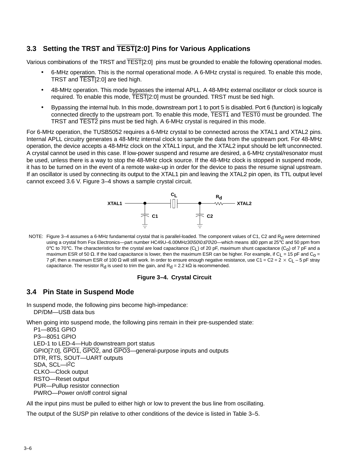#### **3.3 Setting the TRST and TEST[2:0] Pins for Various Applications**

Various combinations of the TRST and TEST[2:0] pins must be grounded to enable the following operational modes.

- 6-MHz operation. This is the normal operational mode. A 6-MHz crystal is required. To enable this mode, TRST and TEST[2:0] are tied high.
- 48-MHz operation. This mode bypasses the internal APLL. A 48-MHz external oscillator or clock source is required. To enable this mode, TEST[2:0] must be grounded. TRST must be tied high.
- Bypassing the internal hub. In this mode, downstream port 1 to port 5 is disabled. Port 6 (function) is logically connected directly to the upstream port. To enable this mode,  $\overline{\text{TEST1}}$  and  $\overline{\text{TEST0}}$  must be grounded. The TRST and TEST2 pins must be tied high. A 6-MHz crystal is required in this mode.

For 6-MHz operation, the TUSB5052 requires a 6-MHz crystal to be connected across the XTAL1 and XTAL2 pins. Internal APLL circuitry generates a 48-MHz internal clock to sample the data from the upstream port. For 48-MHz operation, the device accepts a 48-MHz clock on the XTAL1 input, and the XTAL2 input should be left unconnected. A crystal cannot be used in this case. If low-power suspend and resume are desired, a 6-MHz crystal/resonator must be used, unless there is a way to stop the 48-MHz clock source. If the 48-MHz clock is stopped in suspend mode, it has to be turned on in the event of a remote wake-up in order for the device to pass the resume signal upstream. If an oscillator is used by connecting its output to the XTAL1 pin and leaving the XTAL2 pin open, its TTL output level cannot exceed 3.6 V. Figure 3–4 shows a sample crystal circuit.



NOTE: Figure 3-4 assumes a 6-MHz fundamental crystal that is parallel-loaded. The component values of C1, C2 and R $_d$  were determined using a crystal from Fox Electronics—part number HC49U–6.00MHz30\50\0±70\20—which means ±30 ppm at 25°C and 50 ppm from 0°C to 70°C. The characteristics for the crystal are load capacitance (C<sub>1</sub>) of 20 pF, maximum shunt capacitance (C<sub>0</sub>) of 7 pF and a maximum ESR of 50 Ω. If the load capacitance is lower, then the maximum ESR can be higher. For example, if C<sub>L</sub> = 15 pF and C<sub>O</sub> = 7 pF, then a maximum ESR of 100 Ω will still work. In order to ensure enough negative resistance, use C1 = C2 = 2  $\times$  C<sub>L</sub> – 5 pF stray capacitance. The resistor R<sub>d</sub> is used to trim the gain, and R<sub>d</sub> = 2.2 kΩ is recommended.

#### **Figure 3–4. Crystal Circuit**

#### **3.4 Pin State in Suspend Mode**

In suspend mode, the following pins become high-impedance: DP/DM—USB data bus

When going into suspend mode, the following pins remain in their pre-suspended state:

P1—8051 GPIO P3—8051 GPIO LED-1 to LED-4—Hub downstream port status GPIO[7:0], GPO1, GPO2, and GPO3—general-purpose inputs and outputs DTR, RTS, SOUT—UART outputs SDA, SCL—I2C CLKO—Clock output RSTO—Reset output PUR—Pullup resistor connection PWRO—Power on/off control signal

All the input pins must be pulled to either high or low to prevent the bus line from oscillating.

The output of the SUSP pin relative to other conditions of the device is listed in Table 3–5.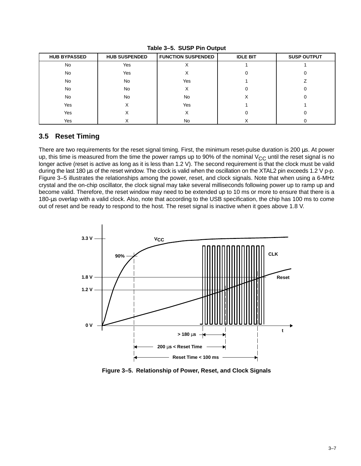| <b>HUB BYPASSED</b> | <b>HUB SUSPENDED</b> | <b>FUNCTION SUSPENDED</b> | <b>IDLE BIT</b> | <b>SUSP OUTPUT</b> |
|---------------------|----------------------|---------------------------|-----------------|--------------------|
| No                  | Yes                  | ⌒                         |                 |                    |
| No                  | Yes                  | х                         | 0               |                    |
| <b>No</b>           | <b>No</b>            | Yes                       |                 |                    |
| <b>No</b>           | <b>No</b>            | X                         | 0               |                    |
| <b>No</b>           | <b>No</b>            | <b>No</b>                 | ⋏               |                    |
| Yes                 | х                    | Yes                       |                 |                    |
| Yes                 | ⋏                    | ⋏                         | 0               |                    |
| Yes                 |                      | No                        |                 |                    |

**Table 3–5. SUSP Pin Output**

#### **3.5 Reset Timing**

There are two requirements for the reset signal timing. First, the minimum reset-pulse duration is 200 µs. At power up, this time is measured from the time the power ramps up to 90% of the nominal  $V_{CC}$  until the reset signal is no longer active (reset is active as long as it is less than 1.2 V). The second requirement is that the clock must be valid during the last 180 us of the reset window. The clock is valid when the oscillation on the XTAL2 pin exceeds 1.2 V p-p. Figure 3–5 illustrates the relationships among the power, reset, and clock signals. Note that when using a 6-MHz crystal and the on-chip oscillator, the clock signal may take several milliseconds following power up to ramp up and become valid. Therefore, the reset window may need to be extended up to 10 ms or more to ensure that there is a 180-µs overlap with a valid clock. Also, note that according to the USB specification, the chip has 100 ms to come out of reset and be ready to respond to the host. The reset signal is inactive when it goes above 1.8 V.



**Figure 3–5. Relationship of Power, Reset, and Clock Signals**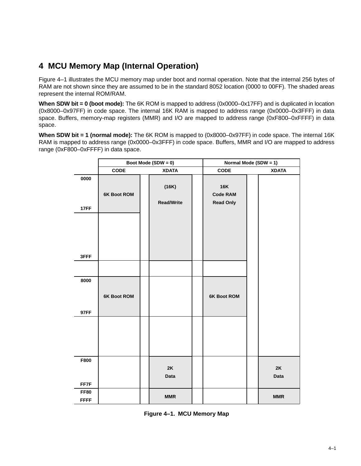## **4 MCU Memory Map (Internal Operation)**

Figure 4–1 illustrates the MCU memory map under boot and normal operation. Note that the internal 256 bytes of RAM are not shown since they are assumed to be in the standard 8052 location (0000 to 00FF). The shaded areas represent the internal ROM/RAM.

**When SDW bit = 0 (boot mode):** The 6K ROM is mapped to address (0x0000–0x17FF) and is duplicated in location (0x8000–0x97FF) in code space. The internal 16K RAM is mapped to address range (0x0000–0x3FFF) in data space. Buffers, memory-map registers (MMR) and I/O are mapped to address range (0xF800–0xFFFF) in data space.

**When SDW bit = 1 (normal mode):** The 6K ROM is mapped to (0x8000–0x97FF) in code space. The internal 16K RAM is mapped to address range (0x0000–0x3FFF) in code space. Buffers, MMR and I/O are mapped to address range (0xF800–0xFFFF) in data space.

|                            | Boot Mode (SDW = 0) |  |                            | Normal Mode (SDW = 1) |                                                   |  |              |
|----------------------------|---------------------|--|----------------------------|-----------------------|---------------------------------------------------|--|--------------|
|                            | CODE                |  | <b>XDATA</b>               |                       | <b>CODE</b>                                       |  | <b>XDATA</b> |
| 0000<br>17FF               | <b>6K Boot ROM</b>  |  | (16K)<br><b>Read/Write</b> |                       | <b>16K</b><br><b>Code RAM</b><br><b>Read Only</b> |  |              |
|                            |                     |  |                            |                       |                                                   |  |              |
| 3FFF                       |                     |  |                            |                       |                                                   |  |              |
|                            |                     |  |                            |                       |                                                   |  |              |
| 8000                       | <b>6K Boot ROM</b>  |  |                            |                       | <b>6K Boot ROM</b>                                |  |              |
| 97FF                       |                     |  |                            |                       |                                                   |  |              |
| F800<br>FF7F               |                     |  | 2K<br>Data                 |                       |                                                   |  | 2K<br>Data   |
| <b>FF80</b><br><b>FFFF</b> |                     |  | <b>MMR</b>                 |                       |                                                   |  | <b>MMR</b>   |

**Figure 4–1. MCU Memory Map**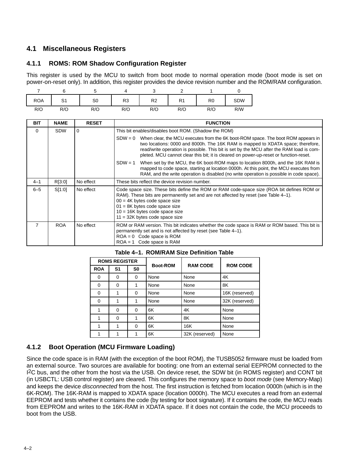#### **4.1 Miscellaneous Registers**

#### **4.1.1 ROMS: ROM Shadow Configuration Register**

This register is used by the MCU to switch from boot mode to normal operation mode (boot mode is set on power-on-reset only). In addition, this register provides the device revision number and the ROM/RAM configuration.

| <b>ROA</b> | S1  | $^{\rm SO}$ | R <sub>3</sub> | R <sub>2</sub> | R <sub>1</sub> | R <sub>0</sub> | <b>SDW</b> |
|------------|-----|-------------|----------------|----------------|----------------|----------------|------------|
| R/O        | R/O | R/O         | R/O            | R/C            | R/O            | R/C            | R/W        |

| <b>BIT</b> | <b>NAME</b> | <b>RESET</b> | <b>FUNCTION</b>                                                                                                                                                                                                                                                                                                                                                      |
|------------|-------------|--------------|----------------------------------------------------------------------------------------------------------------------------------------------------------------------------------------------------------------------------------------------------------------------------------------------------------------------------------------------------------------------|
| 0          | <b>SDW</b>  | $\Omega$     | This bit enables/disables boot ROM. (Shadow the ROM)                                                                                                                                                                                                                                                                                                                 |
|            |             |              | When clear, the MCU executes from the 6K boot-ROM space. The boot ROM appears in<br>$SDW = 0$<br>two locations: 0000 and 8000h. The 16K RAM is mapped to XDATA space; therefore,<br>read/write operation is possible. This bit is set by the MCU after the RAM load is com-<br>pleted. MCU cannot clear this bit; it is cleared on power-up-reset or function-reset. |
|            |             |              | $SDW = 1$<br>When set by the MCU, the 6K boot-ROM maps to location 8000h, and the 16K RAM is<br>mapped to code space, starting at location 0000h. At this point, the MCU executes from<br>RAM, and the write operation is disabled (no write operation is possible in code space).                                                                                   |
| $4 - 1$    | R[3:0]      | No effect    | These bits reflect the device revision number.                                                                                                                                                                                                                                                                                                                       |
| $6 - 5$    | SI1:01      | No effect    | Code space size. These bits define the ROM or RAM code-space size (ROA bit defines ROM or<br>RAM). These bits are permanently set and are not affected by reset (see Table 4–1).<br>$00 = 4K$ bytes code space size<br>$01 = 8K$ bytes code space size<br>$10 = 16K$ bytes code space size<br>$11 = 32K$ bytes code space size                                       |
| 7          | <b>ROA</b>  | No effect    | ROM or RAM version. This bit indicates whether the code space is RAM or ROM based. This bit is<br>permanently set and is not affected by reset (see Table 4–1).<br>$ROA = 0$ Code space is ROM<br>$ROA = 1$ Code space is RAM                                                                                                                                        |

|            | <b>ROMS REGISTER</b> |                | <b>Boot-ROM</b> |                 | <b>ROM CODE</b> |
|------------|----------------------|----------------|-----------------|-----------------|-----------------|
| <b>ROA</b> | S <sub>1</sub>       | S <sub>0</sub> |                 | <b>RAM CODE</b> |                 |
| 0          | 0                    | 0              | None            | None            | 4K              |
| $\Omega$   | 0                    | 1              | None            | None            | 8K              |
| $\Omega$   |                      | 0              | None            | None            | 16K (reserved)  |
| $\Omega$   |                      | 1              | None            | None            | 32K (reserved)  |
|            | 0                    | $\Omega$       | 6K              | 4K              | None            |
|            | 0                    | 1              | 6K              | 8K              | None            |
|            |                      | $\Omega$       | 6K              | 16K             | None            |
|            |                      |                | 6K              | 32K (reserved)  | None            |

#### **Table 4–1. ROM/RAM Size Definition Table**

#### **4.1.2 Boot Operation (MCU Firmware Loading)**

Since the code space is in RAM (with the exception of the boot ROM), the TUSB5052 firmware must be loaded from an external source. Two sources are available for booting: one from an external serial EEPROM connected to the I2C bus, and the other from the host via the USB. On device reset, the SDW bit (in ROMS register) and CONT bit (in USBCTL: USB control register) are cleared. This configures the memory space to boot mode (see Memory-Map) and keeps the device disconnected from the host. The first instruction is fetched from location 0000h (which is in the 6K-ROM). The 16K-RAM is mapped to XDATA space (location 0000h). The MCU executes a read from an external EEPROM and tests whether it contains the code (by testing for boot signature). If it contains the code, the MCU reads from EEPROM and writes to the 16K-RAM in XDATA space. If it does not contain the code, the MCU proceeds to boot from the USB.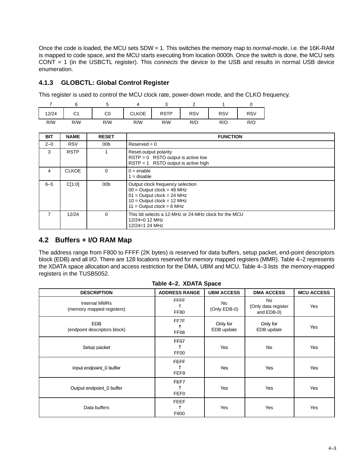Once the code is loaded, the MCU sets SDW = 1. This switches the memory map to normal-mode, i.e. the 16K-RAM is mapped to code space, and the MCU starts executing from location 0000h. Once the switch is done, the MCU sets CONT = 1 (in the USBCTL register). This connects the device to the USB and results in normal USB device enumeration.

#### **4.1.3 GLOBCTL: Global Control Register**

This register is used to control the MCU clock rate, power-down mode, and the CLKO frequency.



| <b>BIT</b> | <b>NAME</b>  | <b>RESET</b>    | <b>FUNCTION</b>                                                                                                                                                 |  |
|------------|--------------|-----------------|-----------------------------------------------------------------------------------------------------------------------------------------------------------------|--|
| $2 - 0$    | <b>RSV</b>   | 00b             | $Reserved = 0$                                                                                                                                                  |  |
| 3          | <b>RSTP</b>  |                 | Reset-output polarity<br>$RSTP = 0$ RSTO output is active low<br>$RSTP = 1$ RSTO output is active high                                                          |  |
| 4          | <b>CLKOE</b> | 0               | $0 =$ enable<br>$=$ disable                                                                                                                                     |  |
| $6 - 5$    | C[1:0]       | 00 <sub>b</sub> | Output clock frequency selection<br>$00 =$ Output clock = 48 MHz<br>$01 =$ Output clock = 24 MHz<br>$10 =$ Output clock = 12 MHz<br>$11 =$ Output clock = 6 MHz |  |
|            | 12/24        | 0               | This bit selects a 12-MHz or 24-MHz clock for the MCU<br>$12/24=0$ 12 MHz<br>$12/24=1$ 24 MHz                                                                   |  |

#### **4.2 Buffers + I/O RAM Map**

The address range from F800 to FFFF (2K bytes) is reserved for data buffers, setup packet, end-point descriptors block (EDB) and all I/O. There are 128 locations reserved for memory mapped registers (MMR). Table 4–2 represents the XDATA space allocation and access restriction for the DMA, UBM and MCU. Table 4–3 lists the memory-mapped registers in the TUSB5052.

| <b>DESCRIPTION</b>                                | <b>ADDRESS RANGE</b>       | <b>UBM ACCESS</b>      | <b>DMA ACCESS</b>                       | <b>MCU ACCESS</b> |
|---------------------------------------------------|----------------------------|------------------------|-----------------------------------------|-------------------|
| <b>Internal MMRs</b><br>(memory mapped registers) | <b>FFFF</b><br><b>FF80</b> | No<br>(Only EDB-0)     | No<br>(Only data register<br>and EDB-0) | Yes               |
| <b>EDB</b><br>(endpoint descriptors block)        | FF7F<br>FF <sub>08</sub>   | Only for<br>EDB update | Only for<br>EDB update                  | <b>Yes</b>        |
| Setup packet                                      | FF07<br>FF00               | <b>Yes</b>             | No                                      | Yes               |
| Input endpoint 0 buffer                           | <b>FEFF</b><br>FEF8        | <b>Yes</b>             | Yes                                     | Yes               |
| Output endpoint 0 buffer                          | FEF7<br>FEF0               | Yes                    | Yes                                     | Yes               |
| Data buffers                                      | <b>FEEF</b><br>F800        | Yes                    | Yes                                     | Yes               |

**Table 4–2. XDATA Space**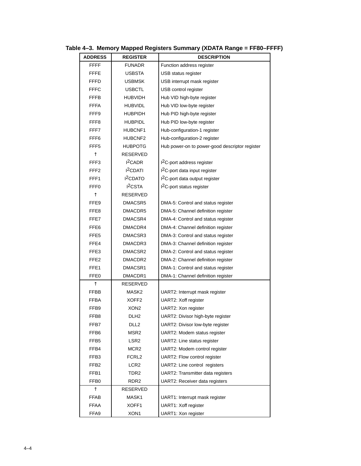| <b>ADDRESS</b>   | <b>REGISTER</b>           | <b>DESCRIPTION</b>                             |
|------------------|---------------------------|------------------------------------------------|
| <b>FFFF</b>      | FUNADR                    | Function address register                      |
| <b>FFFE</b>      | <b>USBSTA</b>             | USB status register                            |
| <b>FFFD</b>      | <b>USBMSK</b>             | USB interrupt mask register                    |
| <b>FFFC</b>      | <b>USBCTL</b>             | USB control register                           |
| <b>FFFB</b>      | <b>HUBVIDH</b>            | Hub VID high-byte register                     |
| <b>FFFA</b>      | <b>HUBVIDL</b>            | Hub VID low-byte register                      |
| FFF9             | <b>HUBPIDH</b>            | Hub PID high-byte register                     |
| FFF8             | <b>HUBPIDL</b>            | Hub PID low-byte register                      |
| FFF7             | HUBCNF1                   | Hub-configuration-1 register                   |
| FFF6             | HUBCNF2                   | Hub-configuration-2 register                   |
| FFF <sub>5</sub> | <b>HUBPOTG</b>            | Hub power-on to power-good descriptor register |
| $\uparrow$       | RESERVED                  |                                                |
| FFF3             | <b>I<sup>2</sup>CADR</b>  | I <sup>2</sup> C-port address register         |
| FFF <sub>2</sub> | <b>I<sup>2</sup>CDATI</b> | I <sup>2</sup> C-port data input register      |
| FFF1             | <b>I<sup>2</sup>CDATO</b> | I <sup>2</sup> C-port data output register     |
| FFF0             | <b>I<sup>2</sup>CSTA</b>  | I <sup>2</sup> C-port status register          |
| $\uparrow$       | RESERVED                  |                                                |
| FFE9             | DMACSR5                   | DMA-5: Control and status register             |
| FFE8             | DMACDR5                   | DMA-5: Channel definition register             |
| FFE7             | DMACSR4                   | DMA-4: Control and status register             |
| FFE6             | DMACDR4                   | DMA-4: Channel definition register             |
| FFE <sub>5</sub> | DMACSR3                   | DMA-3: Control and status register             |
| FFE4             | DMACDR3                   | DMA-3: Channel definition register             |
| FFE3             | DMACSR2                   | DMA-2: Control and status register             |
| FFE <sub>2</sub> | DMACDR2                   | DMA-2: Channel definition register             |
| FFE1             | DMACSR1                   | DMA-1: Control and status register             |
| FFE0             | DMACDR1                   | DMA-1: Channel definition register             |
| ↑                | <b>RESERVED</b>           |                                                |
| <b>FFBB</b>      | MASK2                     | UART2: Interrupt mask register                 |
| <b>FFBA</b>      | XOFF <sub>2</sub>         | UART2: Xoff register                           |
| FFB9             | XON <sub>2</sub>          | UART2: Xon register                            |
| FFB8             | DLH <sub>2</sub>          | UART2: Divisor high-byte register              |
| FFB7             | DLL2                      | UART2: Divisor low-byte register               |
| FFB <sub>6</sub> | MSR <sub>2</sub>          | UART2: Modem status register                   |
| FFB5             | LSR <sub>2</sub>          | UART2: Line status register                    |
| FFB4             | MCR2                      | UART2: Modem control register                  |
| FFB <sub>3</sub> | FCRL <sub>2</sub>         | UART2: Flow control register                   |
| FFB <sub>2</sub> | LCR <sub>2</sub>          | UART2: Line control registers                  |
| FFB1             | TDR2                      | UART2: Transmitter data registers              |
| FFB0             | RDR2                      | UART2: Receiver data registers                 |
| $\uparrow$       | RESERVED                  |                                                |
| <b>FFAB</b>      | MASK1                     | UART1: Interrupt mask register                 |
| <b>FFAA</b>      | XOFF1                     | UART1: Xoff register                           |
| FFA9             | XON1                      | UART1: Xon register                            |

#### **Table 4–3. Memory Mapped Registers Summary (XDATA Range = FF80–FFFF)**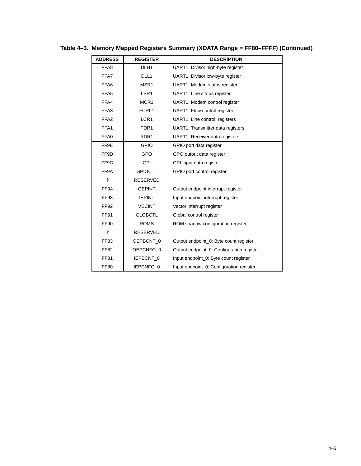| <b>ADDRESS</b>    | <b>REGISTER</b>  | <b>DESCRIPTION</b>                        |
|-------------------|------------------|-------------------------------------------|
| FFA8              | DLH <sub>1</sub> | UART1: Divisor high-byte register         |
| FFA7              | DLL1             | UART1: Divisor low-byte register          |
| FFA <sub>6</sub>  | MSR <sub>1</sub> | UART1: Modem status register              |
| FFA <sub>5</sub>  | LSR <sub>1</sub> | UART1: Line status register               |
| FFA4              | MCR <sub>1</sub> | UART1: Modem control register             |
| FFA <sub>3</sub>  | FCRL1            | UART1: Flow control register              |
| FFA <sub>2</sub>  | LCR <sub>1</sub> | UART1: Line control registers             |
| FFA1              | TDR <sub>1</sub> | UART1: Transmitter data registers         |
| FFA0              | RDR <sub>1</sub> | UART1: Receiver data registers            |
| FF9E              | <b>GPIO</b>      | GPIO port data register                   |
| FF9D              | <b>GPO</b>       | GPO output data register                  |
| FF <sub>9</sub> C | <b>GPI</b>       | GPI input data register                   |
| FF9A              | <b>GPIOCTL</b>   | GPIO port control register                |
| $\uparrow$        | <b>RESERVED</b>  |                                           |
| FF94              | <b>OEPINT</b>    | Output endpoint interrupt register        |
| <b>FF93</b>       | <b>IEPINT</b>    | Input endpoint interrupt register         |
| <b>FF92</b>       | <b>VECINT</b>    | Vector interrupt register                 |
| <b>FF91</b>       | <b>GLOBCTL</b>   | Global control register                   |
| <b>FF90</b>       | <b>ROMS</b>      | ROM shadow configuration register         |
| $\uparrow$        | <b>RESERVED</b>  |                                           |
| <b>FF83</b>       | OEPBCNT 0        | Output endpoint_0: Byte count register    |
| <b>FF82</b>       | OEPCNFG_0        | Output endpoint_0: Configuration register |
| <b>FF81</b>       | IEPBCNT 0        | Input endpoint_0: Byte count register     |
| <b>FF80</b>       | IEPCNFG 0        | Input endpoint_0: Configuration register  |

**Table 4–3. Memory Mapped Registers Summary (XDATA Range = FF80–FFFF) (Continued)**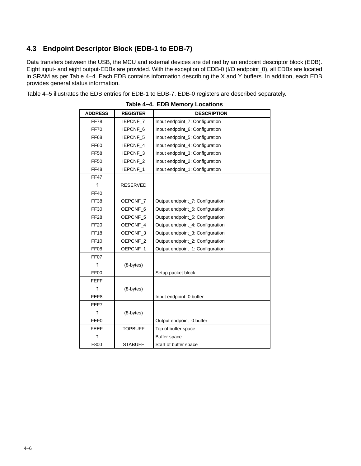#### **4.3 Endpoint Descriptor Block (EDB-1 to EDB-7)**

Data transfers between the USB, the MCU and external devices are defined by an endpoint descriptor block (EDB). Eight input- and eight output-EDBs are provided. With the exception of EDB-0 (I/O endpoint\_0), all EDBs are located in SRAM as per Table 4–4. Each EDB contains information describing the X and Y buffers. In addition, each EDB provides general status information.

Table 4–5 illustrates the EDB entries for EDB-1 to EDB-7. EDB-0 registers are described separately.

| <b>ADDRESS</b>   | <b>REGISTER</b>     | <b>DESCRIPTION</b>               |
|------------------|---------------------|----------------------------------|
| <b>FF78</b>      | <b>IEPCNF 7</b>     | Input endpoint_7: Configuration  |
| <b>FF70</b>      | IEPCNF 6            | Input endpoint_6: Configuration  |
| <b>FF68</b>      | IEPCNF <sub>5</sub> | Input endpoint_5: Configuration  |
| <b>FF60</b>      | IEPCNF 4            | Input endpoint 4: Configuration  |
| <b>FF58</b>      | IEPCNF_3            | Input endpoint_3: Configuration  |
| <b>FF50</b>      | IEPCNF_2            | Input endpoint_2: Configuration  |
| <b>FF48</b>      | IEPCNF_1            | Input endpoint_1: Configuration  |
| <b>FF47</b>      |                     |                                  |
| $\uparrow$       | <b>RESERVED</b>     |                                  |
| <b>FF40</b>      |                     |                                  |
| <b>FF38</b>      | OEPCNF 7            | Output endpoint_7: Configuration |
| <b>FF30</b>      | OEPCNF_6            | Output endpoint_6: Configuration |
| <b>FF28</b>      | OEPCNF_5            | Output endpoint_5: Configuration |
| <b>FF20</b>      | OEPCNF_4            | Output endpoint_4: Configuration |
| <b>FF18</b>      | OEPCNF_3            | Output endpoint_3: Configuration |
| <b>FF10</b>      | OEPCNF <sub>2</sub> | Output endpoint_2: Configuration |
| FF <sub>08</sub> | OEPCNF_1            | Output endpoint_1: Configuration |
| FF07             |                     |                                  |
| $\uparrow$       | (8-bytes)           |                                  |
| FF <sub>00</sub> |                     | Setup packet block               |
| <b>FEFF</b>      |                     |                                  |
| $\uparrow$       | (8-bytes)           |                                  |
| FEF <sub>8</sub> |                     | Input endpoint_0 buffer          |
| FEF7             |                     |                                  |
| $\uparrow$       | $(8 - bytes)$       |                                  |
| FEF <sub>0</sub> |                     | Output endpoint_0 buffer         |
| <b>FEEF</b>      | <b>TOPBUFF</b>      | Top of buffer space              |
| $\uparrow$       |                     | Buffer space                     |
| F800             | <b>STABUFF</b>      | Start of buffer space            |

**Table 4–4. EDB Memory Locations**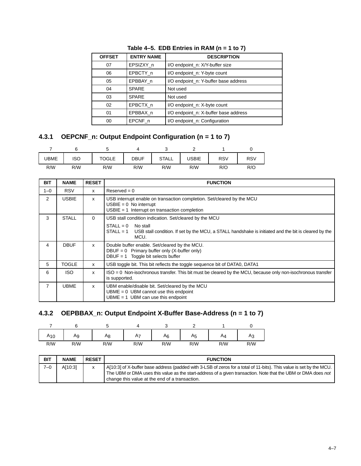| <b>OFFSET</b> | <b>ENTRY NAME</b> | <b>DESCRIPTION</b>                    |
|---------------|-------------------|---------------------------------------|
| 07            | EPSIZXY n         | I/O endpoint_n: X/Y-buffer size       |
| 06            | EPBCTY n          | I/O endpoint_n: Y-byte count          |
| 05            | EPBBAY n          | I/O endpoint_n: Y-buffer base address |
| 04            | <b>SPARE</b>      | Not used                              |
| 03            | <b>SPARE</b>      | Not used                              |
| 02            | EPBCTX n          | I/O endpoint_n: X-byte count          |
| 01            | EPBBAX n          | I/O endpoint n: X-buffer base address |
| 00            | EPCNF n           | I/O endpoint_n: Configuration         |

#### **Table 4–5. EDB Entries in RAM (n = 1 to 7)**

#### **4.3.1 OEPCNF\_n: Output Endpoint Configuration (n = 1 to 7)**

|      |     |              |             | ັ            |       |     |            |
|------|-----|--------------|-------------|--------------|-------|-----|------------|
| UBME | iso | <b>TOGLE</b> | <b>DBUF</b> | <b>STALL</b> | USBIE | RSV | <b>RSV</b> |
| R/W  | R/W | R/W          | R/W         | R/W          | R/W   | R/O | R/O        |

| <b>BIT</b> | <b>NAME</b>  | <b>RESET</b> | <b>FUNCTION</b>                                                                                                                                       |
|------------|--------------|--------------|-------------------------------------------------------------------------------------------------------------------------------------------------------|
| $1 - 0$    | <b>RSV</b>   | x            | $Reserved = 0$                                                                                                                                        |
| 2          | <b>USBIE</b> | X            | USB interrupt enable on transaction completion. Set/cleared by the MCU<br>$USBIE = 0$ No interrupt<br>$USBIE = 1$ Interrupt on transaction completion |
| 3          | <b>STALL</b> | $\Omega$     | USB stall condition indication. Set/cleared by the MCU                                                                                                |
|            |              |              | $STALL = 0$ No stall<br>$STALL = 1$ USB stall condition. If set by the MCU, a STALL handshake is initiated and the bit is cleared by the<br>MCU.      |
| 4          | <b>DBUF</b>  | x            | Double buffer enable. Set/cleared by the MCU.<br>DBUF = $0$ Primary buffer only (X-buffer only)<br>DBUF = $1$ Toggle bit selects buffer               |
| 5          | <b>TOGLE</b> | x            | USB toggle bit. This bit reflects the toggle sequence bit of DATA0, DATA1                                                                             |
| 6          | ISO.         | x            | $ISO = 0$ Non-isochronous transfer. This bit must be cleared by the MCU, because only non-isochronous transfer<br>is supported.                       |
| 7          | <b>UBME</b>  | X            | UBM enable/disable bit. Set/cleared by the MCU<br>$UBME = 0$ UBM cannot use this endpoint<br>$UBME = 1$ UBM can use this endpoint                     |

#### **4.3.2 OEPBBAX\_n: Output Endpoint X-Buffer Base-Address (n = 1 to 7)**

| $A_{10}$ | A9  | Α۶  |     | A6  | A5  | 54  | Αś  |
|----------|-----|-----|-----|-----|-----|-----|-----|
| R/W      | R/W | R/W | R/W | R/W | R/W | R/W | R/W |

| <b>BIT</b> | <b>NAME</b> | <b>RESET</b> | <b>FUNCTION</b>                                                                                                                                                                                                                                                                         |
|------------|-------------|--------------|-----------------------------------------------------------------------------------------------------------------------------------------------------------------------------------------------------------------------------------------------------------------------------------------|
| $7 - 0$    | A[10:3]     |              | A [10:3] of X-buffer base address (padded with 3-LSB of zeros for a total of 11-bits). This value is set by the MCU.<br>The UBM or DMA uses this value as the start-address of a given transaction. Note that the UBM or DMA does not<br>change this value at the end of a transaction. |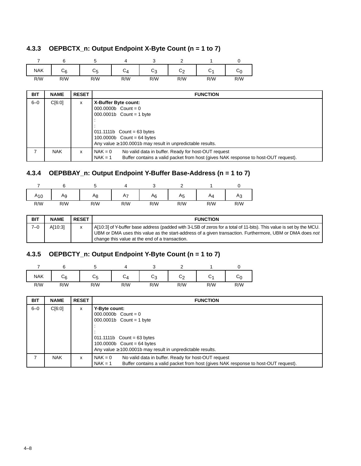#### **4.3.3 OEPBCTX\_n: Output Endpoint X-Byte Count (n = 1 to 7)**

| <b>NAK</b> | $\sim$<br>∪6 | しら<br>w | ⌒<br>◡◮ | من<br>u | $\mathbf{v}^{\mathbf{c}}$<br><u>_</u> | ╭<br>◡ | ັ   |
|------------|--------------|---------|---------|---------|---------------------------------------|--------|-----|
| R/W        | R/W          | R/W     | R/W     | R/W     | R/W                                   | R/W    | R/W |

| <b>BIT</b> | <b>NAME</b> | <b>RESET</b> | <b>FUNCTION</b>                                                                                                                                                                                                |
|------------|-------------|--------------|----------------------------------------------------------------------------------------------------------------------------------------------------------------------------------------------------------------|
| $6 - 0$    | C[6:0]      | X            | X-Buffer Byte count:<br>$000.0000b$ Count = 0<br>$000.0001b$ Count = 1 byte<br>$011.1111b$ Count = 63 bytes<br>$100.0000b$ Count = 64 bytes<br>Any value $\geq 100.0001b$ may result in unpredictable results. |
|            | <b>NAK</b>  | x            | No valid data in buffer. Ready for host-OUT request<br>$NAK = 0$<br>Buffer contains a valid packet from host (gives NAK response to host-OUT request).<br>$NAK = 1$                                            |

## **4.3.4 OEPBBAY\_n: Output Endpoint Y-Buffer Base-Address (n = 1 to 7)**

| $A_{10}$ | A9  | A <sub>8</sub> | A7  | A6  | Α5  | $H_{4}$ | А٠  |
|----------|-----|----------------|-----|-----|-----|---------|-----|
| R/W      | R/W | R/W            | R/W | R/W | R/W | R/W     | R/W |

| <b>BIT</b> | <b>NAME</b> | <b>RESET</b> | <b>FUNCTION</b>                                                                                                                                                                                                                                                                    |
|------------|-------------|--------------|------------------------------------------------------------------------------------------------------------------------------------------------------------------------------------------------------------------------------------------------------------------------------------|
| $7 - 0$    | A[10:3]     |              | A [10:3] of Y-buffer base address (padded with 3-LSB of zeros for a total of 11-bits). This value is set by the MCU.<br>UBM or DMA uses this value as the start-address of a given transaction. Furthermore, UBM or DMA does not<br>change this value at the end of a transaction. |

## **4.3.5 OEPBCTY\_n: Output Endpoint Y-Byte Count (n = 1 to 7)**

| <b>NAK</b> | ပ6  | სე  | ⌒<br>◡▵ | $\sim$<br>სვ | ╰<br><u>_</u> |     | ত   |
|------------|-----|-----|---------|--------------|---------------|-----|-----|
| R/W        | R/W | R/W | R/W     | R/W          | R/W           | R/W | R/W |

| <b>BIT</b> | <b>NAME</b> | <b>RESET</b> | <b>FUNCTION</b>                                                                                                                                                                                           |
|------------|-------------|--------------|-----------------------------------------------------------------------------------------------------------------------------------------------------------------------------------------------------------|
| $6 - 0$    | C[6:0]      | x            | Y-Byte count:<br>000.0000 $b$ Count = 0<br>$000.0001b$ Count = 1 byte<br>$011.1111b$ Count = 63 bytes<br>100.0000 $b$ Count = 64 bytes<br>Any value $\geq 100.0001b$ may result in unpredictable results. |
|            | <b>NAK</b>  | x            | No valid data in buffer. Ready for host-OUT request<br>$NAK = 0$<br>Buffer contains a valid packet from host (gives NAK response to host-OUT request).<br>$NAK = 1$                                       |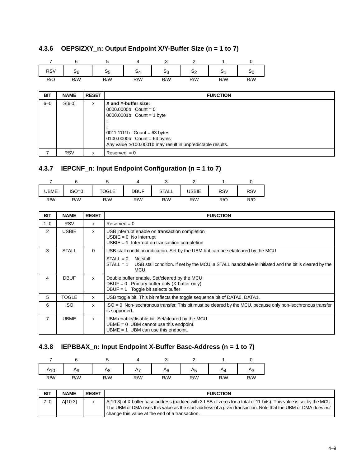#### **4.3.6 OEPSIZXY\_n: Output Endpoint X/Y-Buffer Size (n = 1 to 7)**

| <b>RSV</b> | ົ<br>IJ٢ | ົ<br>აა | $\sim$<br>◡୵ | ⌒<br>სკ | ◠<br>ບ<br>- | ⌒<br>ັ | ິ<br>၁( |
|------------|----------|---------|--------------|---------|-------------|--------|---------|
| R/O        | R/W      | R/W     | R/W          | R/W     | R/W         | R/W    | R/W     |

| <b>BIT</b> | <b>NAME</b> | <b>RESET</b> | <b>FUNCTION</b>                                                                                                                                                                                                    |
|------------|-------------|--------------|--------------------------------------------------------------------------------------------------------------------------------------------------------------------------------------------------------------------|
| $6 - 0$    | S[6:0]      | x            | X and Y-buffer size:<br>$0000.0000b$ Count = 0<br>$0000.0001b$ Count = 1 byte<br>$0011.1111b$ Count = 63 bytes<br>$0100.0000b$ Count = 64 bytes<br>Any value $\geq 100.0001b$ may result in unpredictable results. |
|            | <b>RSV</b>  | x            | $Reserved = 0$                                                                                                                                                                                                     |

#### **4.3.7 IEPCNF\_n: Input Endpoint Configuration (n = 1 to 7)**

|             |            | ۰.           |             | ີ            |       |     |            |
|-------------|------------|--------------|-------------|--------------|-------|-----|------------|
| <b>JBME</b> | $ISO=0$    | <b>TOGLE</b> | <b>DBUF</b> | <b>STALL</b> | USBIE | RSV | <b>RSV</b> |
| R/W         | R/W<br>R/W |              | R/W         | R/W          | R/W   | R/C | R/O        |

| <b>BIT</b>     | <b>NAME</b>  | <b>RESET</b> | <b>FUNCTION</b>                                                                                                                                        |
|----------------|--------------|--------------|--------------------------------------------------------------------------------------------------------------------------------------------------------|
| $1 - 0$        | <b>RSV</b>   | $\mathsf{x}$ | $Reserved = 0$                                                                                                                                         |
| 2              | <b>USBIE</b> | $\mathsf{x}$ | USB interrupt enable on transaction completion<br>$USBIE = 0$ No interrupt<br>$USBIE = 1$ Interrupt on transaction completion                          |
| 3              | <b>STALL</b> | $\Omega$     | USB stall condition indication. Set by the UBM but can be set/cleared by the MCU                                                                       |
|                |              |              | $STALL = 0$<br>No stall<br>$STALL = 1$<br>USB stall condition. If set by the MCU, a STALL handshake is initiated and the bit is cleared by the<br>MCU. |
| 4              | <b>DBUF</b>  | $\mathsf{x}$ | Double buffer enable. Set/cleared by the MCU<br>$DBUF = 0$ Primary buffer only (X-buffer only)<br>DBUF = $1$ Toggle bit selects buffer                 |
| 5              | <b>TOGLE</b> | $\mathsf{x}$ | USB toggle bit. This bit reflects the toggle sequence bit of DATA0, DATA1.                                                                             |
| 6              | <b>ISO</b>   | $\mathsf{x}$ | $ISO = 0$ Non-isochronous transfer. This bit must be cleared by the MCU, because only non-isochronous transfer<br>is supported.                        |
| $\overline{7}$ | <b>UBME</b>  | $\mathsf{x}$ | UBM enable/disable bit. Set/cleared by the MCU<br>$UBME = 0$ UBM cannot use this endpoint.<br>$UBME = 1$ UBM can use this endpoint.                    |

#### **4.3.8 IEPBBAX\_n: Input Endpoint X-Buffer Base-Address (n = 1 to 7)**

| A10 | Ag<br>A8 |     | $A^{-}$ | A <sub>6</sub> | ოე  | A4  | $A^c$ |
|-----|----------|-----|---------|----------------|-----|-----|-------|
| R/W | R/W      | R/W | R/W     | R/W            | R/W | R/W | R/W   |

| <b>BIT</b> | <b>NAME</b> | <b>RESET</b> | <b>FUNCTION</b>                                                                                                                                                                                                                                                                         |
|------------|-------------|--------------|-----------------------------------------------------------------------------------------------------------------------------------------------------------------------------------------------------------------------------------------------------------------------------------------|
| $7 - 0$    | A[10:3]     |              | A [10:3] of X-buffer base address (padded with 3-LSB of zeros for a total of 11-bits). This value is set by the MCU.<br>The UBM or DMA uses this value as the start-address of a given transaction. Note that the UBM or DMA does not<br>change this value at the end of a transaction. |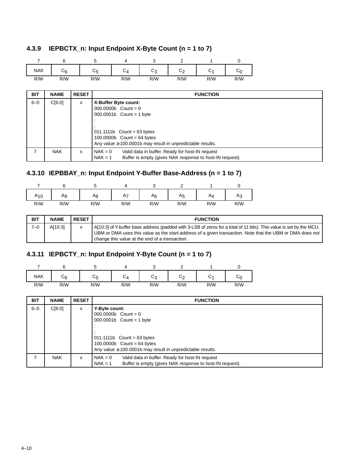#### **4.3.9 IEPBCTX\_n: Input Endpoint X-Byte Count (n = 1 to 7)**

| <b>NAK</b> | $\sim$<br>ن. | ⌒<br>Ũ5 | ⌒<br>$\mathbf{v}$<br>◡△<br>َب<br>پ<br>- |     |     | ⌒<br>ے | ◡   |
|------------|--------------|---------|-----------------------------------------|-----|-----|--------|-----|
| R/W        | R/W          | R/W     | R/W                                     | R/W | R/W | R/W    | R/W |

| <b>BIT</b> | <b>NAME</b> | <b>RESET</b> | <b>FUNCTION</b>                                                                                                                                                                                                |
|------------|-------------|--------------|----------------------------------------------------------------------------------------------------------------------------------------------------------------------------------------------------------------|
| $6 - 0$    | C[6:0]      | X            | X-Buffer Byte count:<br>$000.0000b$ Count = 0<br>$000.0001b$ Count = 1 byte<br>$011.1111b$ Count = 63 bytes<br>$100.0000b$ Count = 64 bytes<br>Any value $\geq 100.0001b$ may result in unpredictable results. |
|            | <b>NAK</b>  | X            | Valid data in buffer. Ready for host-IN request<br>$NAK = 0$<br>Buffer is empty (gives NAK response to host-IN request).<br>$NAK = 1$                                                                          |

## **4.3.10 IEPBBAY\_n: Input Endpoint Y-Buffer Base-Address (n = 1 to 7)**

| $A_{10}$ | A9  | A8  | A <sub>6</sub><br>$\sqrt{ }$ |     | A5  | $A_4$ | A۰  |
|----------|-----|-----|------------------------------|-----|-----|-------|-----|
| R/W      | R/W | R/W | R/W                          | R/W | R/W | R/W   | R/W |

| <b>BIT</b> | <b>NAME</b> | <b>RESET</b> | <b>FUNCTION</b>                                                                                                                                                                                                                                                                     |
|------------|-------------|--------------|-------------------------------------------------------------------------------------------------------------------------------------------------------------------------------------------------------------------------------------------------------------------------------------|
| $7 - 0$    | A[10:3]     |              | A [10:3] of Y-buffer base address (padded with 3-LSB of zeros for a total of 11 bits). This value is set by the MCU.<br>UBM or DMA uses this value as the start-address of a given transaction. Note that the UBM or DMA does not<br>change this value at the end of a transaction. |

## **4.3.11 IEPBCTY\_n: Input Endpoint Y-Byte Count (n = 1 to 7)**

| <b>NAK</b> | ပ6  | სხ  | ⌒<br>◡▵ |     | ∼ب<br><u>_</u> | ີ   | ⌒<br>ີ⊂ |
|------------|-----|-----|---------|-----|----------------|-----|---------|
| R/W        | R/W | R/W | R/W     | R/W | R/W            | R/W | R/W     |

| <b>BIT</b> | <b>NAME</b> | <b>RESET</b> | <b>FUNCTION</b>                                                                                                                       |
|------------|-------------|--------------|---------------------------------------------------------------------------------------------------------------------------------------|
| $6 - 0$    | C[6:0]      | $\mathsf{x}$ | Y-Byte count:<br>000.0000 $b$ Count = 0<br>$000.0001b$ Count = 1 byte<br>$011.1111b$ Count = 63 bytes<br>$100.0000b$ Count = 64 bytes |
|            |             |              | Any value $\geq 100.0001b$ may result in unpredictable results.                                                                       |
|            | <b>NAK</b>  | x            | Valid data in buffer. Ready for host-IN request<br>$NAK = 0$<br>Buffer is empty (gives NAK response to host-IN request).<br>$NAK = 1$ |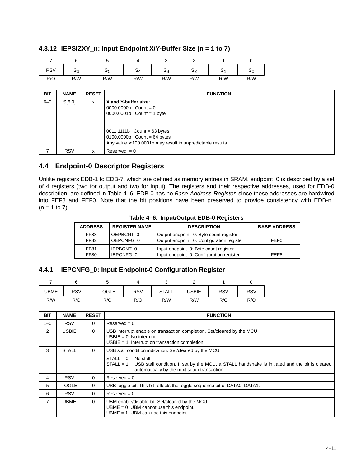| <b>RSV</b> | $S_6$       |              | $S_5$          | $S_4$                                                                                                                                           | $S_3$ | S <sub>2</sub>                                                  | S <sub>1</sub>  | $S_0$ |  |
|------------|-------------|--------------|----------------|-------------------------------------------------------------------------------------------------------------------------------------------------|-------|-----------------------------------------------------------------|-----------------|-------|--|
| R/O        | R/W         |              | R/W            | R/W<br>R/W<br>R/W<br>R/W<br>R/W                                                                                                                 |       |                                                                 |                 |       |  |
| <b>BIT</b> | <b>NAME</b> | <b>RESET</b> |                |                                                                                                                                                 |       |                                                                 | <b>FUNCTION</b> |       |  |
| $6 - 0$    | S[6:0]      | $\mathsf{x}$ |                | X and Y-buffer size:<br>$0000.0000b$ Count = 0<br>$0000.0001b$ Count = 1 byte<br>$0011.1111b$ Count = 63 bytes<br>$0100.0000b$ Count = 64 bytes |       | Any value $\geq$ 100.0001b may result in unpredictable results. |                 |       |  |
| 7          | <b>RSV</b>  | x            | $Reserved = 0$ |                                                                                                                                                 |       |                                                                 |                 |       |  |

#### **4.3.12 IEPSIZXY\_n: Input Endpoint X/Y-Buffer Size (n = 1 to 7)**

76 5 4 3 2 1 0

#### **4.4 Endpoint-0 Descriptor Registers**

Unlike registers EDB-1 to EDB-7, which are defined as memory entries in SRAM, endpoint\_0 is described by a set of 4 registers (two for output and two for input). The registers and their respective addresses, used for EDB-0 description, are defined in Table 4–6. EDB-0 has no Base-Address-Register, since these addresses are hardwired into FEF8 and FEF0. Note that the bit positions have been preserved to provide consistency with EDB-n  $(n = 1 to 7)$ .

|  | Table 4-6. Input/Output EDB-0 Registers |
|--|-----------------------------------------|
|--|-----------------------------------------|

| <b>ADDRESS</b> | <b>REGISTER NAME</b> | <b>DESCRIPTION</b>                        | <b>BASE ADDRESS</b> |
|----------------|----------------------|-------------------------------------------|---------------------|
| <b>FF83</b>    | OEPBCNT 0            | Output endpoint 0: Byte count register    | FEF0                |
| <b>FF82</b>    | OEPCNFG 0            | Output endpoint_0: Configuration register |                     |
| <b>FF81</b>    | IEPBCNT 0            | Input endpoint 0: Byte count register     | FEF8                |
| <b>FF80</b>    | IEPCNFG 0            | Input endpoint_0: Configuration register  |                     |

#### **4.4.1 IEPCNFG\_0: Input Endpoint-0 Configuration Register**

|      |     |              |            | ີ            |       |            |            |
|------|-----|--------------|------------|--------------|-------|------------|------------|
| UBME | RSV | <b>TOGLE</b> | <b>RSV</b> | <b>STALL</b> | USBIE | <b>RSV</b> | <b>RSV</b> |
| R/W  | R/O | R/O          | R/C        | R/W          | R/W   | R/C        | R/O        |

| <b>BIT</b>     | <b>NAME</b>  | <b>RESET</b> | <b>FUNCTION</b>                                                                                                                                                                   |  |  |  |
|----------------|--------------|--------------|-----------------------------------------------------------------------------------------------------------------------------------------------------------------------------------|--|--|--|
| $1 - 0$        | <b>RSV</b>   | $\Omega$     | $Reserved = 0$                                                                                                                                                                    |  |  |  |
| 2              | USBIE        | $\Omega$     | USB interrupt enable on transaction completion. Set/cleared by the MCU<br>$USBIE = 0$ No interrupt<br>$USBIE = 1$ Interrupt on transaction completion                             |  |  |  |
| 3              | <b>STALL</b> | $\Omega$     | USB stall condition indication. Set/cleared by the MCU                                                                                                                            |  |  |  |
|                |              |              | $STALL = 0$ No stall<br>$STALL = 1$ USB stall condition. If set by the MCU, a STALL handshake is initiated and the bit is cleared<br>automatically by the next setup transaction. |  |  |  |
| 4              | <b>RSV</b>   | $\Omega$     | $Reserved = 0$                                                                                                                                                                    |  |  |  |
| 5              | <b>TOGLE</b> | $\Omega$     | USB toggle bit. This bit reflects the toggle sequence bit of DATA0, DATA1.                                                                                                        |  |  |  |
| 6              | <b>RSV</b>   | $\Omega$     | $Reserved = 0$                                                                                                                                                                    |  |  |  |
| $\overline{7}$ | UBME         | $\Omega$     | UBM enable/disable bit. Set/cleared by the MCU<br>$UBME = 0$ UBM cannot use this endpoint.<br>$UBME = 1$ UBM can use this endpoint.                                               |  |  |  |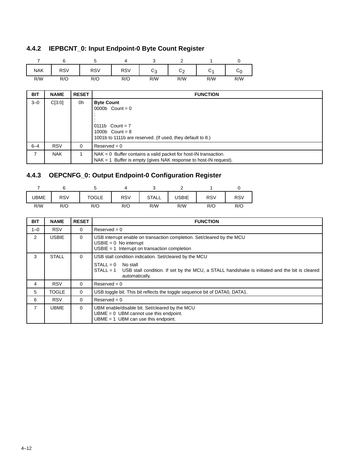#### **4.4.2 IEPBCNT\_0: Input Endpoint-0 Byte Count Register**

| <b>NAK</b> | <b>RSV</b> | <b>RSV</b> | <b>RSV</b> | مں<br>ن | ູ<br>- | یں۔ | ີ⊂  |
|------------|------------|------------|------------|---------|--------|-----|-----|
| R/W        | R/O        | R/O        | R/O        | R/W     | R/W    | R/W | R/W |

| <b>BIT</b> | <b>NAME</b> | <b>RESET</b> | <b>FUNCTION</b>                                                                                                                                |
|------------|-------------|--------------|------------------------------------------------------------------------------------------------------------------------------------------------|
| $3 - 0$    | C[3:0]      | 0h           | <b>Byte Count</b><br>$0000b$ Count = 0<br>0111b Count = $7$<br>1000b Count = $8$<br>1001b to 1111b are reserved. (If used, they default to 8.) |
| $6 - 4$    | <b>RSV</b>  | $\Omega$     | $Reserved = 0$                                                                                                                                 |
|            | NAK         |              | $NAK = 0$ Buffer contains a valid packet for host-IN transaction.<br>NAK = 1 Buffer is empty (gives NAK response to host-IN request).          |

## **4.4.3 OEPCNFG\_0: Output Endpoint-0 Configuration Register**

| UBME | <b>RSV</b> | <b>TOGLE</b> | <b>RSV</b> | STALL | USBIE | RSV | <b>RSV</b> |
|------|------------|--------------|------------|-------|-------|-----|------------|
| R/W  | R/O        | R/O          | R/C        | R/W   | R/W   | R/O | R/O        |

| <b>BIT</b>     | <b>NAME</b>  | <b>RESET</b> | <b>FUNCTION</b>                                                                                                                                       |
|----------------|--------------|--------------|-------------------------------------------------------------------------------------------------------------------------------------------------------|
| $1 - 0$        | <b>RSV</b>   | $\Omega$     | $Reserved = 0$                                                                                                                                        |
| $\overline{2}$ | <b>USBIE</b> | $\Omega$     | USB interrupt enable on transaction completion. Set/cleared by the MCU<br>$USBIE = 0$ No interrupt<br>$USBIE = 1$ Interrupt on transaction completion |
| 3              | <b>STALL</b> | 0            | USB stall condition indication. Set/cleared by the MCU                                                                                                |
|                |              |              | $STALL = 0$ No stall<br>$STALL = 1$ USB stall condition. If set by the MCU, a STALL handshake is initiated and the bit is cleared<br>automatically.   |
| 4              | <b>RSV</b>   | $\Omega$     | $Reserved = 0$                                                                                                                                        |
| 5              | TOGLE        | 0            | USB toggle bit. This bit reflects the toggle sequence bit of DATA0, DATA1.                                                                            |
| 6              | <b>RSV</b>   | 0            | $Reserved = 0$                                                                                                                                        |
| $\overline{7}$ | <b>UBME</b>  | $\Omega$     | UBM enable/disable bit. Set/cleared by the MCU<br>$UBME = 0$ UBM cannot use this endpoint.<br>$UBME = 1$ UBM can use this endpoint.                   |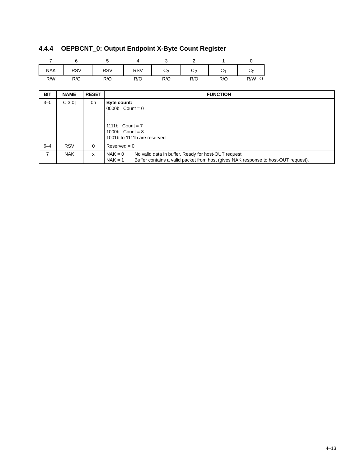| <b>NAK</b> | <b>RSV</b> | <b>RSV</b> | <b>RSV</b> | სვ  | しっ<br>∸ | ັ   | Ur       |
|------------|------------|------------|------------|-----|---------|-----|----------|
| R/W        | R/O        | R/O        | R/O        | R/O | R/O     | R/C | R/W<br>U |

## **4.4.4 OEPBCNT\_0: Output Endpoint X-Byte Count Register**

| <b>BIT</b> | <b>NAME</b> | <b>RESET</b> | <b>FUNCTION</b>                                                                                                                                                     |
|------------|-------------|--------------|---------------------------------------------------------------------------------------------------------------------------------------------------------------------|
| $3 - 0$    | C[3:0]      | 0h           | Byte count:<br>0000b Count = $0$<br>1111b Count = $7$<br>1000b Count = $8$<br>1001b to 1111b are reserved                                                           |
| $6 - 4$    | <b>RSV</b>  | 0            | $Reserved = 0$                                                                                                                                                      |
|            | <b>NAK</b>  | x            | $NAK = 0$<br>No valid data in buffer. Ready for host-OUT request<br>Buffer contains a valid packet from host (gives NAK response to host-OUT request).<br>$NAK = 1$ |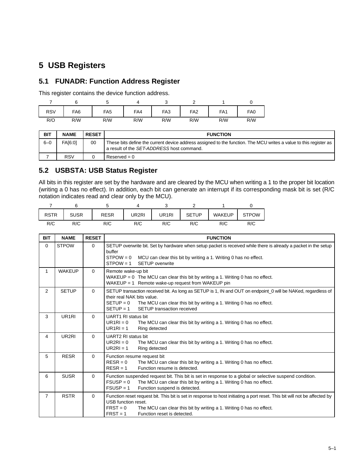## **5 USB Registers**

#### **5.1 FUNADR: Function Address Register**

This register contains the device function address.

|            |                 | ν               |     | ັ               |                 |                 |                 |
|------------|-----------------|-----------------|-----|-----------------|-----------------|-----------------|-----------------|
| <b>RSV</b> | FA <sub>6</sub> | FA <sub>5</sub> | FA4 | FA <sub>3</sub> | FA <sub>2</sub> | FA <sub>1</sub> | FA <sub>0</sub> |
| R/O        | R/W             | R/W             | R/W | R/W             | R/W             | R/W             | R/W             |

| <b>BIT</b> | <b>NAME</b> | <b>RESET</b> | <b>FUNCTION</b>                                                                                                                                                |
|------------|-------------|--------------|----------------------------------------------------------------------------------------------------------------------------------------------------------------|
| $6 - 0$    | FA[6:0]     | 00           | These bits define the current device address assigned to the function. The MCU writes a value to this register as<br>a result of the SET-ADDRESS host command. |
|            | <b>RSV</b>  |              | $Reserved = 0$                                                                                                                                                 |

#### **5.2 USBSTA: USB Status Register**

All bits in this register are set by the hardware and are cleared by the MCU when writing a 1 to the proper bit location (writing a 0 has no effect). In addition, each bit can generate an interrupt if its corresponding mask bit is set (R/C notation indicates read and clear only by the MCU).

| <b>RSTR</b> | <b>SUSR</b> | <b>RESR</b> | UR2RI | UR1RI | <b>SETUP</b> | <b>WAKEUP</b> | <b>STPOW</b> |
|-------------|-------------|-------------|-------|-------|--------------|---------------|--------------|
| R/C         | R/C         | R/C         | R/C   | R/C   | R/C          | R/C           | R/C          |

| <b>BIT</b>     | <b>NAME</b>        | <b>RESET</b> | <b>FUNCTION</b>                                                                                                                                                                                                                                                                    |
|----------------|--------------------|--------------|------------------------------------------------------------------------------------------------------------------------------------------------------------------------------------------------------------------------------------------------------------------------------------|
| 0              | <b>STPOW</b>       | $\Omega$     | SETUP overwrite bit. Set by hardware when setup packet is received while there is already a packet in the setup<br>buffer<br>$STPOW = 0$<br>MCU can clear this bit by writing a 1. Writing 0 has no effect.<br>$STPOW = 1$<br><b>SETUP</b> overwrite                               |
| 1              | <b>WAKEUP</b>      | $\Omega$     | Remote wake-up bit<br>WAKEUP = $0$ The MCU can clear this bit by writing a 1. Writing 0 has no effect.<br>WAKEUP = $1$ Remote wake-up request from WAKEUP pin                                                                                                                      |
| $\overline{2}$ | <b>SETUP</b>       | 0            | SETUP transaction received bit. As long as SETUP is 1, IN and OUT on endpoint 0 will be NAKed, regardless of<br>their real NAK bits value.<br>$SETUP = 0$<br>The MCU can clear this bit by writing a 1. Writing 0 has no effect.<br>$SETUP = 1$<br>SETUP transaction received      |
| 3              | UR <sub>1</sub> RI | 0            | UART1 RI status bit<br>$UR1RI = 0$<br>The MCU can clear this bit by writing a 1. Writing 0 has no effect.<br>$UR1RI = 1$<br>Ring detected                                                                                                                                          |
| 4              | UR <sub>2RI</sub>  | 0            | UART2 RI status bit<br>$UR2RI = 0$<br>The MCU can clear this bit by writing a 1. Writing 0 has no effect.<br>$UR2RI = 1$<br>Ring detected                                                                                                                                          |
| 5              | <b>RESR</b>        | 0            | Function resume request bit<br>$RESR = 0$<br>The MCU can clear this bit by writing a 1. Writing 0 has no effect.<br>$RESR = 1$<br>Function resume is detected.                                                                                                                     |
| 6              | <b>SUSR</b>        | 0            | Function suspended request bit. This bit is set in response to a global or selective suspend condition.<br>$FSUSE = 0$<br>The MCU can clear this bit by writing a 1. Writing 0 has no effect.<br>$FSUSE = 1$<br>Function suspend is detected.                                      |
| 7              | <b>RSTR</b>        | 0            | Function reset request bit. This bit is set in response to host initiating a port reset. This bit will not be affected by<br>USB function reset.<br>$FRST = 0$<br>The MCU can clear this bit by writing a 1. Writing 0 has no effect.<br>$FRST = 1$<br>Function reset is detected. |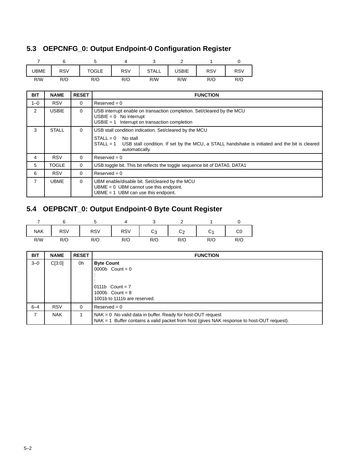## **5.3 OEPCNFG\_0: Output Endpoint-0 Configuration Register**

| UBME | <b>RSV</b> | <b>TOGLE</b> | <b>RSV</b> | <b>STALL</b> | <b>USBIE</b> | <b>RSV</b> | <b>RSV</b> |
|------|------------|--------------|------------|--------------|--------------|------------|------------|
| R/W  | R/O        | R/O          | R/O        | R/W          | R/W          | R/C        | R/O        |

| <b>BIT</b> | <b>NAME</b>  | <b>RESET</b> | <b>FUNCTION</b>                                                                                                                                        |
|------------|--------------|--------------|--------------------------------------------------------------------------------------------------------------------------------------------------------|
| $1 - 0$    | <b>RSV</b>   | $\Omega$     | $Reserved = 0$                                                                                                                                         |
| 2          | <b>USBIE</b> | $\Omega$     | USB interrupt enable on transaction completion. Set/cleared by the MCU<br>$USBIE = 0$ No interrupt<br>$USBIE = 1$ Interrupt on transaction completion  |
| 3          | <b>STALL</b> | $\Omega$     | USB stall condition indication. Set/cleared by the MCU                                                                                                 |
|            |              |              | $STALL = 0$<br>No stall<br>$STALL = 1$ USB stall condition. If set by the MCU, a STALL handshake is initiated and the bit is cleared<br>automatically. |
| 4          | <b>RSV</b>   | $\Omega$     | $Reserved = 0$                                                                                                                                         |
| 5          | <b>TOGLE</b> | $\Omega$     | USB toggle bit. This bit reflects the toggle sequence bit of DATA0, DATA1                                                                              |
| 6          | <b>RSV</b>   | $\Omega$     | $Reserved = 0$                                                                                                                                         |
| 7          | <b>UBME</b>  | $\Omega$     | UBM enable/disable bit. Set/cleared by the MCU<br>$UBME = 0$ UBM cannot use this endpoint.<br>$UBME = 1$ UBM can use this endpoint.                    |

## **5.4 OEPBCNT\_0: Output Endpoint-0 Byte Count Register**

|            |            | ີ          |            | ັ              |                |     |                |
|------------|------------|------------|------------|----------------|----------------|-----|----------------|
| <b>NAK</b> | <b>RSV</b> | <b>RSV</b> | <b>RSV</b> | $\mathsf{c}_3$ | しっ<br><u>_</u> | U   | C <sub>0</sub> |
| R/W        | R/O        | R/O        | R/O        | R/O            | R/O            | R/O | R/O            |

| <b>BIT</b> | <b>NAME</b> | <b>RESET</b> | <b>FUNCTION</b>                                                                                                                                             |
|------------|-------------|--------------|-------------------------------------------------------------------------------------------------------------------------------------------------------------|
| $3 - 0$    | C[3:0]      | 0h           | <b>Byte Count</b><br>$0000b$ Count = 0<br>0111b Count = $7$<br>1000b Count = $8$<br>1001b to 1111b are reserved.                                            |
| $6 - 4$    | <b>RSV</b>  | $\Omega$     | $Reserved = 0$                                                                                                                                              |
|            | <b>NAK</b>  | 1.           | $NAK = 0$ No valid data in buffer. Ready for host-OUT request<br>NAK = 1 Buffer contains a valid packet from host (gives NAK response to host-OUT request). |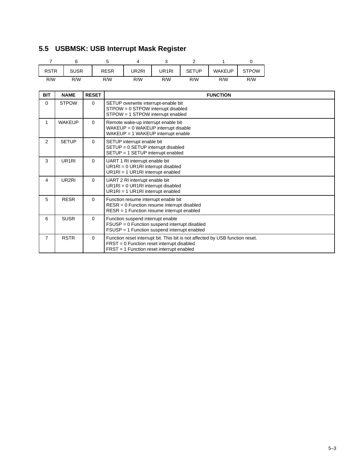| 7              | 6                  |              | 5           | 4                                                                                                                                                                        | 3                                                                                                                  | 2            |                 | 0            |  |
|----------------|--------------------|--------------|-------------|--------------------------------------------------------------------------------------------------------------------------------------------------------------------------|--------------------------------------------------------------------------------------------------------------------|--------------|-----------------|--------------|--|
| <b>RSTR</b>    | <b>SUSR</b>        |              | <b>RESR</b> | UR <sub>2</sub> RI                                                                                                                                                       | UR <sub>1</sub> RI                                                                                                 | <b>SETUP</b> | <b>WAKEUP</b>   | <b>STPOW</b> |  |
| R/W            | R/W                |              | R/W         | R/W                                                                                                                                                                      | R/W                                                                                                                | R/W          | R/W             | R/W          |  |
| <b>BIT</b>     | <b>NAME</b>        | <b>RESET</b> |             |                                                                                                                                                                          |                                                                                                                    |              | <b>FUNCTION</b> |              |  |
| $\mathbf 0$    | <b>STPOW</b>       | 0            |             | SETUP overwrite interrupt-enable bit<br>STPOW = 0 STPOW interrupt disabled<br>STPOW = 1 STPOW interrupt enabled                                                          |                                                                                                                    |              |                 |              |  |
| $\mathbf{1}$   | <b>WAKEUP</b>      | $\mathbf 0$  |             |                                                                                                                                                                          | Remote wake-up interrupt enable bit<br>$WAKEUP = 0$ WAKEUP interrupt disable<br>WAKEUP = 1 WAKEUP interrupt enable |              |                 |              |  |
| 2              | <b>SETUP</b>       | $\Omega$     |             | SETUP interrupt enable bit<br>SETUP = 0 SETUP interrupt disabled<br>SETUP = 1 SETUP interrupt enabled                                                                    |                                                                                                                    |              |                 |              |  |
| 3              | UR <sub>1</sub> RI | 0            |             | UART 1 RI interrupt enable bit<br>$UR1RI = 0 UR1RI$ interrupt disabled<br>UR1RI = 1 UR1RI interrupt enabled                                                              |                                                                                                                    |              |                 |              |  |
| 4              | UR2RI              | $\Omega$     |             | UART 2 RI interrupt enable bit<br>$UR1RI = 0 UR1RI$ interrupt disabled<br>UR1RI = 1 UR1RI interrupt enabled                                                              |                                                                                                                    |              |                 |              |  |
| 5              | <b>RESR</b>        | $\Omega$     |             | Function resume interrupt enable bit<br>RESR = 0 Function resume interrupt disabled<br>RESR = 1 Function resume interrupt enabled                                        |                                                                                                                    |              |                 |              |  |
| 6              | <b>SUSR</b>        | $\Omega$     |             | Function suspend interrupt enable<br>FSUSP = 0 Function suspend interrupt disabled<br>FSUSP = 1 Function suspend interrupt enabled                                       |                                                                                                                    |              |                 |              |  |
| $\overline{7}$ | <b>RSTR</b>        | 0            |             | Function reset interrupt bit. This bit is not affected by USB function reset.<br>FRST = 0 Function reset interrupt disabled<br>FRST = 1 Function reset interrupt enabled |                                                                                                                    |              |                 |              |  |

## **5.5 USBMSK: USB Interrupt Mask Register**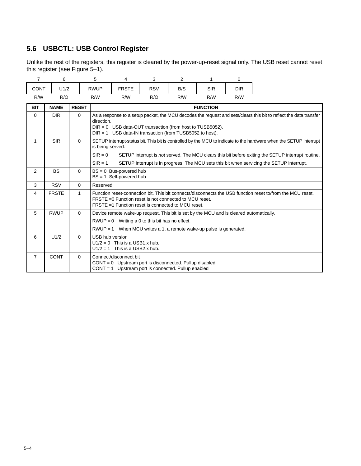#### **5.6 USBCTL: USB Control Register**

Unlike the rest of the registers, this register is cleared by the power-up-reset signal only. The USB reset cannot reset this register (see Figure 5–1).

| $\overline{7}$ | 6            |              | 5                | 4                                                                                                                                                                                                                                             | 3                                                                                                                  | 2   | 1                                                                                       | 0          |                                                                                                                    |  |
|----------------|--------------|--------------|------------------|-----------------------------------------------------------------------------------------------------------------------------------------------------------------------------------------------------------------------------------------------|--------------------------------------------------------------------------------------------------------------------|-----|-----------------------------------------------------------------------------------------|------------|--------------------------------------------------------------------------------------------------------------------|--|
| <b>CONT</b>    | U1/2         |              | <b>RWUP</b>      | <b>FRSTE</b>                                                                                                                                                                                                                                  | <b>RSV</b>                                                                                                         | B/S | <b>SIR</b>                                                                              | <b>DIR</b> |                                                                                                                    |  |
| R/W            | R/O          |              | R/W              | R/W                                                                                                                                                                                                                                           | R/O                                                                                                                | R/W | R/W                                                                                     | R/W        |                                                                                                                    |  |
| <b>BIT</b>     | <b>NAME</b>  | <b>RESET</b> |                  |                                                                                                                                                                                                                                               |                                                                                                                    |     | <b>FUNCTION</b>                                                                         |            |                                                                                                                    |  |
| $\Omega$       | <b>DIR</b>   | $\Omega$     | direction.       | As a response to a setup packet, the MCU decodes the request and sets/clears this bit to reflect the data transfer<br>$DIR = 0$ USB data-OUT transaction (from host to TUSB5052).<br>DIR = 1 USB data-IN transaction (from TUSB5052 to host). |                                                                                                                    |     |                                                                                         |            |                                                                                                                    |  |
| $\mathbf{1}$   | <b>SIR</b>   | $\Omega$     | is being served. |                                                                                                                                                                                                                                               |                                                                                                                    |     |                                                                                         |            | SETUP interrupt-status bit. This bit is controlled by the MCU to indicate to the hardware when the SETUP interrupt |  |
|                |              |              | $SIR = 0$        |                                                                                                                                                                                                                                               |                                                                                                                    |     |                                                                                         |            | SETUP interrupt is not served. The MCU clears this bit before exiting the SETUP interrupt routine.                 |  |
|                |              |              | $SIR = 1$        |                                                                                                                                                                                                                                               |                                                                                                                    |     |                                                                                         |            | SETUP interrupt is in progress. The MCU sets this bit when servicing the SETUP interrupt.                          |  |
| $\overline{2}$ | <b>BS</b>    | $\Omega$     |                  | $BS = 0$ Bus-powered hub<br>$BS = 1$ Self-powered hub                                                                                                                                                                                         |                                                                                                                    |     |                                                                                         |            |                                                                                                                    |  |
| 3              | <b>RSV</b>   | $\Omega$     | Reserved         |                                                                                                                                                                                                                                               |                                                                                                                    |     |                                                                                         |            |                                                                                                                    |  |
| 4              | <b>FRSTE</b> | $\mathbf{1}$ |                  | Function reset-connection bit. This bit connects/disconnects the USB function reset to/from the MCU reset.<br>FRSTE = 0 Function reset is not connected to MCU reset.<br>FRSTE =1 Function reset is connected to MCU reset.                   |                                                                                                                    |     |                                                                                         |            |                                                                                                                    |  |
| 5              | <b>RWUP</b>  | $\mathbf 0$  |                  |                                                                                                                                                                                                                                               |                                                                                                                    |     | Device remote wake-up request. This bit is set by the MCU and is cleared automatically. |            |                                                                                                                    |  |
|                |              |              |                  |                                                                                                                                                                                                                                               | $RWUP = 0$ Writing a 0 to this bit has no effect.                                                                  |     |                                                                                         |            |                                                                                                                    |  |
|                |              |              | $RWUP = 1$       |                                                                                                                                                                                                                                               |                                                                                                                    |     | When MCU writes a 1, a remote wake-up pulse is generated.                               |            |                                                                                                                    |  |
| 6              | U1/2         | $\Omega$     | USB hub version  | $U1/2 = 0$ This is a USB1.x hub.<br>$U1/2 = 1$ This is a USB2.x hub.                                                                                                                                                                          |                                                                                                                    |     |                                                                                         |            |                                                                                                                    |  |
| 7              | <b>CONT</b>  | $\Omega$     |                  | Connect/disconnect bit                                                                                                                                                                                                                        | $CONT = 0$ Upstream port is disconnected. Pullup disabled<br>$CONT = 1$ Upstream port is connected. Pullup enabled |     |                                                                                         |            |                                                                                                                    |  |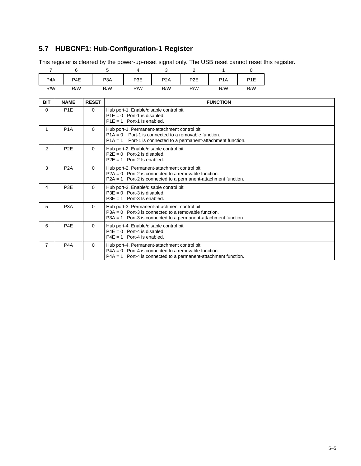## **5.7 HUBCNF1: Hub-Configuration-1 Register**

This register is cleared by the power-up-reset signal only. The USB reset cannot reset this register.

| P <sub>4</sub> A | P <sub>4</sub> E | P <sub>3</sub> A | P3E | P <sub>2</sub> A | P <sub>2</sub> E | P <sub>1</sub> A | P <sub>1E</sub> |
|------------------|------------------|------------------|-----|------------------|------------------|------------------|-----------------|
| R/W              | R/W              | R/W              | R/W | R/W              | R/W              | R/W              | R/W             |

| <b>BIT</b> | <b>NAME</b>      | <b>RESET</b> | <b>FUNCTION</b>                                                                                                                                                             |
|------------|------------------|--------------|-----------------------------------------------------------------------------------------------------------------------------------------------------------------------------|
| 0          | P <sub>1E</sub>  | $\Omega$     | Hub port-1. Enable/disable control bit<br>$P1E = 0$ Port-1 is disabled.<br>$P1E = 1$ Port-1 is enabled.                                                                     |
| 1          | P <sub>1</sub> A | $\Omega$     | Hub port-1. Permanent-attachment control bit<br>$P1A = 0$ Port-1 is connected to a removable function.<br>$P1A = 1$ Port-1 is connected to a permanent-attachment function. |
| 2          | P <sub>2E</sub>  | $\Omega$     | Hub port-2. Enable/disable control bit<br>$P2E = 0$ Port-2 is disabled.<br>$P2E = 1$ Port-2 is enabled.                                                                     |
| 3          | P <sub>2</sub> A | $\Omega$     | Hub port-2. Permanent-attachment control bit<br>$P2A = 0$ Port-2 is connected to a removable function.<br>$P2A = 1$ Port-2 is connected to a permanent-attachment function. |
| 4          | P <sub>3E</sub>  | $\Omega$     | Hub port-3. Enable/disable control bit<br>$P3E = 0$ Port-3 is disabled.<br>$P3E = 1$ Port-3 is enabled.                                                                     |
| 5          | P <sub>3</sub> A | $\Omega$     | Hub port-3. Permanent-attachment control bit<br>$P3A = 0$ Port-3 is connected to a removable function.<br>$P3A = 1$ Port-3 is connected to a permanent-attachment function. |
| 6          | P <sub>4E</sub>  | $\Omega$     | Hub port-4. Enable/disable control bit<br>$P4E = 0$ Port-4 is disabled.<br>$P4E = 1$ Port-4 Is enabled.                                                                     |
| 7          | P <sub>4</sub> A | $\Omega$     | Hub port-4. Permanent-attachment control bit<br>$P4A = 0$ Port-4 is connected to a removable function.<br>$P4A = 1$ Port-4 is connected to a permanent-attachment function. |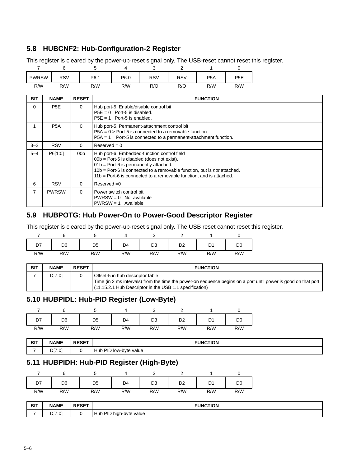# **5.8 HUBCNF2: Hub-Configuration-2 Register**

This register is cleared by the power-up-reset signal only. The USB-reset cannot reset this register.

|              |            |      |      | ັ          |            |                  |                 |
|--------------|------------|------|------|------------|------------|------------------|-----------------|
| <b>PWRSW</b> | <b>RSV</b> | P6.1 | P6.0 | <b>RSV</b> | <b>RSV</b> | P <sub>5</sub> A | P <sub>5E</sub> |
| R/W          | R/W        | R/W  | R/W  | R/C        | R/O        | R/W              | R/W             |

| <b>BIT</b> | <b>NAME</b>      | <b>RESET</b>    | <b>FUNCTION</b>                                                                                                                                                                                                                                                                          |
|------------|------------------|-----------------|------------------------------------------------------------------------------------------------------------------------------------------------------------------------------------------------------------------------------------------------------------------------------------------|
| $\Omega$   | P <sub>5</sub> E | $\Omega$        | Hub port-5. Enable/disable control bit<br>$P5E = 0$ Port-5 is disabled.<br>$P5E = 1$ Port-5 is enabled.                                                                                                                                                                                  |
|            | P <sub>5</sub> A | $\Omega$        | Hub port-5. Permanent-attachment control bit<br>$P5A = 0$ > Port-5 is connected to a removable function.<br>$P5A = 1$ Port-5 is connected to a permanent-attachment function.                                                                                                            |
| $3 - 2$    | <b>RSV</b>       | 0               | $Reserved = 0$                                                                                                                                                                                                                                                                           |
| $5 - 4$    | P6[1:0]          | 00 <sub>b</sub> | Hub port-6. Embedded-function control field<br>$00b =$ Port-6 is disabled (does not exist).<br>$01b$ = Port-6 is permanently attached.<br>10b = Port-6 is connected to a removable function, but is not attached.<br>11b = Port-6 is connected to a removable function, and is attached. |
| 6          | <b>RSV</b>       | 0               | $Reserved = 0$                                                                                                                                                                                                                                                                           |
| 7          | <b>PWRSW</b>     | $\Omega$        | Power switch control bit<br>$PWRSW = 0$ Not available<br>$PWRSW = 1$ Available                                                                                                                                                                                                           |

# **5.9 HUBPOTG: Hub Power-On to Power-Good Descriptor Register**

This register is cleared by the power-up-reset signal only. The USB reset cannot reset this register.

| - - | D6  | D <sub>5</sub> | D4  | D <sub>3</sub> | D <sub>2</sub> | D.  | D <sub>0</sub> |
|-----|-----|----------------|-----|----------------|----------------|-----|----------------|
| R/W | R/W | R/W            | R/W | R/W            | R/W            | R/W | R/W            |

| BIT | <b>NAME</b> | <b>RESET</b> | <b>FUNCTION</b>                                                                                                                                                                                               |
|-----|-------------|--------------|---------------------------------------------------------------------------------------------------------------------------------------------------------------------------------------------------------------|
|     | DI7:01      |              | Offset-5 in hub descriptor table<br>Time (in 2 ms intervals) from the time the power-on sequence begins on a port until power is good on that port<br>(11.15.2.1 Hub Descriptor in the USB 1.1 specification) |

# **5.10 HUBPIDL: Hub-PID Register (Low-Byte)**

| ו ש | D6  | D5  | D4  | D <sub>3</sub> | D <sub>2</sub> | D <sub>1</sub> | D <sub>0</sub> |
|-----|-----|-----|-----|----------------|----------------|----------------|----------------|
| R/W | R/W | R/W | R/W | R/W            | R/W            | R/W            | R/W            |

| BIT | <b>NAME</b> | DECET<br>ਜ਼੶੶੶ | <b>FUNCTION</b>               |
|-----|-------------|----------------|-------------------------------|
|     | D[7:0]      |                | PID,<br>Hub<br>Iow-byte value |

# **5.11 HUBPIDH: Hub-PID Register (High-Byte)**

|     |     |                |     | ◡              |     |     |     |
|-----|-----|----------------|-----|----------------|-----|-----|-----|
| D7  | D6  | D <sub>5</sub> | D4  | D <sub>3</sub> | D2  | D.  | D0  |
| R/W | R/W | R/W            | R/W | R/W            | R/W | R/W | R/W |

| <b>BIT</b> | <b>NAME</b> | <b>RESET</b> | <b>FUNCTION</b>                                  |
|------------|-------------|--------------|--------------------------------------------------|
| $\sim$     | D[7:0]      |              | <b>PID</b><br>high-byte value<br>Hub<br>.<br>. . |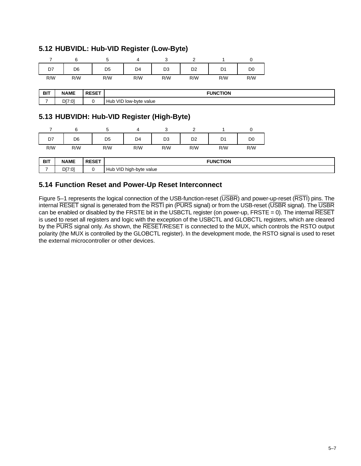| 5.12 HUBVIDL: Hub-VID Register (Low-Byte) |  |
|-------------------------------------------|--|
|-------------------------------------------|--|

|            | 6              |              | 5              | 4                      | 3              | ◠              |                 |                |  |
|------------|----------------|--------------|----------------|------------------------|----------------|----------------|-----------------|----------------|--|
| D7         | D <sub>6</sub> |              | D <sub>5</sub> | D <sub>4</sub>         | D <sub>3</sub> | D <sub>2</sub> | D <sub>1</sub>  | D <sub>0</sub> |  |
| R/W        | R/W            |              | R/W            | R/W                    | R/W            | R/W            | R/W             | R/W            |  |
|            |                |              |                |                        |                |                |                 |                |  |
| <b>BIT</b> | <b>NAME</b>    | <b>RESET</b> |                |                        |                |                | <b>FUNCTION</b> |                |  |
|            | D[7:0]         |              |                | Hub VID low-byte value |                |                |                 |                |  |
|            |                |              |                |                        |                |                |                 |                |  |

# **5.13 HUBVIDH: Hub-VID Register (High-Byte)**

|            | 6              |              | 5              | 4                       | 3              |                |                 |                |
|------------|----------------|--------------|----------------|-------------------------|----------------|----------------|-----------------|----------------|
| D7         | D <sub>6</sub> |              | D <sub>5</sub> | D <sub>4</sub>          | D <sub>3</sub> | D <sub>2</sub> | D <sub>1</sub>  | D <sub>0</sub> |
| R/W        | R/W            |              | R/W            | R/W                     | R/W            | R/W            | R/W             | R/W            |
|            |                |              |                |                         |                |                |                 |                |
| <b>BIT</b> | <b>NAME</b>    | <b>RESET</b> |                |                         |                |                | <b>FUNCTION</b> |                |
|            | D[7:0]         | 0            |                | Hub VID high-byte value |                |                |                 |                |

# **5.14 Function Reset and Power-Up Reset Interconnect**

Figure 5–1 represents the logical connection of the USB-function-reset (USBR) and power-up-reset (RSTI) pins. The internal RESET signal is generated from the RSTI pin (PURS signal) or from the USB-reset (USBR signal). The USBR can be enabled or disabled by the FRSTE bit in the USBCTL register (on power-up, FRSTE = 0). The internal  $\overline{\text{RESET}}$ is used to reset all registers and logic with the exception of the USBCTL and GLOBCTL registers, which are cleared by the PURS signal only. As shown, the RESET/RESET is connected to the MUX, which controls the RSTO output polarity (the MUX is controlled by the GLOBCTL register). In the development mode, the RSTO signal is used to reset the external microcontroller or other devices.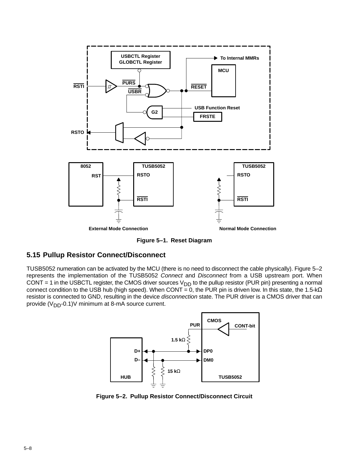

**Figure 5–1. Reset Diagram**

## **5.15 Pullup Resistor Connect/Disconnect**

TUSB5052 numeration can be activated by the MCU (there is no need to disconnect the cable physically). Figure 5–2 represents the implementation of the TUSB5052 Connect and Disconnect from a USB upstream port. When  $CONT = 1$  in the USBCTL register, the CMOS driver sources  $V_{DD}$  to the pullup resistor (PUR pin) presenting a normal connect condition to the USB hub (high speed). When CONT = 0, the PUR pin is driven low. In this state, the 1.5-k $\Omega$ resistor is connected to GND, resulting in the device disconnection state. The PUR driver is a CMOS driver that can provide  $(V_{DD}$ -0.1)V minimum at 8-mA source current.



**Figure 5–2. Pullup Resistor Connect/Disconnect Circuit**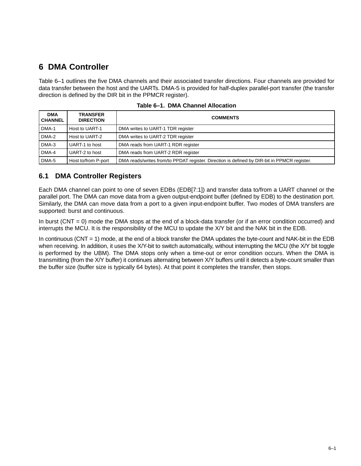# **6 DMA Controller**

Table 6–1 outlines the five DMA channels and their associated transfer directions. Four channels are provided for data transfer between the host and the UARTs. DMA-5 is provided for half-duplex parallel-port transfer (the transfer direction is defined by the DIR bit in the PPMCR register).

| <b>DMA</b><br><b>CHANNEL</b> | <b>TRANSFER</b><br><b>DIRECTION</b> | <b>COMMENTS</b>                                                                             |
|------------------------------|-------------------------------------|---------------------------------------------------------------------------------------------|
| DMA-1                        | Host to UART-1                      | DMA writes to UART-1 TDR register                                                           |
| DMA-2                        | Host to UART-2                      | DMA writes to UART-2 TDR register                                                           |
| DMA-3                        | UART-1 to host                      | DMA reads from UART-1 RDR register                                                          |
| DMA-4                        | UART-2 to host                      | DMA reads from UART-2 RDR register                                                          |
| DMA-5                        | Host to/from P-port                 | DMA reads/writes from/to PPDAT register. Direction is defined by DIR-bit in PPMCR register. |

**Table 6–1. DMA Channel Allocation**

## **6.1 DMA Controller Registers**

Each DMA channel can point to one of seven EDBs (EDB[7:1]) and transfer data to/from a UART channel or the parallel port. The DMA can move data from a given output-endpoint buffer (defined by EDB) to the destination port. Similarly, the DMA can move data from a port to a given input-endpoint buffer. Two modes of DMA transfers are supported: burst and continuous.

In burst (CNT = 0) mode the DMA stops at the end of a block-data transfer (or if an error condition occurred) and interrupts the MCU. It is the responsibility of the MCU to update the X/Y bit and the NAK bit in the EDB.

In continuous (CNT = 1) mode, at the end of a block transfer the DMA updates the byte-count and NAK-bit in the EDB when receiving. In addition, it uses the X/Y-bit to switch automatically, without interrupting the MCU (the X/Y bit toggle is performed by the UBM). The DMA stops only when a time-out or error condition occurs. When the DMA is transmitting (from the X/Y buffer) it continues alternating between X/Y buffers until it detects a byte-count smaller than the buffer size (buffer size is typically 64 bytes). At that point it completes the transfer, then stops.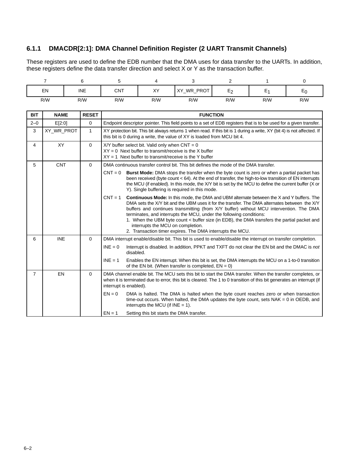## **6.1.1 DMACDR[2:1]: DMA Channel Definition Register (2 UART Transmit Channels)**

These registers are used to define the EDB number that the DMA uses for data transfer to the UARTs. In addition, these registers define the data transfer direction and select X or Y as the transaction buffer.

| EN  | <b>INE</b> | <b>CNT</b> | $\sqrt{2}$<br>∧ ≀ | <b>PROT</b><br>XY<br>WR<br>.,<br>$\overline{\phantom{a}}$ | ⊢∼<br>-<br>- | $\overline{\phantom{0}}$<br>E٠ | - 1 |
|-----|------------|------------|-------------------|-----------------------------------------------------------|--------------|--------------------------------|-----|
| R/W | R/W        | R/W        | R/W               | R/W                                                       | R/W          | R/W                            | R/W |

| <b>BIT</b>     | <b>NAME</b> | <b>RESET</b> | <b>FUNCTION</b>                                                                                                                                                                                                                                                                                                                                                                                                                                                                                                                                                                  |  |  |  |
|----------------|-------------|--------------|----------------------------------------------------------------------------------------------------------------------------------------------------------------------------------------------------------------------------------------------------------------------------------------------------------------------------------------------------------------------------------------------------------------------------------------------------------------------------------------------------------------------------------------------------------------------------------|--|--|--|
| $2 - 0$        | E[2:0]      | $\Omega$     | Endpoint descriptor pointer. This field points to a set of EDB registers that is to be used for a given transfer.                                                                                                                                                                                                                                                                                                                                                                                                                                                                |  |  |  |
| 3              | XY WR PROT  | $\mathbf{1}$ | XY protection bit. This bit always returns 1 when read. If this bit is 1 during a write, XY (bit 4) is not affected. If<br>this bit is 0 during a write, the value of XY is loaded from MCU bit 4.                                                                                                                                                                                                                                                                                                                                                                               |  |  |  |
| 4              | XY          | 0            | $X/Y$ buffer select bit. Valid only when $CNT = 0$<br>$XY = 0$ Next buffer to transmit/receive is the X buffer<br>$XY = 1$ Next buffer to transmit/receive is the Y buffer                                                                                                                                                                                                                                                                                                                                                                                                       |  |  |  |
| 5              | <b>CNT</b>  | $\Omega$     | DMA continuous transfer control bit. This bit defines the mode of the DMA transfer.                                                                                                                                                                                                                                                                                                                                                                                                                                                                                              |  |  |  |
|                |             |              | $CNT = 0$<br><b>Burst Mode:</b> DMA stops the transfer when the byte count is zero or when a partial packet has<br>been received (byte count < 64). At the end of transfer, the high-to-low transition of EN interrupts<br>the MCU (if enabled). In this mode, the X/Y bit is set by the MCU to define the current buffer (X or<br>Y). Single buffering is required in this mode.                                                                                                                                                                                                |  |  |  |
|                |             |              | $CNT = 1$<br><b>Continuous Mode:</b> In this mode, the DMA and UBM alternate between the X and Y buffers. The<br>DMA sets the X/Y bit and the UBM uses it for the transfer. The DMA alternates between the X/Y<br>buffers and continues transmitting (from X/Y buffer) without MCU intervention. The DMA<br>terminates, and interrupts the MCU, under the following conditions:<br>1. When the UBM byte count < buffer size (in EDB), the DMA transfers the partial packet and<br>interrupts the MCU on completion.<br>2. Transaction timer expires. The DMA interrupts the MCU. |  |  |  |
| 6              | <b>INE</b>  | 0            | DMA interrupt enable/disable bit. This bit is used to enable/disable the interrupt on transfer completion.                                                                                                                                                                                                                                                                                                                                                                                                                                                                       |  |  |  |
|                |             |              | $INE = 0$<br>Interrupt is disabled. In addition, PPKT and TXFT do not clear the EN bit and the DMAC is not<br>disabled.                                                                                                                                                                                                                                                                                                                                                                                                                                                          |  |  |  |
|                |             |              | $INE = 1$<br>Enables the EN interrupt. When this bit is set, the DMA interrupts the MCU on a 1-to-0 transition<br>of the EN bit. (When transfer is completed, $EN = 0$ )                                                                                                                                                                                                                                                                                                                                                                                                         |  |  |  |
| $\overline{7}$ | EN          | 0            | DMA channel enable bit. The MCU sets this bit to start the DMA transfer. When the transfer completes, or<br>when it is terminated due to error, this bit is cleared. The 1 to 0 transition of this bit generates an interrupt (if<br>interrupt is enabled).                                                                                                                                                                                                                                                                                                                      |  |  |  |
|                |             |              | $EN = 0$<br>DMA is halted. The DMA is halted when the byte count reaches zero or when transaction<br>time-out occurs. When halted, the DMA updates the byte count, sets $NAK = 0$ in OEDB, and<br>interrupts the MCU (if $INE = 1$ ).                                                                                                                                                                                                                                                                                                                                            |  |  |  |
|                |             |              | $EN = 1$<br>Setting this bit starts the DMA transfer.                                                                                                                                                                                                                                                                                                                                                                                                                                                                                                                            |  |  |  |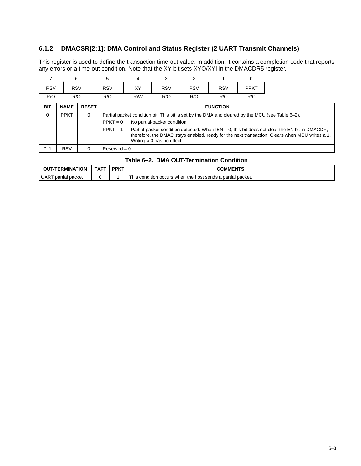### **6.1.2 DMACSR[2:1]: DMA Control and Status Register (2 UART Transmit Channels)**

This register is used to define the transaction time-out value. In addition, it contains a completion code that reports any errors or a time-out condition. Note that the XY bit sets XYO/XYI in the DMACDR5 register.

|            | 6           |              | 5              |                                                                                                                                                                                                                                   | 3          |            |                 | 0           |  |
|------------|-------------|--------------|----------------|-----------------------------------------------------------------------------------------------------------------------------------------------------------------------------------------------------------------------------------|------------|------------|-----------------|-------------|--|
| <b>RSV</b> | <b>RSV</b>  |              | <b>RSV</b>     | XY                                                                                                                                                                                                                                | <b>RSV</b> | <b>RSV</b> | <b>RSV</b>      | <b>PPKT</b> |  |
| R/O        | R/O         |              | R/O            | R/W                                                                                                                                                                                                                               | R/O        | R/O        | R/O             | R/C         |  |
| <b>BIT</b> | <b>NAME</b> | <b>RESET</b> |                |                                                                                                                                                                                                                                   |            |            | <b>FUNCTION</b> |             |  |
| $\Omega$   | <b>PPKT</b> | $\Omega$     |                | Partial packet condition bit. This bit is set by the DMA and cleared by the MCU (see Table 6–2).                                                                                                                                  |            |            |                 |             |  |
|            |             |              | $PPKT = 0$     | No partial-packet condition                                                                                                                                                                                                       |            |            |                 |             |  |
|            |             |              | $PPKT = 1$     | Partial-packet condition detected. When $IEN = 0$ , this bit does not clear the EN bit in DMACDR;<br>therefore, the DMAC stays enabled, ready for the next transaction. Clears when MCU writes a 1.<br>Writing a 0 has no effect. |            |            |                 |             |  |
| $7 - 1$    | <b>RSV</b>  | $\Omega$     | $Reserved = 0$ |                                                                                                                                                                                                                                   |            |            |                 |             |  |

| Table 6–2. DMA OUT-Termination Condition |                    |  |                                                             |  |  |
|------------------------------------------|--------------------|--|-------------------------------------------------------------|--|--|
| <b>OUT-TERMINATION</b>                   | <b>TXFT I PPKT</b> |  | <b>COMMENTS</b>                                             |  |  |
| UART partial packet                      |                    |  | This condition occurs when the host sends a partial packet. |  |  |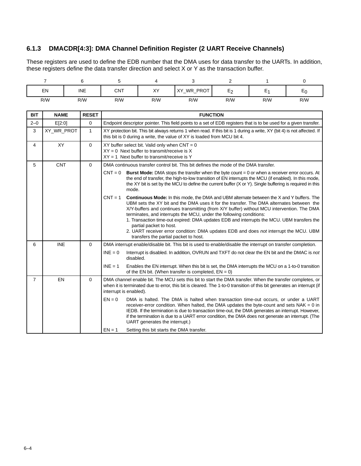## **6.1.3 DMACDR[4:3]: DMA Channel Definition Register (2 UART Receive Channels)**

These registers are used to define the EDB number that the DMA uses for data transfer to the UARTs. In addition, these registers define the data transfer direction and select X or Y as the transaction buffer.

| EN  | <b>INE</b> | <b>CNT</b> | $\sqrt{2}$<br>∧ ≀ | <b>PROT</b><br>XY<br>WR<br>.,<br>$\overline{\phantom{a}}$ | ⊢∼<br>-<br>- | $\overline{\phantom{0}}$<br>E٠ | - 1 |
|-----|------------|------------|-------------------|-----------------------------------------------------------|--------------|--------------------------------|-----|
| R/W | R/W        | R/W        | R/W               | R/W                                                       | R/W          | R/W                            | R/W |

| <b>BIT</b>     | <b>NAME</b> | <b>RESET</b> | <b>FUNCTION</b>                                                                                                                                                                                                                                                                                                                                                                                                                                                                                                                                                                                                                           |  |  |
|----------------|-------------|--------------|-------------------------------------------------------------------------------------------------------------------------------------------------------------------------------------------------------------------------------------------------------------------------------------------------------------------------------------------------------------------------------------------------------------------------------------------------------------------------------------------------------------------------------------------------------------------------------------------------------------------------------------------|--|--|
| $2 - 0$        | E[2:0]      | 0            | Endpoint descriptor pointer. This field points to a set of EDB registers that is to be used for a given transfer.                                                                                                                                                                                                                                                                                                                                                                                                                                                                                                                         |  |  |
| 3              | XY_WR_PROT  | 1            | XY protection bit. This bit always returns 1 when read. If this bit is 1 during a write, XY (bit 4) is not affected. If<br>this bit is 0 during a write, the value of XY is loaded from MCU bit 4.                                                                                                                                                                                                                                                                                                                                                                                                                                        |  |  |
| 4              | <b>XY</b>   | 0            | XY buffer select bit. Valid only when $CNT = 0$<br>$XY = 0$ Next buffer to transmit/receive is X<br>$XY = 1$ Next buffer to transmit/receive is Y                                                                                                                                                                                                                                                                                                                                                                                                                                                                                         |  |  |
| 5              | <b>CNT</b>  | 0            | DMA continuous transfer control bit. This bit defines the mode of the DMA transfer.                                                                                                                                                                                                                                                                                                                                                                                                                                                                                                                                                       |  |  |
|                |             |              | $CNT = 0$<br><b>Burst Mode:</b> DMA stops the transfer when the byte count $= 0$ or when a receiver error occurs. At<br>the end of transfer, the high-to-low transition of EN interrupts the MCU (if enabled). In this mode,<br>the XY bit is set by the MCU to define the current buffer (X or Y). Single buffering is required in this<br>mode.                                                                                                                                                                                                                                                                                         |  |  |
|                |             |              | $CNT = 1$<br><b>Continuous Mode:</b> In this mode, the DMA and UBM alternate between the X and Y buffers. The<br>UBM sets the XY bit and the DMA uses it for the transfer. The DMA alternates between the<br>X/Y-buffers and continues transmitting (from X/Y buffer) without MCU intervention. The DMA<br>terminates, and interrupts the MCU, under the following conditions:<br>1. Transaction time-out expired: DMA updates EDB and interrupts the MCU. UBM transfers the<br>partial packet to host.<br>2. UART receiver error condition: DMA updates EDB and does not interrupt the MCU. UBM<br>transfers the partial packet to host. |  |  |
| 6              | <b>INE</b>  | 0            | DMA interrupt enable/disable bit. This bit is used to enable/disable the interrupt on transfer completion.                                                                                                                                                                                                                                                                                                                                                                                                                                                                                                                                |  |  |
|                |             |              | $INE = 0$<br>Interrupt is disabled. In addition, OVRUN and TXFT do not clear the EN bit and the DMAC is not<br>disabled.                                                                                                                                                                                                                                                                                                                                                                                                                                                                                                                  |  |  |
|                |             |              | $INE = 1$<br>Enables the EN interrupt. When this bit is set, the DMA interrupts the MCU on a 1-to-0 transition<br>of the EN bit. (When transfer is completed, $EN = 0$ )                                                                                                                                                                                                                                                                                                                                                                                                                                                                  |  |  |
| $\overline{7}$ | EN          | 0            | DMA channel enable bit. The MCU sets this bit to start the DMA transfer. When the transfer completes, or<br>when it is terminated due to error, this bit is cleared. The 1-to-0 transition of this bit generates an interrupt (if<br>interrupt is enabled).                                                                                                                                                                                                                                                                                                                                                                               |  |  |
|                |             |              | $EN = 0$<br>DMA is halted. The DMA is halted when transaction time-out occurs, or under a UART<br>receiver-error condition. When halted, the DMA updates the byte-count and sets NAK = 0 in<br>IEDB. If the termination is due to transaction time-out, the DMA generates an interrupt. However,<br>if the termination is due to a UART error condition, the DMA does not generate an interrupt. (The<br>UART generates the interrupt.)                                                                                                                                                                                                   |  |  |
|                |             |              | $EN = 1$<br>Setting this bit starts the DMA transfer.                                                                                                                                                                                                                                                                                                                                                                                                                                                                                                                                                                                     |  |  |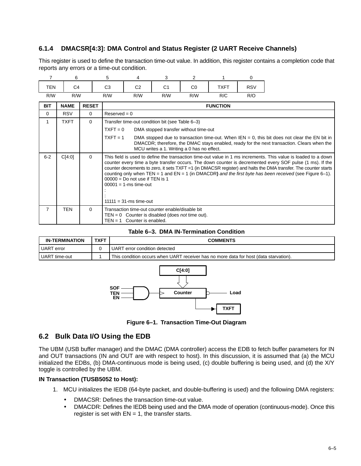## **6.1.4 DMACSR[4:3]: DMA Control and Status Register (2 UART Receive Channels)**

This register is used to define the transaction time-out value. In addition, this register contains a completion code that reports any errors or a time-out condition.

| TEN | C4  | $\sim$<br>w | ∩∩<br>◡∠ | ົ<br>◡ | Uυ  | <b>TXFT</b> | <b>RSV</b> |
|-----|-----|-------------|----------|--------|-----|-------------|------------|
| R/W | R/W | R/W         | R/W      | R/W    | R/W | R/C         | R/C        |

| BIT      | <b>NAME</b> | <b>RESET</b> | <b>FUNCTION</b>                                                                                                                                                                                                                                                                                                                                                                                                                                                                                                                                             |
|----------|-------------|--------------|-------------------------------------------------------------------------------------------------------------------------------------------------------------------------------------------------------------------------------------------------------------------------------------------------------------------------------------------------------------------------------------------------------------------------------------------------------------------------------------------------------------------------------------------------------------|
| $\Omega$ | <b>RSV</b>  | $\Omega$     | $Reserved = 0$                                                                                                                                                                                                                                                                                                                                                                                                                                                                                                                                              |
|          | <b>TXFT</b> | $\Omega$     | Transfer time-out condition bit (see Table 6–3)                                                                                                                                                                                                                                                                                                                                                                                                                                                                                                             |
|          |             |              | $TXFT = 0$<br>DMA stopped transfer without time-out                                                                                                                                                                                                                                                                                                                                                                                                                                                                                                         |
|          |             |              | $TXFT = 1$<br>DMA stopped due to transaction time-out. When $IEN = 0$ , this bit does not clear the EN bit in<br>DMACDR; therefore, the DMAC stays enabled, ready for the next transaction. Clears when the<br>MCU writes a 1. Writing a 0 has no effect.                                                                                                                                                                                                                                                                                                   |
| $6 - 2$  | CI4.01      | $\Omega$     | This field is used to define the transaction time-out value in 1 ms increments. This value is loaded to a down<br>counter every time a byte transfer occurs. The down counter is decremented every SOF pulse (1 ms). If the<br>counter decrements to zero, it sets TXFT =1 (in DMACSR register) and halts the DMA transfer. The counter starts<br>counting only when $TEN = 1$ and $EN = 1$ (in DMACDR) and the first byte has been received (see Figure 6–1).<br>$00000 = Do$ not use if TEN is 1<br>$00001 = 1$ -ms time-out<br>$11111 = 31$ -ms time-out |
| 7        | TEN         | $\Omega$     | Transaction time-out counter enable/disable bit<br>$TEN = 0$ Counter is disabled (does <i>not</i> time out).<br>$TEN = 1$ Counter is enabled.                                                                                                                                                                                                                                                                                                                                                                                                               |

| <b>IN-TERMINATION</b> | <b>TXFT</b> | <b>COMMENTS</b>                                                                       |
|-----------------------|-------------|---------------------------------------------------------------------------------------|
| UART error            |             | UART error condition detected                                                         |
| UART time-out         |             | This condition occurs when UART receiver has no more data for host (data starvation). |



**Figure 6–1. Transaction Time-Out Diagram**

#### **6.2 Bulk Data I/O Using the EDB**

The UBM (USB buffer manager) and the DMAC (DMA controller) access the EDB to fetch buffer parameters for IN and OUT transactions (IN and OUT are with respect to host). In this discussion, it is assumed that (a) the MCU initialized the EDBs, (b) DMA-continuous mode is being used, (c) double buffering is being used, and (d) the X/Y toggle is controlled by the UBM.

#### **IN Transaction (TUSB5052 to Host):**

- 1. MCU initializes the IEDB (64-byte packet, and double-buffering is used) and the following DMA registers:
	- DMACSR: Defines the transaction time-out value.
	- DMACDR: Defines the IEDB being used and the DMA mode of operation (continuous-mode). Once this register is set with  $EN = 1$ , the transfer starts.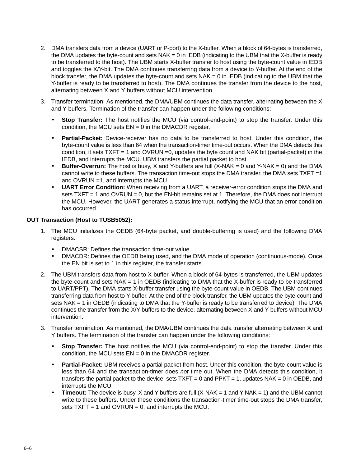- 2. DMA transfers data from a device (UART or P-port) to the X-buffer. When a block of 64-bytes is transferred, the DMA updates the byte-count and sets NAK = 0 in IEDB (indicating to the UBM that the X-buffer is ready to be transferred to the host). The UBM starts X-buffer transfer to host using the byte-count value in IEDB and toggles the X/Y-bit. The DMA continues transferring data from a device to Y-buffer. At the end of the block transfer, the DMA updates the byte-count and sets NAK = 0 in IEDB (indicating to the UBM that the Y-buffer is ready to be transferred to host). The DMA continues the transfer from the device to the host, alternating between X and Y buffers without MCU intervention.
- 3. Transfer termination: As mentioned, the DMA/UBM continues the data transfer, alternating between the X and Y buffers. Termination of the transfer can happen under the following conditions:
	- **Stop Transfer:** The host notifies the MCU (via control-end-point) to stop the transfer. Under this condition, the MCU sets  $EN = 0$  in the DMACDR register.
	- **Partial-Packet:** Device-receiver has no data to be transferred to host. Under this condition, the byte-count value is less than 64 when the transaction-timer time-out occurs. When the DMA detects this condition, it sets TXFT = 1 and OVRUN =0, updates the byte count and NAK bit (partial-packet) in the IEDB, and interrupts the MCU. UBM transfers the partial packet to host.
	- **Buffer-Overrun:** The host is busy, X and Y-buffers are full (X-NAK = 0 and Y-NAK = 0) and the DMA cannot write to these buffers. The transaction time-out stops the DMA transfer, the DMA sets TXFT =1 and OVRUN =1, and interrupts the MCU.
	- **UART Error Condition:** When receiving from a UART, a receiver-error condition stops the DMA and sets TXFT = 1 and OVRUN = 0, but the EN-bit remains set at 1. Therefore, the DMA does not interrupt the MCU. However, the UART generates a status interrupt, notifying the MCU that an error condition has occurred.

#### **OUT Transaction (Host to TUSB5052):**

- 1. The MCU initializes the OEDB (64-byte packet, and double-buffering is used) and the following DMA registers:
	- DMACSR: Defines the transaction time-out value.
	- DMACDR: Defines the OEDB being used, and the DMA mode of operation (continuous-mode). Once the EN bit is set to 1 in this register, the transfer starts.
- 2. The UBM transfers data from host to X-buffer. When a block of 64-bytes is transferred, the UBM updates the byte-count and sets NAK = 1 in OEDB (indicating to DMA that the X-buffer is ready to be transferred to UART/PPT). The DMA starts X-buffer transfer using the byte-count value in OEDB. The UBM continues transferring data from host to Y-buffer. At the end of the block transfer, the UBM updates the byte-count and sets NAK = 1 in OEDB (indicating to DMA that the Y-buffer is ready to be transferred to device). The DMA continues the transfer from the X/Y-buffers to the device, alternating between X and Y buffers without MCU intervention.
- 3. Transfer termination: As mentioned, the DMA/UBM continues the data transfer alternating between X and Y buffers. The termination of the transfer can happen under the following conditions:
	- **Stop Transfer:** The host notifies the MCU (via control-end-point) to stop the transfer. Under this condition, the MCU sets  $EN = 0$  in the DMACDR register.
	- **Partial-Packet:** UBM receives a partial packet from host. Under this condition, the byte-count value is less than 64 and the transaction-timer does not time out. When the DMA detects this condition, it transfers the partial packet to the device, sets  $TXFT = 0$  and  $PPKT = 1$ , updates  $NAK = 0$  in OEDB, and interrupts the MCU.
	- **Timeout:** The device is busy, X and Y-buffers are full  $(X-NAK = 1)$  and  $Y-NAK = 1)$  and the UBM cannot write to these buffers. Under these conditions the transaction-timer time-out stops the DMA transfer, sets  $TXFT = 1$  and  $OVRUN = 0$ , and interrupts the MCU.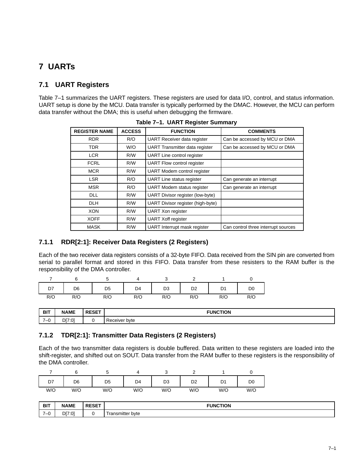# **7 UARTs**

# **7.1 UART Registers**

Table 7–1 summarizes the UART registers. These registers are used for data I/O, control, and status information. UART setup is done by the MCU. Data transfer is typically performed by the DMAC. However, the MCU can perform data transfer without the DMA; this is useful when debugging the firmware.

| <b>REGISTER NAME</b> | <b>ACCESS</b> | <b>FUNCTION</b>                    | <b>COMMENTS</b>                     |
|----------------------|---------------|------------------------------------|-------------------------------------|
| <b>RDR</b>           | R/O           | <b>UART Receiver data register</b> | Can be accessed by MCU or DMA       |
| <b>TDR</b>           | W/O           | UART Transmitter data register     | Can be accessed by MCU or DMA       |
| LCR.                 | R/W           | UART Line control register         |                                     |
| <b>FCRL</b>          | R/W           | <b>UART Flow control register</b>  |                                     |
| <b>MCR</b>           | R/W           | <b>UART Modem control register</b> |                                     |
| LSR.                 | R/O           | <b>UART</b> Line status register   | Can generate an interrupt           |
| <b>MSR</b>           | R/O           | UART Modem status register         | Can generate an interrupt           |
| DLL.                 | R/W           | UART Divisor register (low-byte)   |                                     |
| <b>DLH</b>           | R/W           | UART Divisor register (high-byte)  |                                     |
| <b>XON</b>           | R/W           | <b>UART Xon register</b>           |                                     |
| <b>XOFF</b>          | R/W           | <b>UART Xoff register</b>          |                                     |
| <b>MASK</b>          | R/W           | UART Interrupt mask register       | Can control three interrupt sources |

## **7.1.1 RDR[2:1]: Receiver Data Registers (2 Registers)**

Each of the two receiver data registers consists of a 32-byte FIFO. Data received from the SIN pin are converted from serial to parallel format and stored in this FIFO. Data transfer from these resisters to the RAM buffer is the responsibility of the DMA controller.

| D7  | D <sub>6</sub> | D <sub>5</sub> | D <sub>4</sub> | D <sub>3</sub> | D <sub>2</sub> | D <sub>1</sub> | D0  |
|-----|----------------|----------------|----------------|----------------|----------------|----------------|-----|
| R/O | R/C            | R/O            | R/O            | R/O            | R/O            | R/C            | R/O |

| <b>BIT</b> | <b>NAME</b> | <b>RESET</b> | <b>FUNCTION</b> |
|------------|-------------|--------------|-----------------|
| $7 - 0$    | DI7:01      |              | Receiver byte   |

## **7.1.2 TDR[2:1]: Transmitter Data Registers (2 Registers)**

Each of the two transmitter data registers is double buffered. Data written to these registers are loaded into the shift-register, and shifted out on SOUT. Data transfer from the RAM buffer to these registers is the responsibility of the DMA controller.

| D7  | D6  | D <sub>5</sub> | D4  | D <sub>3</sub> | n,<br>◡▵ | ∽<br>◡ | D0  |
|-----|-----|----------------|-----|----------------|----------|--------|-----|
| W/O | W/O | W/C            | W/O | W/O            | W/O      | W/C    | W/C |

| <b>BIT</b> | <b>NAME</b> | <b>RESET</b> | <b>FUNCTION</b>  |
|------------|-------------|--------------|------------------|
| $7 - 0$    | DT:01       |              | Fransmitter bvte |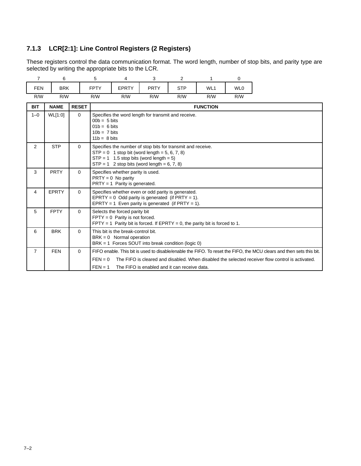# **7.1.3 LCR[2:1]: Line Control Registers (2 Registers)**

These registers control the data communication format. The word length, number of stop bits, and parity type are selected by writing the appropriate bits to the LCR.

| $\overline{7}$ | 6            |              | 5                      | 4                                                                                                                                                                                                                                                                       | 3           | $\overline{2}$ | 1               | $\Omega$   |  |  |  |  |  |
|----------------|--------------|--------------|------------------------|-------------------------------------------------------------------------------------------------------------------------------------------------------------------------------------------------------------------------------------------------------------------------|-------------|----------------|-----------------|------------|--|--|--|--|--|
| <b>FEN</b>     | <b>BRK</b>   |              | <b>FPTY</b>            | <b>EPRTY</b>                                                                                                                                                                                                                                                            | <b>PRTY</b> | <b>STP</b>     | WL <sub>1</sub> | <b>WLO</b> |  |  |  |  |  |
| R/W            | R/W          |              | R/W                    | R/W                                                                                                                                                                                                                                                                     | R/W         | R/W            | R/W             | R/M        |  |  |  |  |  |
| <b>BIT</b>     | <b>NAME</b>  | <b>RESET</b> |                        |                                                                                                                                                                                                                                                                         |             |                | <b>FUNCTION</b> |            |  |  |  |  |  |
| $1 - 0$        | WL[1:0]      | $\mathbf 0$  | $11b = 8 bits$         | Specifies the word length for transmit and receive.<br>$00b = 5 bits$<br>$01b = 6 bits$<br>$10b = 7 bits$                                                                                                                                                               |             |                |                 |            |  |  |  |  |  |
| $\overline{2}$ | <b>STP</b>   | $\Omega$     |                        | Specifies the number of stop bits for transmit and receive.<br>$STP = 0$ 1 stop bit (word length = 5, 6, 7, 8)<br>$STP = 1$ 1.5 stop bits (word length = 5)<br>$STP = 1$ 2 stop bits (word length = 6, 7, 8)                                                            |             |                |                 |            |  |  |  |  |  |
| 3              | <b>PRTY</b>  | $\Omega$     |                        | Specifies whether parity is used.<br>$PRTY = 0$ No parity<br>$PRTY = 1$ Parity is generated.                                                                                                                                                                            |             |                |                 |            |  |  |  |  |  |
| 4              | <b>EPRTY</b> | $\Omega$     |                        | Specifies whether even or odd parity is generated.<br>EPRTY = 0 Odd parity is generated (if PRTY = 1).<br>EPRTY = 1 Even parity is generated (if PRTY = 1).                                                                                                             |             |                |                 |            |  |  |  |  |  |
| 5              | <b>FPTY</b>  | $\Omega$     |                        | Selects the forced parity bit<br>$FPTY = 0$ Parity is not forced.<br>$FPTY = 1$ Parity bit is forced. If $EPTY = 0$ , the parity bit is forced to 1.                                                                                                                    |             |                |                 |            |  |  |  |  |  |
| 6              | <b>BRK</b>   | $\Omega$     |                        | This bit is the break-control bit.<br>$BRK = 0$ Normal operation<br>$BRK = 1$ Forces SOUT into break condition (logic 0)                                                                                                                                                |             |                |                 |            |  |  |  |  |  |
| $\overline{7}$ | <b>FEN</b>   | $\Omega$     | $FEN = 0$<br>$FEN = 1$ | FIFO enable. This bit is used to disable/enable the FIFO. To reset the FIFO, the MCU clears and then sets this bit.<br>The FIFO is cleared and disabled. When disabled the selected receiver flow control is activated.<br>The FIFO is enabled and it can receive data. |             |                |                 |            |  |  |  |  |  |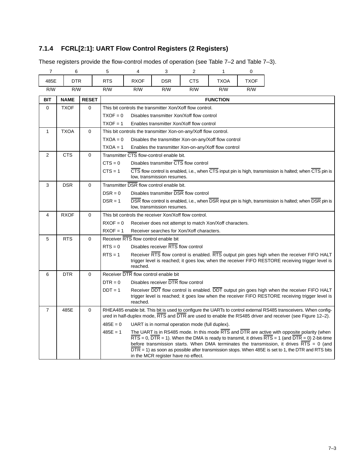# **7.1.4 FCRL[2:1]: UART Flow Control Registers (2 Registers)**

These registers provide the flow-control modes of operation (see Table 7–2 and Table 7–3).

| 7          | 6           |              | 5          | 4<br>3<br>2<br>0<br>1                                                                                                                     |                                                                 |            |                                                         |             |                                                                                                                                                                                                                               |  |  |  |
|------------|-------------|--------------|------------|-------------------------------------------------------------------------------------------------------------------------------------------|-----------------------------------------------------------------|------------|---------------------------------------------------------|-------------|-------------------------------------------------------------------------------------------------------------------------------------------------------------------------------------------------------------------------------|--|--|--|
| 485E       | <b>DTR</b>  |              | <b>RTS</b> | <b>RXOF</b>                                                                                                                               | <b>DSR</b>                                                      | <b>CTS</b> | <b>TXOA</b>                                             | <b>TXOF</b> |                                                                                                                                                                                                                               |  |  |  |
| R/W        | R/W         |              | R/W        | R/W                                                                                                                                       | R/W                                                             | R/W        | R/W                                                     | R/W         |                                                                                                                                                                                                                               |  |  |  |
| <b>BIT</b> | <b>NAME</b> | <b>RESET</b> |            |                                                                                                                                           |                                                                 |            | <b>FUNCTION</b>                                         |             |                                                                                                                                                                                                                               |  |  |  |
| 0          | <b>TXOF</b> | 0            |            |                                                                                                                                           | This bit controls the transmitter Xon/Xoff flow control.        |            |                                                         |             |                                                                                                                                                                                                                               |  |  |  |
|            |             |              | $TXOF = 0$ |                                                                                                                                           | Disables transmitter Xon/Xoff flow control                      |            |                                                         |             |                                                                                                                                                                                                                               |  |  |  |
|            |             |              | $TXOF = 1$ |                                                                                                                                           | Enables transmitter Xon/Xoff flow control                       |            |                                                         |             |                                                                                                                                                                                                                               |  |  |  |
| 1          | <b>TXOA</b> | 0            |            |                                                                                                                                           | This bit controls the transmitter Xon-on-any/Xoff flow control. |            |                                                         |             |                                                                                                                                                                                                                               |  |  |  |
|            |             |              | $TXOA = 0$ |                                                                                                                                           |                                                                 |            | Disables the transmitter Xon-on-any/Xoff flow control   |             |                                                                                                                                                                                                                               |  |  |  |
|            |             |              | $TXOA = 1$ |                                                                                                                                           |                                                                 |            | Enables the transmitter Xon-on-any/Xoff flow control    |             |                                                                                                                                                                                                                               |  |  |  |
| 2          | <b>CTS</b>  | 0            |            |                                                                                                                                           | Transmitter CTS flow-control enable bit.                        |            |                                                         |             |                                                                                                                                                                                                                               |  |  |  |
|            |             |              | $CTS = 0$  |                                                                                                                                           | Disables transmitter CTS flow control                           |            |                                                         |             |                                                                                                                                                                                                                               |  |  |  |
|            |             |              | $CTS = 1$  |                                                                                                                                           |                                                                 |            |                                                         |             | $\overline{\text{CTS}}$ flow control is enabled, i.e., when $\overline{\text{CTS}}$ input pin is high, transmission is halted; when $\overline{\text{CTS}}$ pin is                                                            |  |  |  |
|            |             |              |            |                                                                                                                                           | low, transmission resumes.                                      |            |                                                         |             |                                                                                                                                                                                                                               |  |  |  |
| 3          | <b>DSR</b>  | 0            |            | Transmitter DSR flow control enable bit.<br>Disables transmitter DSR flow control                                                         |                                                                 |            |                                                         |             |                                                                                                                                                                                                                               |  |  |  |
|            |             |              | $DSR = 0$  |                                                                                                                                           |                                                                 |            |                                                         |             |                                                                                                                                                                                                                               |  |  |  |
|            |             |              | $DSR = 1$  |                                                                                                                                           | low, transmission resumes.                                      |            |                                                         |             | DSR flow control is enabled, i.e., when DSR input pin is high, transmission is halted; when DSR pin is                                                                                                                        |  |  |  |
| 4          | <b>RXOF</b> | $\mathbf 0$  |            | This bit controls the receiver Xon/Xoff flow control.                                                                                     |                                                                 |            |                                                         |             |                                                                                                                                                                                                                               |  |  |  |
|            |             |              | $RXOF = 0$ |                                                                                                                                           |                                                                 |            | Receiver does not attempt to match Xon/Xoff characters. |             |                                                                                                                                                                                                                               |  |  |  |
|            |             |              | $RXOF = 1$ |                                                                                                                                           | Receiver searches for Xon/Xoff characters.                      |            |                                                         |             |                                                                                                                                                                                                                               |  |  |  |
| 5          | <b>RTS</b>  | 0            |            |                                                                                                                                           | Receiver RTS flow control enable bit                            |            |                                                         |             |                                                                                                                                                                                                                               |  |  |  |
|            |             |              | $RTS = 0$  |                                                                                                                                           | Disables receiver RTS flow control                              |            |                                                         |             |                                                                                                                                                                                                                               |  |  |  |
|            |             |              | $RTS = 1$  |                                                                                                                                           |                                                                 |            |                                                         |             | Receiver RTS flow control is enabled. RTS output pin goes high when the receiver FIFO HALT                                                                                                                                    |  |  |  |
|            |             |              |            | reached.                                                                                                                                  |                                                                 |            |                                                         |             | trigger level is reached; it goes low, when the receiver FIFO RESTORE receiving trigger level is                                                                                                                              |  |  |  |
| 6          | <b>DTR</b>  | 0            |            |                                                                                                                                           | Receiver DTR flow control enable bit                            |            |                                                         |             |                                                                                                                                                                                                                               |  |  |  |
|            |             |              | $DTR = 0$  |                                                                                                                                           | Disables receiver DTR flow control                              |            |                                                         |             |                                                                                                                                                                                                                               |  |  |  |
|            |             |              | $DDT = 1$  |                                                                                                                                           |                                                                 |            |                                                         |             | Receiver DDT flow control is enabled. DDT output pin goes high when the receiver FIFO HALT<br>trigger level is reached; it goes low when the receiver FIFO RESTORE receiving trigger level is                                 |  |  |  |
|            |             |              |            | reached.                                                                                                                                  |                                                                 |            |                                                         |             |                                                                                                                                                                                                                               |  |  |  |
| 7          | 485E        | 0            |            |                                                                                                                                           |                                                                 |            |                                                         |             | RHEA485 enable bit. This bit is used to configure the UARTs to control external RS485 transceivers. When config-<br>ured in half-duplex mode, RTS and DTR are used to enable the RS485 driver and receiver (see Figure 12-2). |  |  |  |
|            |             |              | $485E = 0$ | UART is in normal operation mode (full duplex).                                                                                           |                                                                 |            |                                                         |             |                                                                                                                                                                                                                               |  |  |  |
|            |             |              | $485E = 1$ | The UART is in RS485 mode. In this mode RTS and DTR are active with opposite polarity (when                                               |                                                                 |            |                                                         |             |                                                                                                                                                                                                                               |  |  |  |
|            |             |              |            |                                                                                                                                           |                                                                 |            |                                                         |             | $\overline{RTS} = 0$ , $\overline{DTR} = 1$ ). When the DMA is ready to transmit, it drives $\overline{RTS} = 1$ (and $\overline{DTR} = 0$ ) 2-bit-time                                                                       |  |  |  |
|            |             |              |            |                                                                                                                                           |                                                                 |            |                                                         |             | before transmission starts. When DMA terminates the transmission, it drives RTS = $0$ (and                                                                                                                                    |  |  |  |
|            |             |              |            | DTR = 1) as soon as possible after transmission stops. When 485E is set to 1, the DTR and RTS bits<br>in the MCR register have no effect. |                                                                 |            |                                                         |             |                                                                                                                                                                                                                               |  |  |  |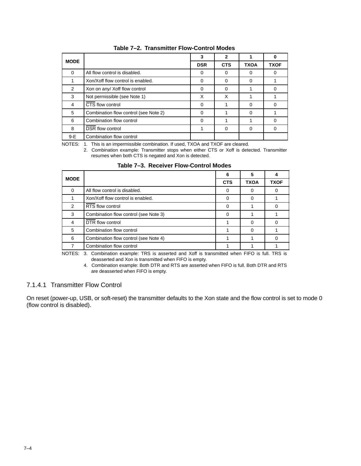|             |                                       | 3          | 2          |             | 0           |
|-------------|---------------------------------------|------------|------------|-------------|-------------|
| <b>MODE</b> |                                       | <b>DSR</b> | <b>CTS</b> | <b>TXOA</b> | <b>TXOF</b> |
| $\Omega$    | All flow control is disabled.         | $\Omega$   | $\Omega$   | 0           | 0           |
|             | Xon/Xoff flow control is enabled.     | $\Omega$   | $\Omega$   | $\Omega$    |             |
| 2           | Xon on any/Xoff flow control          | 0          | $\Omega$   |             | $\Omega$    |
| 3           | Not permissible (see Note 1)          | X          | X          |             |             |
| 4           | CTS flow control                      | $\Omega$   |            | $\Omega$    | $\Omega$    |
| 5           | Combination flow control (see Note 2) | $\Omega$   |            | $\Omega$    |             |
| 6           | Combination flow control              | $\Omega$   |            |             |             |
| 8           | <b>DSR</b> flow control               |            | $\Omega$   | $\Omega$    | $\Omega$    |
| $9-E$       | Combination flow control              |            |            |             |             |

**Table 7–2. Transmitter Flow-Control Modes**

NOTES: 1. This is an impermissible combination. If used, TXOA and TXOF are cleared.

2. Combination example: Transmitter stops when either CTS or Xoff is detected. Transmitter resumes when both CTS is negated and Xon is detected.

| <b>MODE</b> |                                       | <b>CTS</b> | <b>TXOA</b> | <b>TXOF</b> |
|-------------|---------------------------------------|------------|-------------|-------------|
| O           | All flow control is disabled.         |            |             |             |
|             | Xon/Xoff flow control is enabled.     |            |             |             |
| 2           | RTS flow control                      | 0          |             |             |
| 3           | Combination flow control (see Note 3) |            |             |             |
|             | <b>DTR</b> flow control               |            |             |             |
| 5           | Combination flow control              |            | U           |             |
| 6           | Combination flow control (see Note 4) |            |             |             |
|             | Combination flow control              |            |             |             |

**Table 7–3. Receiver Flow-Control Modes**

NOTES: 3. Combination example: TRS is asserted and Xoff is transmitted when FIFO is full. TRS is deasserted and Xon is transmitted when FIFO is empty.

4. Combination example: Both DTR and RTS are asserted when FIFO is full. Both DTR and RTS are deasserted when FIFO is empty.

### 7.1.4.1 Transmitter Flow Control

On reset (power-up, USB, or soft-reset) the transmitter defaults to the Xon state and the flow control is set to mode 0 (flow control is disabled).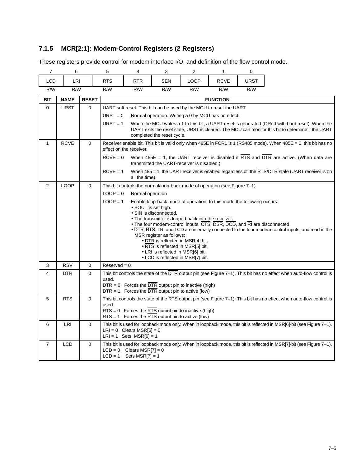# **7.1.5 MCR[2:1]: Modem-Control Registers (2 Registers)**

These registers provide control for modem interface I/O, and definition of the flow control mode.

| $\overline{7}$ | 6           |              | 5              | 4<br>3<br>2<br>$\mathbf{1}$<br>$\mathbf 0$                                                                                                                                                                                          |                                                                                                                              |             |                                                                            |             |                                                                                                                                   |  |  |  |
|----------------|-------------|--------------|----------------|-------------------------------------------------------------------------------------------------------------------------------------------------------------------------------------------------------------------------------------|------------------------------------------------------------------------------------------------------------------------------|-------------|----------------------------------------------------------------------------|-------------|-----------------------------------------------------------------------------------------------------------------------------------|--|--|--|
| <b>LCD</b>     | LRI         |              | <b>RTS</b>     | <b>RTR</b>                                                                                                                                                                                                                          | <b>SEN</b>                                                                                                                   | <b>LOOP</b> | <b>RCVE</b>                                                                | <b>URST</b> |                                                                                                                                   |  |  |  |
| R/W            | R/W         |              | R/W            | R/W                                                                                                                                                                                                                                 | R/W                                                                                                                          | R/W         | R/W                                                                        | R/W         |                                                                                                                                   |  |  |  |
| <b>BIT</b>     | <b>NAME</b> | <b>RESET</b> |                | <b>FUNCTION</b>                                                                                                                                                                                                                     |                                                                                                                              |             |                                                                            |             |                                                                                                                                   |  |  |  |
| $\Omega$       | <b>URST</b> | $\mathbf 0$  |                |                                                                                                                                                                                                                                     |                                                                                                                              |             | UART soft reset. This bit can be used by the MCU to reset the UART.        |             |                                                                                                                                   |  |  |  |
|                |             |              | $URST = 0$     |                                                                                                                                                                                                                                     |                                                                                                                              |             | Normal operation. Writing a 0 by MCU has no effect.                        |             |                                                                                                                                   |  |  |  |
|                |             |              | $URST = 1$     | When the MCU writes a 1 to this bit, a UART reset is generated (ORed with hard reset). When the<br>UART exits the reset state, URST is cleared. The MCU can monitor this bit to determine if the UART<br>completed the reset cycle. |                                                                                                                              |             |                                                                            |             |                                                                                                                                   |  |  |  |
| $\mathbf{1}$   | <b>RCVE</b> | $\Omega$     |                | Receiver enable bit. This bit is valid only when 485E in FCRL is 1 (RS485 mode). When 485E = 0, this bit has no<br>effect on the receiver.                                                                                          |                                                                                                                              |             |                                                                            |             |                                                                                                                                   |  |  |  |
|                |             |              | $RCVE = 0$     | When $485E = 1$ , the UART receiver is disabled if $\overline{RTS}$ and $\overline{DTR}$ are active. (When data are<br>transmitted the UART-receiver is disabled.)                                                                  |                                                                                                                              |             |                                                                            |             |                                                                                                                                   |  |  |  |
|                |             |              | $RCVE = 1$     | When $485 = 1$ , the UART receiver is enabled regardless of the $\overline{\text{RTS}}/\overline{\text{DTR}}$ state (UART receiver is on<br>all the time).                                                                          |                                                                                                                              |             |                                                                            |             |                                                                                                                                   |  |  |  |
| 2              | <b>LOOP</b> | $\Omega$     |                |                                                                                                                                                                                                                                     |                                                                                                                              |             | This bit controls the normal/loop-back mode of operation (see Figure 7-1). |             |                                                                                                                                   |  |  |  |
|                |             |              | $LOOP = 0$     | Normal operation                                                                                                                                                                                                                    |                                                                                                                              |             |                                                                            |             |                                                                                                                                   |  |  |  |
|                |             |              | $LOOP = 1$     | • SOUT is set high.                                                                                                                                                                                                                 |                                                                                                                              |             | Enable loop-back mode of operation. In this mode the following occurs:     |             |                                                                                                                                   |  |  |  |
|                |             |              |                |                                                                                                                                                                                                                                     | • SIN is disconnected.                                                                                                       |             |                                                                            |             |                                                                                                                                   |  |  |  |
|                |             |              |                |                                                                                                                                                                                                                                     | . The transmitter is looped back into the receiver.                                                                          |             | • The four modem-control inputs, CTS, DSR, DCD, and RI are disconnected.   |             |                                                                                                                                   |  |  |  |
|                |             |              |                |                                                                                                                                                                                                                                     |                                                                                                                              |             |                                                                            |             | . DTR, RTS, LRI and LCD are internally connected to the four modem-control inputs, and read in the                                |  |  |  |
|                |             |              |                |                                                                                                                                                                                                                                     | MSR register as follows:<br>• DTR is reflected in MSR[4] bit.                                                                |             |                                                                            |             |                                                                                                                                   |  |  |  |
|                |             |              |                |                                                                                                                                                                                                                                     | • RTS is reflected in MSR[5] bit.                                                                                            |             |                                                                            |             |                                                                                                                                   |  |  |  |
|                |             |              |                |                                                                                                                                                                                                                                     | • LRI is reflected in MSR[6] bit.<br>• LCD is reflected in MSR[7] bit.                                                       |             |                                                                            |             |                                                                                                                                   |  |  |  |
| 3              | <b>RSV</b>  | 0            | $Reserved = 0$ |                                                                                                                                                                                                                                     |                                                                                                                              |             |                                                                            |             |                                                                                                                                   |  |  |  |
| 4              | <b>DTR</b>  | $\mathbf 0$  |                |                                                                                                                                                                                                                                     |                                                                                                                              |             |                                                                            |             | This bit controls the state of the $\overline{DTR}$ output pin (see Figure 7-1). This bit has no effect when auto-flow control is |  |  |  |
|                |             |              | used.          |                                                                                                                                                                                                                                     | DTR = $0$ Forces the DTR output pin to inactive (high)                                                                       |             |                                                                            |             |                                                                                                                                   |  |  |  |
|                |             |              |                |                                                                                                                                                                                                                                     | DTR = 1 Forces the $\overline{DTR}$ output pin to active (low)                                                               |             |                                                                            |             |                                                                                                                                   |  |  |  |
| 5              | <b>RTS</b>  | $\mathbf 0$  | used.          |                                                                                                                                                                                                                                     |                                                                                                                              |             |                                                                            |             | This bit controls the state of the $\overline{RTS}$ output pin (see Figure 7-1). This bit has no effect when auto-flow control is |  |  |  |
|                |             |              |                |                                                                                                                                                                                                                                     | $RTS = 0$ Forces the $\overline{RTS}$ output pin to inactive (high)<br>$RTS = 1$ Forces the $RTS$ output pin to active (low) |             |                                                                            |             |                                                                                                                                   |  |  |  |
| 6              | LRI         | $\mathbf 0$  |                | This bit is used for loopback mode only. When in loopback mode, this bit is reflected in MSR[6]-bit (see Figure 7-1).                                                                                                               |                                                                                                                              |             |                                                                            |             |                                                                                                                                   |  |  |  |
|                |             |              |                | LRI = $0$ Clears MSR[6] = 0<br>LRI = 1 Sets $MSR[6] = 1$                                                                                                                                                                            |                                                                                                                              |             |                                                                            |             |                                                                                                                                   |  |  |  |
| $\overline{7}$ | <b>LCD</b>  | $\Omega$     |                | $LCD = 0$ Clears MSR[7] = 0<br>$LCD = 1$ Sets MSR[7] = 1                                                                                                                                                                            |                                                                                                                              |             |                                                                            |             | This bit is used for loopback mode only. When in loopback mode, this bit is reflected in MSR[7]-bit (see Figure 7–1).             |  |  |  |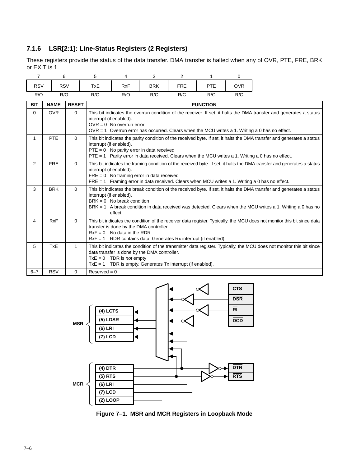## **7.1.6 LSR[2:1]: Line-Status Registers (2 Registers)**

These registers provide the status of the data transfer. DMA transfer is halted when any of OVR, PTE, FRE, BRK or EXIT is 1.

| <b>RSV</b> | <b>RSV</b> | TxE | <b>RxF</b> | <b>BRK</b> | <b>FRE</b> | <b>PTE</b> | <b>OVR</b> |
|------------|------------|-----|------------|------------|------------|------------|------------|
| R/O        | R/O        | R/O | R/C        | R/C        | R/C        | R/C        | R/C        |

| <b>BIT</b> | <b>NAME</b> | <b>RESET</b> | <b>FUNCTION</b>                                                                                                                                                                                                                                                                                            |
|------------|-------------|--------------|------------------------------------------------------------------------------------------------------------------------------------------------------------------------------------------------------------------------------------------------------------------------------------------------------------|
| $\Omega$   | <b>OVR</b>  | $\Omega$     | This bit indicates the overrun condition of the receiver. If set, it halts the DMA transfer and generates a status<br>interrupt (if enabled).<br>$OVR = 0$ No overrun error<br>OVR = 1 Overrun error has occurred. Clears when the MCU writes a 1. Writing a 0 has no effect.                              |
| 1          | PTE         | $\Omega$     | This bit indicates the parity condition of the received byte. If set, it halts the DMA transfer and generates a status<br>interrupt (if enabled).<br>$PTE = 0$ No parity error in data received<br>$PTE = 1$ Parity error in data received. Clears when the MCU writes a 1. Writing a 0 has no effect.     |
| 2          | <b>FRE</b>  | $\Omega$     | This bit indicates the framing condition of the received byte. If set, it halts the DMA transfer and generates a status<br>interrupt (if enabled).<br>$FRE = 0$ No framing error in data received<br>FRE = 1 Framing error in data received. Clears when MCU writes a 1. Writing a 0 has no effect.        |
| 3          | <b>BRK</b>  | $\Omega$     | This bit indicates the break condition of the received byte. If set, it halts the DMA transfer and generates a status<br>interrupt (if enabled).<br>$BRK = 0$ No break condition<br>BRK = 1 A break condition in data received was detected. Clears when the MCU writes a 1. Writing a 0 has no<br>effect. |
| 4          | <b>RxF</b>  | $\Omega$     | This bit indicates the condition of the receiver data register. Typically, the MCU does not monitor this bit since data<br>transfer is done by the DMA controller.<br>$RxF = 0$ No data in the RDR<br>$RxF = 1$ RDR contains data. Generates Rx interrupt (if enabled).                                    |
| 5          | <b>TxE</b>  | $\mathbf{1}$ | This bit indicates the condition of the transmitter data register. Typically, the MCU does not monitor this bit since<br>data transfer is done by the DMA controller.<br>$TxE = 0$ TDR is <i>not</i> empty<br>$TxE = 1$ TDR is empty. Generates $Tx$ interrupt (if enabled).                               |
| $6 - 7$    | <b>RSV</b>  | $\Omega$     | $Reserved = 0$                                                                                                                                                                                                                                                                                             |



**Figure 7–1. MSR and MCR Registers in Loopback Mode**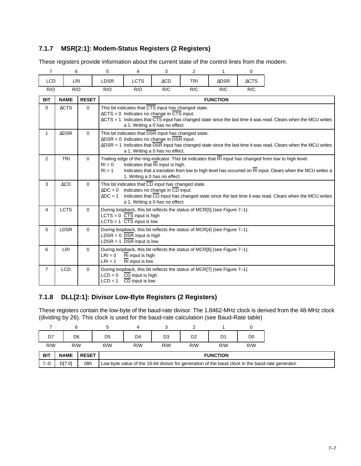# **7.1.7 MSR[2:1]: Modem-Status Registers (2 Registers)**

These registers provide information about the current state of the control lines from the modem.

| $\overline{7}$ | 6               |              | 5                      | 4                                                                                                                                                                                                                                                                                                        | 3                                                                                                                                                                              | 2          | 1                                                                         | 0               |                                                                                                       |  |  |  |
|----------------|-----------------|--------------|------------------------|----------------------------------------------------------------------------------------------------------------------------------------------------------------------------------------------------------------------------------------------------------------------------------------------------------|--------------------------------------------------------------------------------------------------------------------------------------------------------------------------------|------------|---------------------------------------------------------------------------|-----------------|-------------------------------------------------------------------------------------------------------|--|--|--|
| <b>LCD</b>     | LRI             |              | <b>LDSR</b>            | <b>LCTS</b>                                                                                                                                                                                                                                                                                              | $\triangle$ CD                                                                                                                                                                 | <b>TRI</b> | $\triangle$ DSR                                                           | $\triangle CTS$ |                                                                                                       |  |  |  |
| R/O            | R/O             |              | R/O                    | R/O                                                                                                                                                                                                                                                                                                      | R/C                                                                                                                                                                            | R/C        | R/C                                                                       | R/C             |                                                                                                       |  |  |  |
| <b>BIT</b>     | <b>NAME</b>     | <b>RESET</b> |                        |                                                                                                                                                                                                                                                                                                          |                                                                                                                                                                                |            | <b>FUNCTION</b>                                                           |                 |                                                                                                       |  |  |  |
| 0              | $\triangle$ CTS | $\mathbf 0$  |                        | This bit indicates that CTS input has changed state.<br>$\triangle CTS = 0$ Indicates no change in $\overline{CTS}$ input.<br>$\triangle CTS = 1$ Indicates that $\overline{CTS}$ input has changed state since the last time it was read. Clears when the MCU writes<br>a 1. Writing a 0 has no effect. |                                                                                                                                                                                |            |                                                                           |                 |                                                                                                       |  |  |  |
| $\mathbf{1}$   | <b>ADSR</b>     | $\mathbf 0$  |                        | This bit indicates that DSR input has changed state.<br>$\triangle$ DSR = 0 Indicates no change in DSR input.<br>$\triangle$ DSR = 1 Indicates that $\overline{DSR}$ input has changed state since the last time it was read. Clears when the MCU writes<br>a 1. Writing a 0 has no effect.              |                                                                                                                                                                                |            |                                                                           |                 |                                                                                                       |  |  |  |
| $\overline{2}$ | <b>TRI</b>      | $\mathbf 0$  | $RI = 0$<br>$RI = 1$   | Trailing edge of the ring-indicator. This bit indicates that RI input has changed from low to high level.<br>Indicates that RI input is high.<br>Indicates that a transition from low to high level has occurred on RI input. Clears when the MCU writes a<br>1. Writing a 0 has no effect.              |                                                                                                                                                                                |            |                                                                           |                 |                                                                                                       |  |  |  |
| 3              | $\triangle$ CD  | $\mathbf 0$  | $ADC = 1$              |                                                                                                                                                                                                                                                                                                          | This bit indicates that $\overline{\text{CD}}$ input has changed state.<br>$\triangle$ DC = 0 Indicates no change in $\overline{CD}$ input.<br>a 1. Writing a 0 has no effect. |            |                                                                           |                 | Indicates that CD input has changed state since the last time it was read. Clears when the MCU writes |  |  |  |
| 4              | <b>LCTS</b>     | $\Omega$     |                        | LCTS = $0$ CTS input is high<br>LCTS = $1$ CTS input is low                                                                                                                                                                                                                                              |                                                                                                                                                                                |            | During loopback, this bit reflects the status of MCR[5] (see Figure 7-1). |                 |                                                                                                       |  |  |  |
| 5              | <b>LDSR</b>     | $\mathbf 0$  |                        | During loopback, this bit reflects the status of MCR[4] (see Figure 7-1).<br>LDSR = $0$ DSR input is high<br>$LDSR = 1$ $\overline{DSR}$ input is low                                                                                                                                                    |                                                                                                                                                                                |            |                                                                           |                 |                                                                                                       |  |  |  |
| 6              | LRI             | $\mathbf 0$  | $LRI = 0$<br>$LRI = 1$ | During loopback, this bit reflects the status of MCR[6] (see Figure 7-1).<br>RI input is high<br>$\overline{RI}$ input is low                                                                                                                                                                            |                                                                                                                                                                                |            |                                                                           |                 |                                                                                                       |  |  |  |
| $\overline{7}$ | <b>LCD</b>      | $\mathbf 0$  | $LCD = 1$              | $LCD = 0$ $\overline{CD}$ input is high<br>CD input is low                                                                                                                                                                                                                                               |                                                                                                                                                                                |            | During loopback, this bit reflects the status of MCR[7] (see Figure 7-1). |                 |                                                                                                       |  |  |  |

### **7.1.8 DLL[2:1]: Divisor Low-Byte Registers (2 Registers)**

These registers contain the low-byte of the baud-rate divisor. The 1.8462-MHz clock is derived from the 48-MHz clock (dividing by 26). This clock is used for the baud-rate calculation (see Baud-Rate table)

|     |                | ັ              |     |                |                |     |                |
|-----|----------------|----------------|-----|----------------|----------------|-----|----------------|
| D7  | D <sub>6</sub> | D <sub>5</sub> | D4  | D <sub>3</sub> | D <sub>2</sub> | D1  | D <sub>0</sub> |
| R/W | R/W            | R/W            | R/W | R/W            | R/W            | R/W | R/W            |

| <b>BIT</b> | <b>NAME</b> | <b>RESET</b> | <b>FUNCTION</b>                                                                                   |
|------------|-------------|--------------|---------------------------------------------------------------------------------------------------|
| $7 - 0$    | D[7:0]      | 08h          | Low-byte value of the 16-bit divisor for generation of the baud clock in the baud-rate generator. |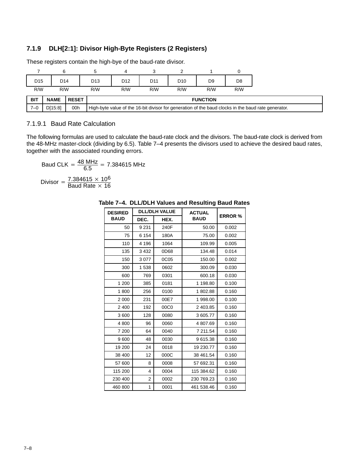### **7.1.9 DLH[2:1]: Divisor High-Byte Registers (2 Registers)**

| D <sub>15</sub> | D14         |              | D <sub>13</sub> | D <sub>12</sub>                                                                                     | D <sub>11</sub> | D <sub>10</sub> | D <sub>9</sub> | D <sub>8</sub> |  |  |  |
|-----------------|-------------|--------------|-----------------|-----------------------------------------------------------------------------------------------------|-----------------|-----------------|----------------|----------------|--|--|--|
| R/W             | R/W         |              | R/W             | R/W                                                                                                 | R/W             | R/W             | R/W            | R/W            |  |  |  |
| BIT             | <b>NAME</b> | <b>RESET</b> |                 | <b>FUNCTION</b>                                                                                     |                 |                 |                |                |  |  |  |
| $7 - 0$         | D[15:8]     | 00h          |                 | High-byte value of the 16-bit divisor for generation of the baud clocks in the baud rate generator. |                 |                 |                |                |  |  |  |

These registers contain the high-bye of the baud-rate divisor.

#### 7.1.9.1 Baud Rate Calculation

The following formulas are used to calculate the baud-rate clock and the divisors. The baud-rate clock is derived from the 48-MHz master-clock (dividing by 6.5). Table 7–4 presents the divisors used to achieve the desired baud rates, together with the associated rounding errors.

Baud CLK =  $\frac{48 \text{ MHz}}{6.5}$  = 7.384615 MHz Divisor =  $\frac{7.384615 \times 10^6}{0.0012}$ Baud Rate  $\times$  16

| <b>DESIRED</b> |         | <b>DLL/DLH VALUE</b> | <b>ACTUAL</b> |                |  |
|----------------|---------|----------------------|---------------|----------------|--|
| <b>BAUD</b>    | DEC.    | HEX.                 | <b>BAUD</b>   | <b>ERROR %</b> |  |
| 50             | 9 2 3 1 | 240F                 | 50.00         | 0.002          |  |
| 75             | 6 1 5 4 | 180A                 | 75.00         | 0.002          |  |
| 110            | 4 1 9 6 | 1064                 | 109.99        | 0.005          |  |
| 135            | 3 4 3 2 | 0D68                 | 134.48        | 0.014          |  |
| 150            | 3077    | 0C05                 | 150.00        | 0.002          |  |
| 300            | 1538    | 0602                 | 300.09        | 0.030          |  |
| 600            | 769     | 0301                 | 600.18        | 0.030          |  |
| 1 200          | 385     | 0181                 | 1 198.80      | 0.100          |  |
| 1800           | 256     | 0100                 | 1802.88       | 0.160          |  |
| 2 0 0 0        | 231     | 00E7                 | 1 998.00      |                |  |
| 2 4 0 0        | 192     | 00C0                 | 2 403.85      | 0.160          |  |
| 3600           | 128     | 0080                 | 3 605.77      | 0.160          |  |
| 4 800          | 96      | 0060                 | 4 807.69      | 0.160          |  |
| 7 200          | 64      | 0040                 | 7 211.54      | 0.160          |  |
| 9600           | 48      | 0030                 | 9615.38       | 0.160          |  |
| 19 200         | 24      | 0018                 | 19 230.77     | 0.160          |  |
| 38 400         | 12      | 000C                 | 38 461.54     | 0.160          |  |
| 57 600         | 8       | 0008                 | 57 692.31     | 0.160          |  |
| 115 200        | 4       | 0004                 | 115 384.62    | 0.160          |  |
| 230 400        | 2       | 0002                 | 230 769.23    | 0.160          |  |
| 460 800        | 1       | 0001                 | 461 538.46    | 0.160          |  |

**Table 7–4. DLL/DLH Values and Resulting Baud Rates**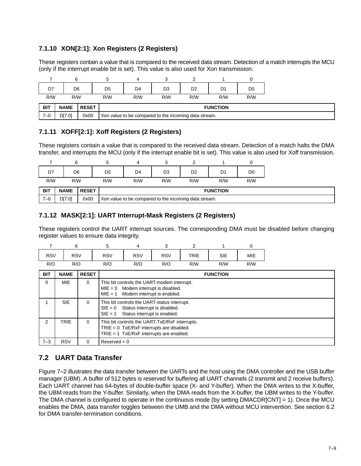# **7.1.10 XON[2:1]: Xon Registers (2 Registers)**

These registers contain a value that is compared to the received data stream. Detection of a match interrupts the MCU (only if the interrupt enable bit is set). This value is also used for Xon transmission.

|            | 6              |              |                | 4                                                     |                |                |                |                |  |  |
|------------|----------------|--------------|----------------|-------------------------------------------------------|----------------|----------------|----------------|----------------|--|--|
| D7         | D <sub>6</sub> |              | D <sub>5</sub> | D4                                                    | D <sub>3</sub> | D <sub>2</sub> | D <sub>1</sub> | D <sub>0</sub> |  |  |
| R/W        | R/W            |              | R/W            | R/W                                                   | R/W            | R/W            | R/W            | R/W            |  |  |
| <b>BIT</b> | <b>NAME</b>    | <b>RESET</b> |                | <b>FUNCTION</b>                                       |                |                |                |                |  |  |
| $7 - 0$    | D[7:0]         | 0x00         |                | Xon value to be compared to the incoming data stream. |                |                |                |                |  |  |

## **7.1.11 XOFF[2:1]: Xoff Registers (2 Registers)**

These registers contain a value that is compared to the received data stream. Detection of a match halts the DMA transfer, and interrupts the MCU (only if the interrupt enable bit is set). This value is also used for Xoff transmission.

|     |                | ັ              |                |     |                |     |                |
|-----|----------------|----------------|----------------|-----|----------------|-----|----------------|
| D7  | D <sub>6</sub> | D <sub>5</sub> | D <sub>4</sub> | D3  | D <sub>2</sub> | D.  | D <sub>0</sub> |
| R/W | R/W            | R/W            | R/W            | R/W | R/W            | R/W | R/W            |

| <b>BIT</b> | . <b>.</b><br>NAME | <b>RESET</b> | <b>FUNCTION</b>                                               |  |  |  |  |
|------------|--------------------|--------------|---------------------------------------------------------------|--|--|--|--|
| -<br>'–0   | D[7:0]             | 0x00         | i value to be compared to the incoming<br>Xor<br>data stream. |  |  |  |  |

### **7.1.12 MASK[2:1]: UART Interrupt-Mask Registers (2 Registers)**

These registers control the UART interrupt sources. The corresponding DMA must be disabled before changing register values to ensure data integrity.

|               | 6           |              | 5              | 4                                                                                                                                           | 3          | 2           |                 | $\Omega$   |  |  |
|---------------|-------------|--------------|----------------|---------------------------------------------------------------------------------------------------------------------------------------------|------------|-------------|-----------------|------------|--|--|
| <b>RSV</b>    | <b>RSV</b>  |              | <b>RSV</b>     | <b>RSV</b>                                                                                                                                  | <b>RSV</b> | <b>TRIE</b> | <b>SIE</b>      | <b>MIE</b> |  |  |
| R/O<br>R/O    |             | R/O          | R/O            | R/O                                                                                                                                         | R/W        | R/W         | R/W             |            |  |  |
| <b>BIT</b>    | <b>NAME</b> | <b>RESET</b> |                |                                                                                                                                             |            |             | <b>FUNCTION</b> |            |  |  |
| 0             | <b>MIE</b>  | 0            |                | This bit controls the UART-modem interrupt.<br>$MIE = 0$ Modem interrupt is disabled.<br>$MIE = 1$ Modem interrupt is enabled.              |            |             |                 |            |  |  |
|               | <b>SIE</b>  | 0            | $SIE = 0$      | This bit controls the UART-status interrupt.<br>Status interrupt is disabled.<br>$SIE = 1$ Status interrupt is enabled.                     |            |             |                 |            |  |  |
| $\mathcal{P}$ | <b>TRIE</b> | $\Omega$     |                | This bit controls the UART-TxE/RxF interrupts.<br>TRIE = $0$ TxE/RxF interrupts are disabled.<br>TRIE = $1$ TxE/RxF interrupts are enabled. |            |             |                 |            |  |  |
| $7 - 3$       | <b>RSV</b>  | $\Omega$     | $Reserved = 0$ |                                                                                                                                             |            |             |                 |            |  |  |

# **7.2 UART Data Transfer**

Figure 7–2 illustrates the data transfer between the UARTs and the host using the DMA controller and the USB buffer manager (UBM). A buffer of 512 bytes is reserved for buffering all UART channels (2 transmit and 2 receive buffers). Each UART channel has 64-bytes of double-buffer space (X- and Y-buffer). When the DMA writes to the X-buffer, the UBM reads from the Y-buffer. Similarly, when the DMA reads from the X-buffer, the UBM writes to the Y-buffer. The DMA channel is configured to operate in the continuous mode (by setting DMACDR[CNT] = 1). Once the MCU enables the DMA, data transfer toggles between the UMB and the DMA without MCU intervention. See section 6.2 for DMA transfer-termination conditions.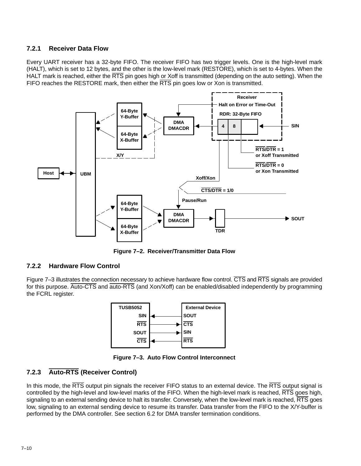### **7.2.1 Receiver Data Flow**

Every UART receiver has a 32-byte FIFO. The receiver FIFO has two trigger levels. One is the high-level mark (HALT), which is set to 12 bytes, and the other is the low-level mark (RESTORE), which is set to 4-bytes. When the HALT mark is reached, either the RTS pin goes high or Xoff is transmitted (depending on the auto setting). When the FIFO reaches the RESTORE mark, then either the  $\overline{RTS}$  pin goes low or Xon is transmitted.



**Figure 7–2. Receiver/Transmitter Data Flow**

### **7.2.2 Hardware Flow Control**

Figure 7–3 illustrates the connection necessary to achieve hardware flow control. CTS and RTS signals are provided for this purpose. Auto-CTS and auto-RTS (and Xon/Xoff) can be enabled/disabled independently by programming the FCRL register.



**Figure 7–3. Auto Flow Control Interconnect**

## **7.2.3 Auto-RTS (Receiver Control)**

In this mode, the  $\overline{RTS}$  output pin signals the receiver FIFO status to an external device. The  $\overline{RTS}$  output signal is controlled by the high-level and low-level marks of the FIFO. When the high-level mark is reached, RTS goes high, signaling to an external sending device to halt its transfer. Conversely, when the low-level mark is reached,  $\overline{\text{RTS}}$  goes low, signaling to an external sending device to resume its transfer. Data transfer from the FIFO to the X/Y-buffer is performed by the DMA controller. See section 6.2 for DMA transfer termination conditions.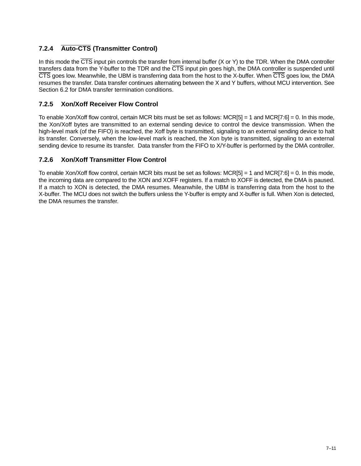# **7.2.4 Auto-CTS (Transmitter Control)**

In this mode the  $\overline{\text{CTS}}$  input pin controls the transfer from internal buffer (X or Y) to the TDR. When the DMA controller transfers data from the Y-buffer to the TDR and the  $\overline{\text{CTS}}$  input pin goes high, the DMA controller is suspended until  $\overline{\text{CTS}}$  goes low. Meanwhile, the UBM is transferring data from the host to the X-buffer. When  $\overline{\text{CTS}}$  goes low, the DMA resumes the transfer. Data transfer continues alternating between the X and Y buffers, without MCU intervention. See Section 6.2 for DMA transfer termination conditions.

### **7.2.5 Xon/Xoff Receiver Flow Control**

To enable Xon/Xoff flow control, certain MCR bits must be set as follows: MCR[5] = 1 and MCR[7:6] = 0. In this mode, the Xon/Xoff bytes are transmitted to an external sending device to control the device transmission. When the high-level mark (of the FIFO) is reached, the Xoff byte is transmitted, signaling to an external sending device to halt its transfer. Conversely, when the low-level mark is reached, the Xon byte is transmitted, signaling to an external sending device to resume its transfer. Data transfer from the FIFO to X/Y-buffer is performed by the DMA controller.

### **7.2.6 Xon/Xoff Transmitter Flow Control**

To enable Xon/Xoff flow control, certain MCR bits must be set as follows: MCR[5] = 1 and MCR[7:6] = 0. In this mode, the incoming data are compared to the XON and XOFF registers. If a match to XOFF is detected, the DMA is paused. If a match to XON is detected, the DMA resumes. Meanwhile, the UBM is transferring data from the host to the X-buffer. The MCU does not switch the buffers unless the Y-buffer is empty and X-buffer is full. When Xon is detected, the DMA resumes the transfer.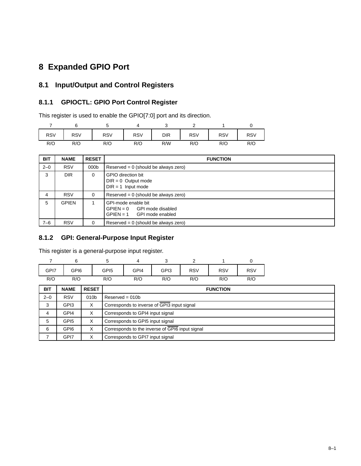# **8 Expanded GPIO Port**

# **8.1 Input/Output and Control Registers**

# **8.1.1 GPIOCTL: GPIO Port Control Register**

This register is used to enable the GPIO[7:0] port and its direction.

|            |            | ۰.         |            | ັ          |            |            |            |
|------------|------------|------------|------------|------------|------------|------------|------------|
| <b>RSV</b> | <b>RSV</b> | <b>RSV</b> | <b>RSV</b> | <b>DIR</b> | <b>RSV</b> | <b>RSV</b> | <b>RSV</b> |
| R/O        | R/O        | R/O        | R/C        | R/W        | R/O        | R/O        | R/O        |

| <b>BIT</b> | <b>NAME</b>  | <b>RESET</b>     | <b>FUNCTION</b>                                                                      |  |  |  |  |  |
|------------|--------------|------------------|--------------------------------------------------------------------------------------|--|--|--|--|--|
| $2 - 0$    | <b>RSV</b>   | 000 <sub>b</sub> | $Reserved = 0$ (should be always zero)                                               |  |  |  |  |  |
| 3          | <b>DIR</b>   | $\Omega$         | <b>GPIO</b> direction bit<br>$DIR = 0$ Output mode<br>$DIR = 1$ Input mode           |  |  |  |  |  |
| 4          | <b>RSV</b>   | 0                | Reserved = $0$ (should be always zero)                                               |  |  |  |  |  |
| 5          | <b>GPIEN</b> | 1                | GPI-mode enable bit<br>$GPIEN = 0$ GPI mode disabled<br>$GPIEN = 1$ GPI mode enabled |  |  |  |  |  |
| $7 - 6$    | <b>RSV</b>   | 0                | Reserved = $0$ (should be always zero)                                               |  |  |  |  |  |

### **8.1.2 GPI: General-Purpose Input Register**

This register is a general-purpose input register.



| <b>BIT</b> | <b>NAME</b> | <b>RESET</b>     | <b>FUNCTION</b>                                 |  |  |  |  |  |
|------------|-------------|------------------|-------------------------------------------------|--|--|--|--|--|
| $2 - 0$    | <b>RSV</b>  | 010 <sub>b</sub> | $Reserved = 010b$                               |  |  |  |  |  |
| 3          | GPI3        | X                | Corresponds to inverse of GPI3 input signal     |  |  |  |  |  |
| 4          | GPI4        | X                | Corresponds to GPI4 input signal                |  |  |  |  |  |
| 5          | GPI5        | X                | Corresponds to GPI5 input signal                |  |  |  |  |  |
| 6          | GPI6        | X                | Corresponds to the inverse of GPI6 input signal |  |  |  |  |  |
|            | GPI7        |                  | Corresponds to GPI7 input signal                |  |  |  |  |  |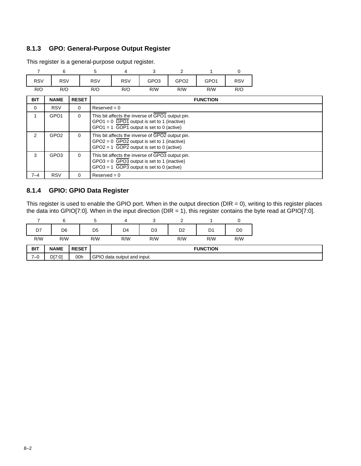## **8.1.3 GPO: General-Purpose Output Register**

|            | 6                |              | 5                        | 4                                                                                                                                                               | 3 | 2   |                  | 0          |  |  |
|------------|------------------|--------------|--------------------------|-----------------------------------------------------------------------------------------------------------------------------------------------------------------|---|-----|------------------|------------|--|--|
| <b>RSV</b> | <b>RSV</b>       |              | <b>RSV</b>               | <b>RSV</b><br>GPO <sub>3</sub><br>GPO <sub>2</sub>                                                                                                              |   |     | GPO <sub>1</sub> | <b>RSV</b> |  |  |
| R/O        | R/O              |              | R/O<br>R/O<br>R/W<br>R/W |                                                                                                                                                                 |   | R/W | R/O              |            |  |  |
| <b>BIT</b> | <b>NAME</b>      | <b>RESET</b> |                          |                                                                                                                                                                 |   |     | <b>FUNCTION</b>  |            |  |  |
| $\Omega$   | <b>RSV</b>       | $\Omega$     | $Reserved = 0$           |                                                                                                                                                                 |   |     |                  |            |  |  |
|            | GPO <sub>1</sub> | $\Omega$     |                          | This bit affects the inverse of GPO1 output pin.<br>$GPO1 = 0$ $GPO1$ output is set to 1 (inactive)<br>$GPO1 = 1$ $\overline{GOP1}$ output is set to 0 (active) |   |     |                  |            |  |  |
| 2          | GPO <sub>2</sub> | $\mathbf 0$  |                          | This bit affects the inverse of GPO2 output pin.<br>$GPO2 = 0$ $GPO2$ output is set to 1 (inactive)<br>$GPO2 = 1$ $\overline{GOP2}$ output is set to 0 (active) |   |     |                  |            |  |  |
| 3          | GPO <sub>3</sub> | $\Omega$     |                          | This bit affects the inverse of GPO3 output pin.<br>$GPO3 = 0$ $GPO3$ output is set to 1 (inactive)<br>$GPO3 = 1$ $\overline{GOP3}$ output is set to 0 (active) |   |     |                  |            |  |  |
| $7 - 4$    | <b>RSV</b>       | 0            | $Reserved = 0$           |                                                                                                                                                                 |   |     |                  |            |  |  |

This register is a general-purpose output register.

## **8.1.4 GPIO: GPIO Data Register**

This register is used to enable the GPIO port. When in the output direction ( $DIR = 0$ ), writing to this register places the data into GPIO[7:0]. When in the input direction (DIR = 1), this register contains the byte read at GPIO[7:0].

|            | 6              |              |                |                             |                |                |                 |                |  |
|------------|----------------|--------------|----------------|-----------------------------|----------------|----------------|-----------------|----------------|--|
| D7         | D <sub>6</sub> |              | D <sub>5</sub> | D <sub>4</sub>              | D <sub>3</sub> | D <sub>2</sub> | D1              | D <sub>0</sub> |  |
| R/W        | R/W            |              | R/W            | R/W                         | R/W            | R/W            | R/W             | R/W            |  |
| <b>BIT</b> | <b>NAME</b>    | <b>RESET</b> |                |                             |                |                | <b>FUNCTION</b> |                |  |
| $7 - 0$    | D[7:0]         | 00h          |                | GPIO data output and input. |                |                |                 |                |  |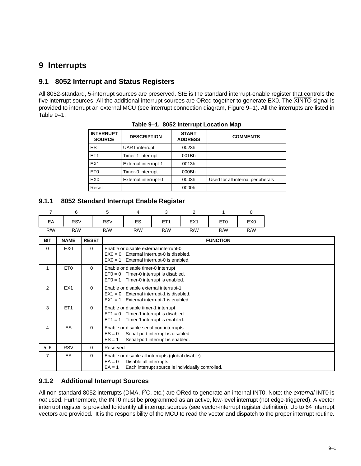# **9 Interrupts**

# **9.1 8052 Interrupt and Status Registers**

All 8052-standard, 5-interrupt sources are preserved. SIE is the standard interrupt-enable register that controls the five interrupt sources. All the additional interrupt sources are ORed together to generate EX0. The XINTO signal is provided to interrupt an external MCU (see interrupt connection diagram, Figure 9–1). All the interrupts are listed in Table 9–1.

| <b>INTERRUPT</b><br><b>SOURCE</b> | <b>DESCRIPTION</b>    | <b>START</b><br><b>ADDRESS</b> | <b>COMMENTS</b>                   |
|-----------------------------------|-----------------------|--------------------------------|-----------------------------------|
| <b>ES</b>                         | <b>UART</b> interrupt | 0023h                          |                                   |
| ET <sub>1</sub>                   | Timer-1 interrupt     | 001Bh                          |                                   |
| EX <sub>1</sub>                   | External interrupt-1  | 0013h                          |                                   |
| ET <sub>0</sub>                   | Timer-0 interrupt     | 000Bh                          |                                   |
| EX <sub>0</sub>                   | External interrupt-0  | 0003h                          | Used for all internal peripherals |
| Reset                             |                       | 0000h                          |                                   |

| Table 9-1. 8052 Interrupt Location Map |  |  |
|----------------------------------------|--|--|
|                                        |  |  |

### **9.1.1 8052 Standard Interrupt Enable Register**

|     |            |            |     | ັ               |     |                 |                 |
|-----|------------|------------|-----|-----------------|-----|-----------------|-----------------|
| EA  | <b>RSV</b> | <b>RSV</b> | ES  | ET <sub>1</sub> | EX1 | ET <sub>0</sub> | EX <sub>0</sub> |
| R/W | R/W        | R/W        | R/W | R/W             | R/W | R/W             | R/W             |

| <b>BIT</b> | <b>NAME</b>     | <b>RESET</b> | <b>FUNCTION</b>                                                                                                                                           |
|------------|-----------------|--------------|-----------------------------------------------------------------------------------------------------------------------------------------------------------|
| $\Omega$   | EX <sub>0</sub> | $\Omega$     | Enable or disable external interrupt-0<br>$EX0 = 0$ External interrupt-0 is disabled.<br>$EX0 = 1$ External interrupt-0 is enabled.                       |
|            | ET <sub>0</sub> | $\Omega$     | Enable or disable timer-0 interrupt<br>$ET0 = 0$ Timer-0 interrupt is disabled.<br>$ET0 = 1$ Timer-0 interrupt is enabled.                                |
| 2          | EX <sub>1</sub> | $\Omega$     | Enable or disable external interrupt-1<br>$EX1 = 0$ External interrupt-1 is disabled.<br>$EX1 = 1$ External interrupt-1 is enabled.                       |
| 3          | ET <sub>1</sub> | 0            | Enable or disable timer-1 interrupt<br>$ET1 = 0$ Timer-1 interrupt is disabled.<br>$ET1 = 1$ Timer-1 interrupt is enabled.                                |
| 4          | <b>ES</b>       | $\Omega$     | Enable or disable serial port interrupts<br>Serial-port interrupt is disabled.<br>$ES = 0$<br>Serial-port interrupt is enabled.<br>$ES = 1$               |
| 5, 6       | <b>RSV</b>      | 0            | Reserved                                                                                                                                                  |
| 7          | EA              | 0            | Enable or disable all interrupts (global disable)<br>$EA = 0$<br>Disable all interrupts.<br>Each interrupt source is individually controlled.<br>$EA = 1$ |

### **9.1.2 Additional Interrupt Sources**

All non-standard 8052 interrupts (DMA, I<sup>2</sup>C, etc.) are ORed to generate an internal INT0. Note: the external INT0 is not used. Furthermore, the INT0 must be programmed as an active, low-level interrupt (not edge-triggered). A vector interrupt register is provided to identify all interrupt sources (see vector-interrupt register definition). Up to 64 interrupt vectors are provided. It is the responsibility of the MCU to read the vector and dispatch to the proper interrupt routine.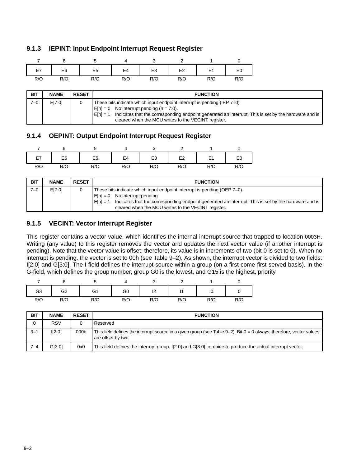### **9.1.3 IEPINT: Input Endpoint Interrupt Request Register**

| E7  | E <sub>6</sub> | E <sub>5</sub> | E4  | E3  | F۶<br>-- | E <sub>1</sub> | r c<br>ΕU |
|-----|----------------|----------------|-----|-----|----------|----------------|-----------|
| R/O | R/C            | R/O            | R/C | R/C | R/O      | R/C            | R/C       |

| <b>BIT</b> | <b>NAME</b> | <b>RESET</b> | <b>FUNCTION</b>                                                                                                                                                                                                                                                                                       |
|------------|-------------|--------------|-------------------------------------------------------------------------------------------------------------------------------------------------------------------------------------------------------------------------------------------------------------------------------------------------------|
| $7 - 0$    | E[7:0]      |              | These bits indicate which input endpoint interrupt is pending (IEP 7–0)<br>$E[n] = 0$ No interrupt pending $(n = 7:0)$ .<br>Indicates that the corresponding endpoint generated an interrupt. This is set by the hardware and is<br>$E[n] = 1$<br>cleared when the MCU writes to the VECINT register. |

### **9.1.4 OEPINT: Output Endpoint Interrupt Request Register**

| E7  | E <sub>6</sub> | E <sub>5</sub> | E4  | E <sub>3</sub> | E <sub>2</sub> | F <sub>1</sub> | E <sub>0</sub> |
|-----|----------------|----------------|-----|----------------|----------------|----------------|----------------|
| R/O | R/C            | R/O            | R/C | R/C            | R/O            | R/O            | R/C            |

| <b>BIT</b> | <b>NAME</b> | <b>RESET</b> | <b>FUNCTION</b>                                                                                                                                                                                                                                                                          |
|------------|-------------|--------------|------------------------------------------------------------------------------------------------------------------------------------------------------------------------------------------------------------------------------------------------------------------------------------------|
| $7 - 0$    | E[7:0]      |              | These bits indicate which input endpoint interrupt is pending (OEP 7-0).<br>$E[n] = 0$ No interrupt pending<br>Indicates that the corresponding endpoint generated an interrupt. This is set by the hardware and is<br>$E[n] = 1$<br>cleared when the MCU writes to the VECINT register. |

## **9.1.5 VECINT: Vector Interrupt Register**

This register contains a vector value, which identifies the internal interrupt source that trapped to location 0003H. Writing (any value) to this register removes the vector and updates the next vector value (if another interrupt is pending). Note that the vector value is offset; therefore, its value is in increments of two (bit-0 is set to 0). When no interrupt is pending, the vector is set to 00h (see Table 9–2). As shown, the interrupt vector is divided to two fields: I[2:0] and G[3:0]. The I-field defines the interrupt source within a group (on a first-come-first-served basis). In the G-field, which defines the group number, group G0 is the lowest, and G15 is the highest, priority.

| G3  | G2  | G1  | G0  | $\overline{ }$<br>ı |     | IО  |     |
|-----|-----|-----|-----|---------------------|-----|-----|-----|
| R/O | R/O | R/O | R/C | R/C                 | R/C | R/O | R/O |

| <b>BIT</b> | <b>NAME</b> | <b>RESET</b>     | <b>FUNCTION</b>                                                                                                                            |
|------------|-------------|------------------|--------------------------------------------------------------------------------------------------------------------------------------------|
| 0          | <b>RSV</b>  |                  | Reserved                                                                                                                                   |
| $3 - 1$    | 1[2:0]      | 000 <sub>b</sub> | This field defines the interrupt source in a given group (see Table 9–2). Bit-0 = 0 always; therefore, vector values<br>are offset by two. |
| $7 - 4$    | G[3:0]      | 0x0              | This field defines the interrupt group. I[2:0] and G[3:0] combine to produce the actual interrupt vector.                                  |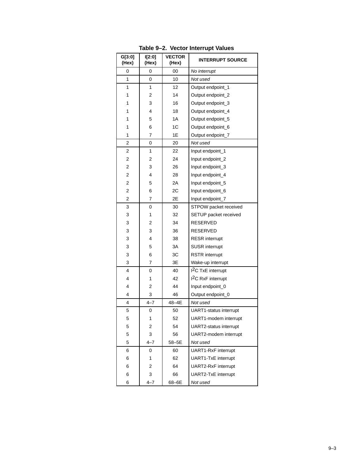| G[3:0]<br>(Hex) | 2:0 <br>(Hex) | <b>VECTOR</b><br>(Hex) | <b>INTERRUPT SOURCE</b>        |
|-----------------|---------------|------------------------|--------------------------------|
| 0               | 0             | 00                     | No interrupt                   |
| 1               | 0             | 10                     | Not used                       |
| 1               | 1             | 12                     | Output endpoint_1              |
| 1               | 2             | 14                     | Output endpoint_2              |
| 1               | 3             | 16                     | Output endpoint_3              |
| 1               | 4             | 18                     | Output endpoint_4              |
| 1               | 5             | 1A                     | Output endpoint_5              |
| 1               | 6             | 1 <sub>C</sub>         | Output endpoint_6              |
| 1               | 7             | 1Е                     | Output endpoint_7              |
| 2               | 0             | 20                     | Not used                       |
| 2               | 1             | 22                     | Input endpoint_1               |
| 2               | 2             | 24                     | Input endpoint_2               |
| 2               | 3             | 26                     | Input endpoint_3               |
| 2               | 4             | 28                     | Input endpoint_4               |
| $\overline{2}$  | 5             | 2Α                     | Input endpoint_5               |
| 2               | 6             | 2C                     | Input endpoint_6               |
| $\overline{2}$  | 7             | 2Е                     | Input endpoint_7               |
| 3               | 0             | 30                     | STPOW packet received          |
| 3               | 1             | 32                     | SETUP packet received          |
| 3               | 2             | 34                     | RESERVED                       |
| 3               | 3             | 36                     | RESERVED                       |
| 3               | 4             | 38                     | <b>RESR</b> interrupt          |
| 3               | 5             | ЗA                     | <b>SUSR</b> interrupt          |
| 3               | 6             | 3C                     | <b>RSTR</b> interrupt          |
| 3               | 7             | 3E                     | Wake-up interrupt              |
| 4               | 0             | 40                     | I <sup>2</sup> C TxE interrupt |
| 4               | 1             | 42                     | I <sup>2</sup> C RxF interrupt |
| 4               | 2             | 44                     | Input endpoint_0               |
| 4               | 3             | 46                     | Output endpoint_0              |
| 4               | 4–7           | 48-4E                  | Not used                       |
| 5               | 0             | 50                     | UART1-status interrupt         |
| 5               | 1             | 52                     | UART1-modem interrupt          |
| 5               | 2             | 54                     | UART2-status interrupt         |
| 5               | 3             | 56                     | UART2-modem interrupt          |
| 5               | 4–7           | 58-5E                  | Not used                       |
| 6               | 0             | 60                     | UART1-RxF interrupt            |
| 6               | 1             | 62                     | UART1-TxE interrupt            |
| 6               | 2             | 64                     | UART2-RxF interrupt            |
| 6               | 3             | 66                     | UART2-TxE interrupt            |
| 6               | 4–7           | 68-6E                  | Not used                       |

**Table 9–2. Vector Interrupt Values**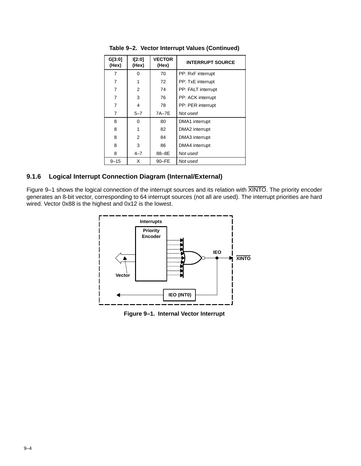| G[3:0]<br>(Hex) | [2:0]<br>(Hex) | <b>VECTOR</b><br>(Hex) | <b>INTERRUPT SOURCE</b> |
|-----------------|----------------|------------------------|-------------------------|
| 7               | 0              | 70                     | PP: RxF interrupt       |
| 7               | 1              | 72                     | PP: TxE interrupt       |
| 7               | 2              | 74                     | PP: FALT interrupt      |
| 7               | 3              | 76                     | PP: ACK interrupt       |
| 7               | 4              | 78                     | PP: PER interrupt       |
| 7               | $5 - 7$        | 7A-7E                  | Not used                |
| 8               | 0              | 80                     | DMA1 interrupt          |
| 8               | 1              | 82                     | DMA2 interrupt          |
| 8               | $\mathcal{P}$  | 84                     | DMA3 interrupt          |
| 8               | 3              | 86                     | DMA4 interrupt          |
| 8               | $4 - 7$        | 88-8E                  | Not used                |
| $9 - 15$        | X              | 90-FE                  | Not used                |

**Table 9–2. Vector Interrupt Values (Continued)**

### **9.1.6 Logical Interrupt Connection Diagram (Internal/External)**

Figure 9–1 shows the logical connection of the interrupt sources and its relation with XINTO. The priority encoder generates an 8-bit vector, corresponding to 64 interrupt sources (not all are used). The interrupt priorities are hard wired. Vector 0x88 is the highest and 0x12 is the lowest.



**Figure 9–1. Internal Vector Interrupt**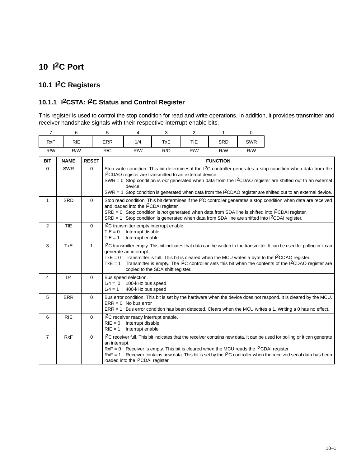# **10 I2C Port**

# **10.1 I2C Registers**

# **10.1.1 I2CSTA: I2C Status and Control Register**

This register is used to control the stop condition for read and write operations. In addition, it provides transmitter and receiver handshake signals with their respective interrupt-enable bits.

| 7              | 6           |              | 5                      | 4                                                                                                                                                                                                                                                                                                                                                                                                                                                              | 3                                                    | 2          | 1               | 0          |                                                                                                                                                                                                                               |  |  |  |
|----------------|-------------|--------------|------------------------|----------------------------------------------------------------------------------------------------------------------------------------------------------------------------------------------------------------------------------------------------------------------------------------------------------------------------------------------------------------------------------------------------------------------------------------------------------------|------------------------------------------------------|------------|-----------------|------------|-------------------------------------------------------------------------------------------------------------------------------------------------------------------------------------------------------------------------------|--|--|--|
| <b>RxF</b>     | <b>RIE</b>  |              | <b>ERR</b>             | 1/4                                                                                                                                                                                                                                                                                                                                                                                                                                                            | <b>TxE</b>                                           | <b>TIE</b> | <b>SRD</b>      | <b>SWR</b> |                                                                                                                                                                                                                               |  |  |  |
| R/W            | R/W         |              | R/C                    | R/W                                                                                                                                                                                                                                                                                                                                                                                                                                                            | R/O                                                  | R/W        | R/W             | R/W        |                                                                                                                                                                                                                               |  |  |  |
| <b>BIT</b>     | <b>NAME</b> | <b>RESET</b> |                        |                                                                                                                                                                                                                                                                                                                                                                                                                                                                |                                                      |            | <b>FUNCTION</b> |            |                                                                                                                                                                                                                               |  |  |  |
| 0              | <b>SWR</b>  | $\mathbf 0$  |                        | Stop write condition. This bit determines if the $12C$ controller generates a stop condition when data from the<br>I <sup>2</sup> CDAO register are transmitted to an external device.<br>SWR = 0 Stop condition is not generated when data from the $1^2$ CDAO register are shifted out to an external<br>device.<br>SWR = 1 Stop condition is generated when data from the $1^2$ CDAO register are shifted out to an external device.                        |                                                      |            |                 |            |                                                                                                                                                                                                                               |  |  |  |
| $\mathbf{1}$   | <b>SRD</b>  | $\Omega$     |                        | Stop read condition. This bit determines if the I <sup>2</sup> C controller generates a stop condition when data are received<br>and loaded into the I <sup>2</sup> CDAI register.<br>$SRD = 0$ Stop condition is <i>not</i> generated when data from SDA line is shifted into $1^2CDAI$ register.<br>SRD = 1 Stop condition is generated when data from SDA line are shifted into I <sup>2</sup> CDAI register.                                               |                                                      |            |                 |            |                                                                                                                                                                                                                               |  |  |  |
| 2              | <b>TIE</b>  | $\Omega$     | $TIE = 0$<br>$TIE = 1$ | Interrupt disable<br>Interrupt enable                                                                                                                                                                                                                                                                                                                                                                                                                          | I <sup>2</sup> C transmitter empty interrupt enable. |            |                 |            |                                                                                                                                                                                                                               |  |  |  |
| 3              | <b>TxE</b>  | $\mathbf{1}$ | $TxE = 1$              | I <sup>2</sup> C transmitter empty. This bit indicates that data can be written to the transmitter. It can be used for polling or it can<br>generate an interrupt.<br>$TxE = 0$ Transmitter is full. This bit is cleared when the MCU writes a byte to the I <sup>2</sup> CDAO register.<br>Transmitter is empty. The I <sup>2</sup> C controller sets this bit when the contents of the I <sup>2</sup> CDAO register are<br>copied to the SDA shift register. |                                                      |            |                 |            |                                                                                                                                                                                                                               |  |  |  |
| 4              | 1/4         | $\Omega$     | $1/4 = 1$              | Bus speed selection.<br>$1/4 = 0$ 100-kHz bus speed<br>400-kHz bus speed                                                                                                                                                                                                                                                                                                                                                                                       |                                                      |            |                 |            |                                                                                                                                                                                                                               |  |  |  |
| 5              | <b>ERR</b>  | $\Omega$     |                        | $ERR = 0$ No bus error                                                                                                                                                                                                                                                                                                                                                                                                                                         |                                                      |            |                 |            | Bus error condition. This bit is set by the hardware when the device does not respond. It is cleared by the MCU.<br>ERR = 1 Bus error condition has been detected. Clears when the MCU writes a 1. Writing a 0 has no effect. |  |  |  |
| 6              | <b>RIE</b>  | $\mathbf 0$  | $RIE = 0$<br>$RIE = 1$ | I <sup>2</sup> C receiver ready interrupt enable.<br>Interrupt disable<br>Interrupt enable                                                                                                                                                                                                                                                                                                                                                                     |                                                      |            |                 |            |                                                                                                                                                                                                                               |  |  |  |
| $\overline{7}$ | <b>RxF</b>  | $\Omega$     |                        | I <sup>2</sup> C receiver full. This bit indicates that the receiver contains new data. It can be used for polling or it can generate<br>an interrupt.<br>$RxF = 0$ Receiver is empty. This bit is cleared when the MCU reads the I <sup>2</sup> CDAI register.<br>$RxF = 1$ Receiver contains new data. This bit is set by the $l^2C$ controller when the received serial data has been<br>loaded into the I <sup>2</sup> CDAI register.                      |                                                      |            |                 |            |                                                                                                                                                                                                                               |  |  |  |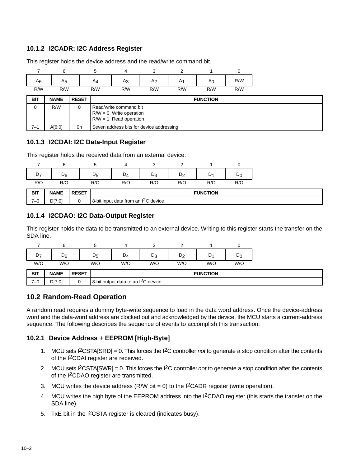## **10.1.2 I2CADR: I2C Address Register**

|            | 6              |              | 5     | 4                                                                               | 3                                        | 2              |                 | 0   |  |
|------------|----------------|--------------|-------|---------------------------------------------------------------------------------|------------------------------------------|----------------|-----------------|-----|--|
| $A_6$      | A <sub>5</sub> |              | $A_4$ | A <sub>3</sub>                                                                  | A <sub>2</sub>                           | A <sub>1</sub> | A <sub>0</sub>  | R/W |  |
| R/W        | R/W            |              | R/W   | R/W                                                                             | R/W                                      | R/W            | R/W             | R/W |  |
| <b>BIT</b> | <b>NAME</b>    | <b>RESET</b> |       |                                                                                 |                                          |                | <b>FUNCTION</b> |     |  |
| $\Omega$   | R/W            | 0            |       | Read/write command bit<br>$R/W = 0$ Write operation<br>$R/W = 1$ Read operation |                                          |                |                 |     |  |
| $7 - 1$    | A[6:0]         | 0h           |       |                                                                                 | Seven address bits for device addressing |                |                 |     |  |

This register holds the device address and the read/write command bit.

### **10.1.3 I2CDAI: I2C Data-Input Register**

This register holds the received data from an external device.

| D <sub>7</sub> | D <sub>6</sub> |              | $D_5$ | $D_4$                                            | $D_3$ | D2  | D <sub>1</sub>  | $_{\mathsf{D}_0}$ |
|----------------|----------------|--------------|-------|--------------------------------------------------|-------|-----|-----------------|-------------------|
| R/O            | R/O            |              | R/O   | R/O                                              | R/O   | R/O | R/O             | R/O               |
| <b>BIT</b>     | <b>NAME</b>    | <b>RESET</b> |       |                                                  |       |     | <b>FUNCTION</b> |                   |
| $7 - 0$        | D[7:0]         | 0            |       | 8-bit input data from an I <sup>2</sup> C device |       |     |                 |                   |

### **10.1.4 I2CDAO: I2C Data-Output Register**

This register holds the data to be transmitted to an external device. Writing to this register starts the transfer on the SDA line.

| D <sub>7</sub> | $D_6$       |              | $D_5$ | $D_4$                                           | D3  | $D_2$ | D <sub>1</sub>  | D <sub>0</sub> |  |
|----------------|-------------|--------------|-------|-------------------------------------------------|-----|-------|-----------------|----------------|--|
| W/O            | W/O         |              | W/O   | W/O                                             | W/O | W/O   | W/O             | W/O            |  |
| <b>BIT</b>     | <b>NAME</b> | <b>RESET</b> |       |                                                 |     |       | <b>FUNCTION</b> |                |  |
| $7 - 0$        | D[7:0]      | n            |       | 8-bit output data to an I <sup>2</sup> C device |     |       |                 |                |  |

## **10.2 Random-Read Operation**

A random read requires a dummy byte-write sequence to load in the data word address. Once the device-address word and the data-word address are clocked out and acknowledged by the device, the MCU starts a current-address sequence. The following describes the sequence of events to accomplish this transaction:

## **10.2.1 Device Address + EEPROM [High-Byte]**

- 1. MCU sets  $12$ CSTA[SRD] = 0. This forces the  $12$ C controller *not* to generate a stop condition after the contents of the I2CDAI register are received.
- 2. MCU sets  $1^2$ CSTA[SWR] = 0. This forces the  $1^2$ C controller *not* to generate a stop condition after the contents of the I2CDAO register are transmitted.
- 3. MCU writes the device address (R/W bit = 0) to the  ${}^{12}$ CADR register (write operation).
- 4. MCU writes the high byte of the EEPROM address into the I<sup>2</sup>CDAO register (this starts the transfer on the SDA line).
- 5. TxE bit in the I<sup>2</sup>CSTA register is cleared (indicates busy).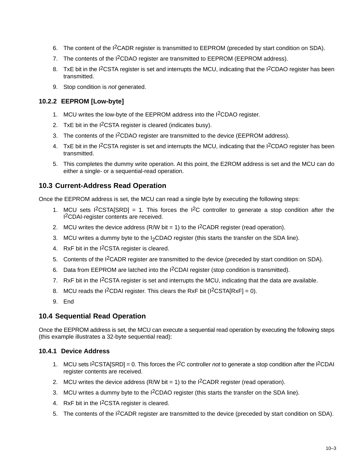- 6. The content of the I2CADR register is transmitted to EEPROM (preceded by start condition on SDA).
- 7. The contents of the I<sup>2</sup>CDAO register are transmitted to EEPROM (EEPROM address).
- 8. TxE bit in the I<sup>2</sup>CSTA register is set and interrupts the MCU, indicating that the I<sup>2</sup>CDAO register has been transmitted.
- 9. Stop condition is not generated.

### **10.2.2 EEPROM [Low-byte]**

- 1. MCU writes the low-byte of the EEPROM address into the I<sup>2</sup>CDAO register.
- 2. TxE bit in the  $1^2$ CSTA register is cleared (indicates busy).
- 3. The contents of the I<sup>2</sup>CDAO register are transmitted to the device (EEPROM address).
- 4. TxE bit in the I<sup>2</sup>CSTA register is set and interrupts the MCU, indicating that the I<sup>2</sup>CDAO register has been transmitted.
- 5. This completes the dummy write operation. At this point, the E2ROM address is set and the MCU can do either a single- or a sequential-read operation.

## **10.3 Current-Address Read Operation**

Once the EEPROM address is set, the MCU can read a single byte by executing the following steps:

- 1. MCU sets  $1^2CSTA[SRD] = 1$ . This forces the  $1^2C$  controller to generate a stop condition after the I2CDAI-register contents are received.
- 2. MCU writes the device address  $(R/W)$  bit = 1) to the I<sup>2</sup>CADR register (read operation).
- 3. MCU writes a dummy byte to the  $I_2CDAO$  register (this starts the transfer on the SDA line).
- 4. RxF bit in the I<sup>2</sup>CSTA register is cleared.
- 5. Contents of the I2CADR register are transmitted to the device (preceded by start condition on SDA).
- 6. Data from EEPROM are latched into the I2CDAI register (stop condition is transmitted).
- 7. RxF bit in the I<sup>2</sup>CSTA register is set and interrupts the MCU, indicating that the data are available.
- 8. MCU reads the I<sup>2</sup>CDAI register. This clears the RxF bit (I<sup>2</sup>CSTA[RxF] = 0).
- 9. End

## **10.4 Sequential Read Operation**

Once the EEPROM address is set, the MCU can execute a sequential read operation by executing the following steps (this example illustrates a 32-byte sequential read):

### **10.4.1 Device Address**

- 1. MCU sets I<sup>2</sup>CSTA[SRD] = 0. This forces the I<sup>2</sup>C controller *not* to generate a stop condition after the I<sup>2</sup>CDAI register contents are received.
- 2. MCU writes the device address (R/W bit = 1) to the  $1^2$ CADR register (read operation).
- 3. MCU writes a dummy byte to the I<sup>2</sup>CDAO register (this starts the transfer on the SDA line).
- 4. RxF bit in the I2CSTA register is cleared.
- 5. The contents of the I<sup>2</sup>CADR register are transmitted to the device (preceded by start condition on SDA).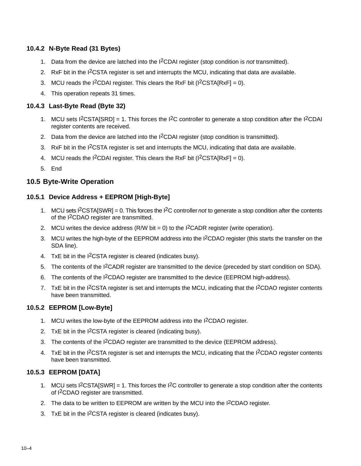### **10.4.2 N-Byte Read (31 Bytes)**

- 1. Data from the device are latched into the I<sup>2</sup>CDAI register (stop condition is *not* transmitted).
- 2. RxF bit in the I2CSTA register is set and interrupts the MCU, indicating that data are available.
- 3. MCU reads the I<sup>2</sup>CDAI register. This clears the RxF bit (I<sup>2</sup>CSTA[RxF] = 0).
- 4. This operation repeats 31 times.

#### **10.4.3 Last-Byte Read (Byte 32)**

- 1. MCU sets  $1^2$ CSTA[SRD] = 1. This forces the  $1^2$ C controller to generate a stop condition after the  $1^2$ CDAI register contents are received.
- 2. Data from the device are latched into the I<sup>2</sup>CDAI register (stop condition is transmitted).
- 3. RxF bit in the  ${}^{12}$ CSTA register is set and interrupts the MCU, indicating that data are available.
- 4. MCU reads the I<sup>2</sup>CDAI register. This clears the RxF bit (I<sup>2</sup>CSTA[RxF] = 0).
- 5. End

### **10.5 Byte-Write Operation**

#### **10.5.1 Device Address + EEPROM [High-Byte]**

- 1. MCU sets I<sup>2</sup>CSTA[SWR] = 0. This forces the I<sup>2</sup>C controller not to generate a stop condition after the contents of the I2CDAO register are transmitted.
- 2. MCU writes the device address (R/W bit = 0) to the  ${}^{12}$ CADR register (write operation).
- 3. MCU writes the high-byte of the EEPROM address into the I<sup>2</sup>CDAO register (this starts the transfer on the SDA line).
- 4. TxE bit in the I<sup>2</sup>CSTA register is cleared (indicates busy).
- 5. The contents of the I2CADR register are transmitted to the device (preceded by start condition on SDA).
- 6. The contents of the I2CDAO register are transmitted to the device (EEPROM high-address).
- 7. TxE bit in the I<sup>2</sup>CSTA register is set and interrupts the MCU, indicating that the I<sup>2</sup>CDAO register contents have been transmitted.

#### **10.5.2 EEPROM [Low-Byte]**

- 1. MCU writes the low-byte of the EEPROM address into the I<sup>2</sup>CDAO register.
- 2. TxE bit in the I<sup>2</sup>CSTA register is cleared (indicating busy).
- 3. The contents of the I2CDAO register are transmitted to the device (EEPROM address).
- 4. TxE bit in the I<sup>2</sup>CSTA register is set and interrupts the MCU, indicating that the I<sup>2</sup>CDAO register contents have been transmitted.

### **10.5.3 EEPROM [DATA]**

- 1. MCU sets I2CSTA[SWR] = 1. This forces the I2C controller to generate a stop condition after the contents of I2CDAO register are transmitted.
- 2. The data to be written to EEPROM are written by the MCU into the I<sup>2</sup>CDAO register.
- 3. TxE bit in the I<sup>2</sup>CSTA register is cleared (indicates busy).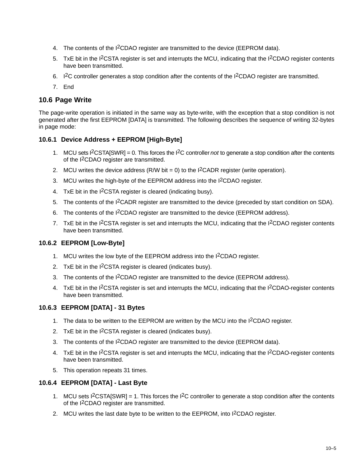- 4. The contents of the I<sup>2</sup>CDAO register are transmitted to the device (EEPROM data).
- 5. TxE bit in the I2CSTA register is set and interrupts the MCU, indicating that the I2CDAO register contents have been transmitted.
- 6. I2C controller generates a stop condition after the contents of the I2CDAO register are transmitted.
- 7. End

### **10.6 Page Write**

The page-write operation is initiated in the same way as byte-write, with the exception that a stop condition is not generated after the first EEPROM [DATA] is transmitted. The following describes the sequence of writing 32-bytes in page mode:

### **10.6.1 Device Address + EEPROM [High-Byte]**

- 1. MCU sets I<sup>2</sup>CSTA[SWR] = 0. This forces the I<sup>2</sup>C controller *not* to generate a stop condition after the contents of the I2CDAO register are transmitted.
- 2. MCU writes the device address (R/W bit = 0) to the  $1^2$ CADR register (write operation).
- 3. MCU writes the high-byte of the EEPROM address into the I2CDAO register.
- 4. TxE bit in the I<sup>2</sup>CSTA register is cleared (indicating busy).
- 5. The contents of the I2CADR register are transmitted to the device (preceded by start condition on SDA).
- 6. The contents of the I2CDAO register are transmitted to the device (EEPROM address).
- 7. TxE bit in the I<sup>2</sup>CSTA register is set and interrupts the MCU, indicating that the I<sup>2</sup>CDAO register contents have been transmitted.

### **10.6.2 EEPROM [Low-Byte]**

- 1. MCU writes the low byte of the EEPROM address into the I<sup>2</sup>CDAO register.
- 2. TxE bit in the  $1^2$ CSTA register is cleared (indicates busy).
- 3. The contents of the I<sup>2</sup>CDAO register are transmitted to the device (EEPROM address).
- 4. TxE bit in the I<sup>2</sup>CSTA register is set and interrupts the MCU, indicating that the I<sup>2</sup>CDAO-register contents have been transmitted.

### **10.6.3 EEPROM [DATA] - 31 Bytes**

- 1. The data to be written to the EEPROM are written by the MCU into the  $12$ CDAO register.
- 2. TxE bit in the  $1^2$ CSTA register is cleared (indicates busy).
- 3. The contents of the I<sup>2</sup>CDAO register are transmitted to the device (EEPROM data).
- 4. TxE bit in the I<sup>2</sup>CSTA register is set and interrupts the MCU, indicating that the I<sup>2</sup>CDAO-register contents have been transmitted.
- 5. This operation repeats 31 times.

### **10.6.4 EEPROM [DATA] - Last Byte**

- 1. MCU sets  $12$ CSTA[SWR] = 1. This forces the  $12$ C controller to generate a stop condition after the contents of the I2CDAO register are transmitted.
- 2. MCU writes the last date byte to be written to the EEPROM, into I<sup>2</sup>CDAO register.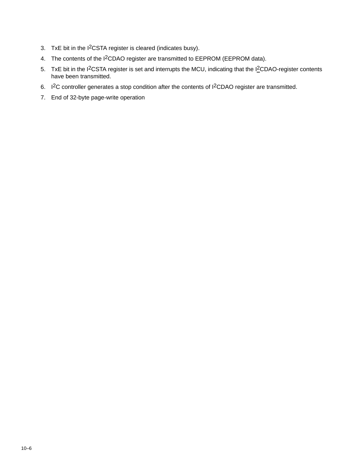- 3. TxE bit in the I<sup>2</sup>CSTA register is cleared (indicates busy).
- 4. The contents of the I<sup>2</sup>CDAO register are transmitted to EEPROM (EEPROM data).
- 5. TxE bit in the I<sup>2</sup>CSTA register is set and interrupts the MCU, indicating that the I<sup>2</sup>CDAO-register contents have been transmitted.
- 6. I2C controller generates a stop condition after the contents of I2CDAO register are transmitted.
- 7. End of 32-byte page-write operation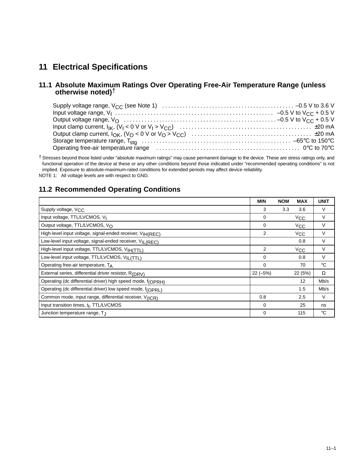# **11 Electrical Specifications**

### **11.1 Absolute Maximum Ratings Over Operating Free-Air Temperature Range (unless otherwise noted)**†

| Operating free-air temperature range (encontainmental contract and the officer of the 70°C to 70°C |  |
|----------------------------------------------------------------------------------------------------|--|

† Stresses beyond those listed under "absolute maximum ratings" may cause permanent damage to the device. These are stress ratings only, and functional operation of the device at these or any other conditions beyond those indicated under "recommended operating conditions" is not implied. Exposure to absolute-maximum-rated conditions for extended periods may affect device reliability.

NOTE 1: All voltage levels are with respect to GND.

## **11.2 Recommended Operating Conditions**

|                                                             | <b>MIN</b> | <b>MAX</b><br><b>NOM</b> | <b>UNIT</b> |
|-------------------------------------------------------------|------------|--------------------------|-------------|
| Supply voltage, V <sub>CC</sub>                             | 3          | 3.3<br>3.6               |             |
| Input voltage, TTL/LVCMOS, V <sub>I</sub>                   | 0          | $V_{\rm CC}$             |             |
| Output voltage, TTL/LVCMOS, Vo                              | 0          | $V_{\rm CC}$             | V           |
| High-level input voltage, signal-ended receiver, VIH(REC)   | 2          | <b>V<sub>CC</sub></b>    | V           |
| Low-level input voltage, signal-ended receiver, VIL(REC)    |            | 0.8                      | V           |
| High-level input voltage, TTL/LVCMOS, VIH(TTL)              | 2          | $V_{CC}$                 | V           |
| Low-level input voltage, TTL/LVCMOS, VIL(TTL)               | 0          | 0.8                      | V           |
| Operating free-air temperature, TA                          | 0          | 70                       | $^{\circ}C$ |
| External series, differential driver resistor, R(DRV)       | $22(-5%)$  | 22 (5%)                  | $\Omega$    |
| Operating (dc differential driver) high speed mode, f(OPRH) |            | 12                       | Mb/s        |
| Operating (dc differential driver) low speed mode, f(OPRL)  |            | 1.5                      | Mb/s        |
| Common mode, input range, differential receiver, V(ICR)     | 0.8        | 2.5                      | V           |
| Input transition times, t <sub>t</sub> , TTL/LVCMOS         | 0          | 25                       | ns          |
| Junction temperature range, $T_{\perp}$                     | 0          | 115                      | °C          |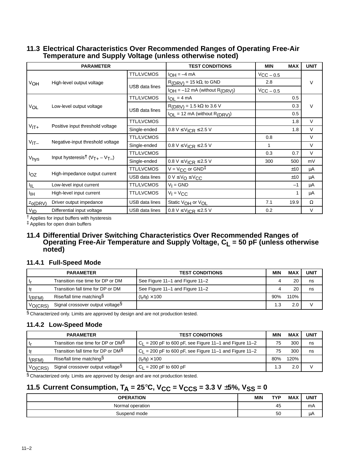#### **11.3 Electrical Characteristics Over Recommended Ranges of Operating Free-Air Temperature and Supply Voltage (unless otherwise noted)**

|                  | <b>PARAMETER</b>                                    |                   | <b>TEST CONDITIONS</b>                    | <b>MIN</b>            | <b>MAX</b> | <b>UNIT</b> |
|------------------|-----------------------------------------------------|-------------------|-------------------------------------------|-----------------------|------------|-------------|
|                  |                                                     | <b>TTL/LVCMOS</b> | $I_{OH} = -4 mA$                          | $VCC - 0.5$           |            |             |
| ∨он              | High-level output voltage                           |                   | $R(DRV) = 15 k\Omega$ , to GND            | 2.8                   |            | V           |
|                  |                                                     | USB data lines    | $I_{OH} = -12$ mA (without $R_{(DRV)}$ )  | $V_{\text{CC} - 0.5}$ |            |             |
|                  |                                                     | <b>TTL/LVCMOS</b> | $I_{OL}$ = 4 mA                           |                       | 0.5        |             |
| VOL              | Low-level output voltage                            |                   | $R(DRV) = 1.5 k\Omega$ to 3.6 V           |                       | 0.3        | V           |
|                  |                                                     | USB data lines    | $I_{OL}$ = 12 mA (without $R(DRV)$ )      |                       | 0.5        |             |
|                  |                                                     | <b>TTL/LVCMOS</b> |                                           |                       | 1.8        | V           |
| $V_{\text{IT+}}$ | Positive input threshold voltage                    | Single-ended      | $0.8 V \leq V_{ICR} \leq 2.5 V$           |                       | 1.8        | $\vee$      |
|                  |                                                     | <b>TTL/LVCMOS</b> |                                           | 0.8                   |            | V           |
| $V_{IT-}$        | Negative-input threshold voltage                    | Single-ended      | $0.8 V \leq V_{ICR} \leq 2.5 V$           | 1                     |            | $\vee$      |
|                  |                                                     | <b>TTL/LVCMOS</b> |                                           | 0.3                   | 0.7        | V           |
| Vhys             | Input hysteresis <sup>†</sup> ( $V_{T+} - V_{T-}$ ) | Single-ended      | $0.8 V \le V_{ICR} \le 2.5 V$             | 300                   | 500        | mV          |
|                  |                                                     | <b>TTL/LVCMOS</b> | $V = V_{CC}$ or GND <sup>‡</sup>          |                       | ±10        | μA          |
| $I_{OZ}$         | High-impedance output current                       | USB data lines    | $0 V \leq V_O \leq V_{CC}$                |                       | ±10        | μA          |
| IIL.             | Low-level input current                             | <b>TTL/LVCMOS</b> | $V_I = GND$                               |                       | $-1$       | μA          |
| ŀщ               | High-level input current                            | <b>TTL/LVCMOS</b> | $V_I = V_{CC}$                            |                       | 1          | μA          |
| $Z_0(DRV)$       | Driver output impedance                             | USB data lines    | Static V <sub>OH</sub> or V <sub>OL</sub> | 7.1                   | 19.9       | Ω           |
| <b>VID</b>       | Differential input voltage                          | USB data lines    | $0.8 V \leq V_{ICR} \leq 2.5 V$           | 0.2                   |            | V           |

† Applies for input buffers with hysteresis

‡ Applies for open drain buffers

**11.4 Differential Driver Switching Characteristics Over Recommended Ranges of Operating Free-Air Temperature and Supply Voltage, CL = 50 pF (unless otherwise noted)**

### **11.4.1 Full-Speed Mode**

|                    | <b>PARAMETER</b>                             | <b>TEST CONDITIONS</b>          | MIN | <b>MAX</b> | <b>UNIT</b> |
|--------------------|----------------------------------------------|---------------------------------|-----|------------|-------------|
|                    | Transition rise time for DP or DM            | See Figure 11-1 and Figure 11-2 |     | 20         | ns          |
| t۴                 | Transition fall time for DP or DM            | See Figure 11-1 and Figure 11-2 |     | 20         | ns          |
| <sup>t</sup> (RFM) | Rise/fall time matching <sup>§</sup>         | $(t_r/t_f) \times 100$          | 90% | 110%       |             |
| $V_{O(CRS)}$       | Signal crossover output voltage <sup>§</sup> |                                 | 1.3 | 2.0        |             |

§ Characterized only. Limits are approved by design and are not production tested.

### **11.4.2 Low-Speed Mode**

|              | <b>PARAMETER</b>                             | <b>TEST CONDITIONS</b>                                    | <b>MIN</b> | <b>MAX</b> | <b>UNIT</b> |
|--------------|----------------------------------------------|-----------------------------------------------------------|------------|------------|-------------|
|              | Transition rise time for DP or DMS           | $C_1$ = 200 pF to 600 pF, see Figure 11–1 and Figure 11–2 | 75         | 300        | ns          |
|              | Transition fall time for DP or DMS           | $C_L$ = 200 pF to 600 pF, see Figure 11-1 and Figure 11-2 | 75         | 300        | ns          |
| $t(RFM)$     | Rise/fall time matching§                     | $(t_r/t_f) \times 100$                                    | 80%        | 120%       |             |
| $V_{O(CRS)}$ | Signal crossover output voltage <sup>§</sup> | $C_1 = 200$ pF to 600 pF                                  | 1.3        | 2.0        |             |

§ Characterized only. Limits are approved by design and are not production tested.

# **11.5 Current Consumption,**  $T_A = 25^{\circ}C$ **,**  $V_{CC} = V_{CCS} = 3.3 V \pm 5\%$ **,**  $V_{SS} = 0$

| <b>OPERATION</b> | <b>MIN</b> | TVD | <b>MAX</b> | <b>UNIT</b> |
|------------------|------------|-----|------------|-------------|
| Normal operation |            | 45  |            | mA          |
| Suspend mode     |            | 50  |            | μA          |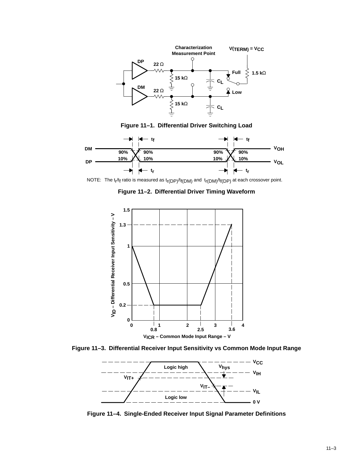

**Figure 11–1. Differential Driver Switching Load**



NOTE: The t<sub>r</sub>/t<sub>f</sub> ratio is measured as t<sub>r</sub>(DP)<sup>/t</sup>f(DM) and t<sub>r</sub>(DM)<sup>/t</sup>f(DP) at each crossover point.

**Figure 11–2. Differential Driver Timing Waveform**



**Figure 11–3. Differential Receiver Input Sensitivity vs Common Mode Input Range**



**Figure 11–4. Single-Ended Receiver Input Signal Parameter Definitions**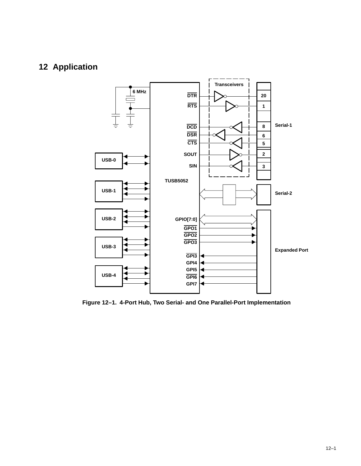# **12 Application**



**Figure 12–1. 4-Port Hub, Two Serial- and One Parallel-Port Implementation**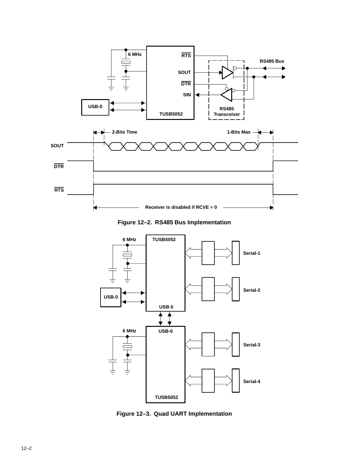





**Figure 12–3. Quad UART Implementation**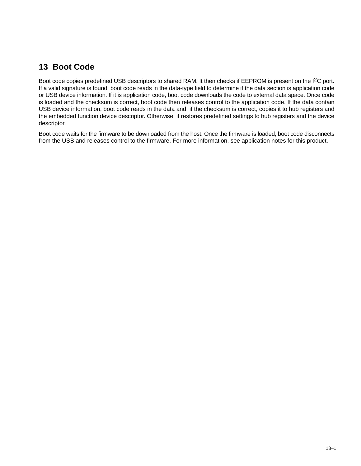## **13 Boot Code**

Boot code copies predefined USB descriptors to shared RAM. It then checks if EEPROM is present on the I2C port. If a valid signature is found, boot code reads in the data-type field to determine if the data section is application code or USB device information. If it is application code, boot code downloads the code to external data space. Once code is loaded and the checksum is correct, boot code then releases control to the application code. If the data contain USB device information, boot code reads in the data and, if the checksum is correct, copies it to hub registers and the embedded function device descriptor. Otherwise, it restores predefined settings to hub registers and the device descriptor.

Boot code waits for the firmware to be downloaded from the host. Once the firmware is loaded, boot code disconnects from the USB and releases control to the firmware. For more information, see application notes for this product.